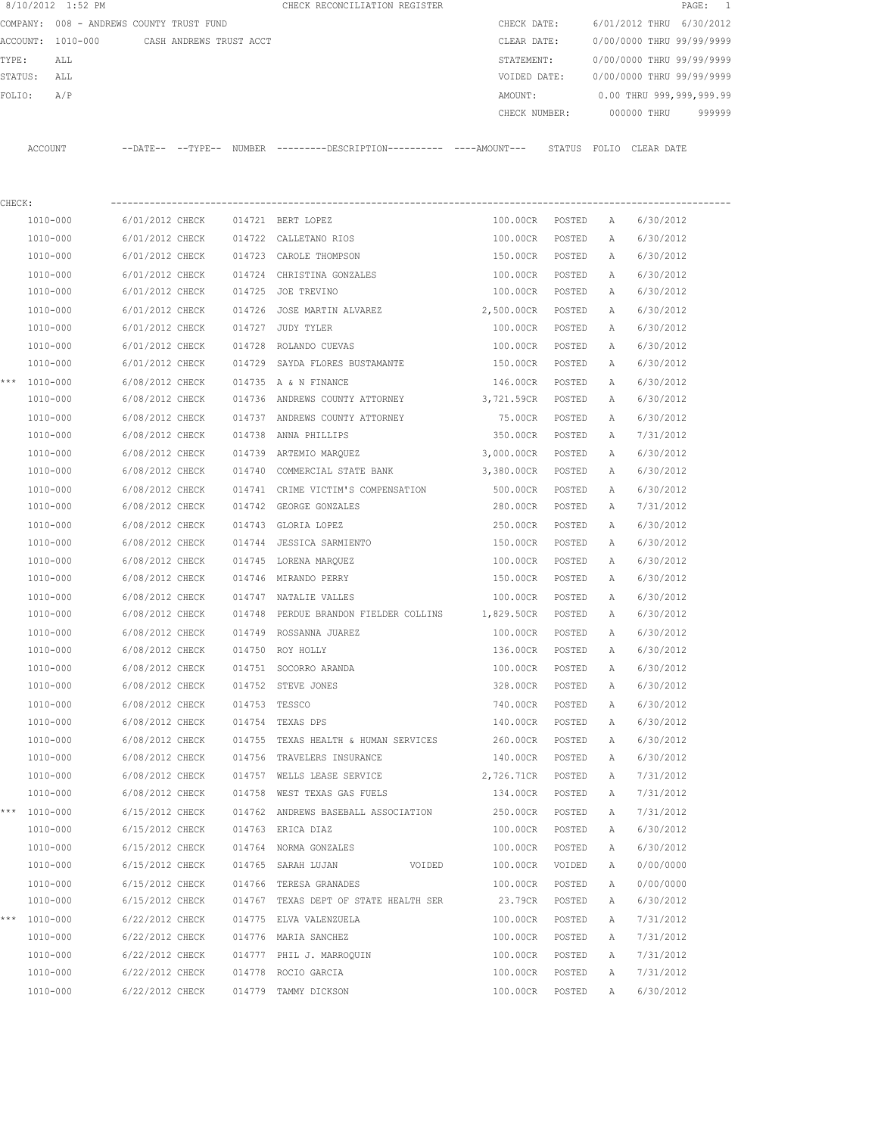|         | 8/10/2012 1:52 PM                        |                         |        | CHECK RECONCILIATION REGISTER                                                                |                 |        |   | $\texttt{PAGE}$ :         | $\overline{\phantom{0}}$ |
|---------|------------------------------------------|-------------------------|--------|----------------------------------------------------------------------------------------------|-----------------|--------|---|---------------------------|--------------------------|
|         | COMPANY: 008 - ANDREWS COUNTY TRUST FUND |                         |        |                                                                                              | CHECK DATE:     |        |   | 6/01/2012 THRU            | 6/30/2012                |
|         | ACCOUNT: 1010-000                        | CASH ANDREWS TRUST ACCT |        |                                                                                              | CLEAR DATE:     |        |   | 0/00/0000 THRU 99/99/9999 |                          |
| TYPE:   | ALL                                      |                         |        |                                                                                              | STATEMENT:      |        |   | 0/00/0000 THRU 99/99/9999 |                          |
| STATUS: | ALL                                      |                         |        |                                                                                              | VOIDED DATE:    |        |   | 0/00/0000 THRU 99/99/9999 |                          |
| FOLIO:  | A/P                                      |                         |        |                                                                                              | AMOUNT:         |        |   | 0.00 THRU 999,999,999.99  |                          |
|         |                                          |                         |        |                                                                                              | CHECK NUMBER:   |        |   | 000000 THRU               | 999999                   |
|         | ACCOUNT                                  |                         |        | --DATE-- --TYPE-- NUMBER ---------DESCRIPTION--------- ----AMOUNT--- STATUS FOLIO CLEAR-DATE |                 |        |   |                           |                          |
|         |                                          |                         |        |                                                                                              |                 |        |   |                           |                          |
| CHECK:  |                                          |                         |        |                                                                                              |                 |        |   |                           |                          |
|         | 1010-000                                 | 6/01/2012 CHECK         |        | 014721 BERT LOPEZ                                                                            | 100.00CR POSTED |        | A | 6/30/2012                 |                          |
|         | 1010-000                                 | 6/01/2012 CHECK         |        | 014722 CALLETANO RIOS                                                                        | 100.00CR        | POSTED | A | 6/30/2012                 |                          |
|         | 1010-000                                 | 6/01/2012 CHECK         |        | 014723 CAROLE THOMPSON                                                                       | 150.00CR POSTED |        | Α | 6/30/2012                 |                          |
|         | 1010-000                                 | 6/01/2012 CHECK         |        | 014724 CHRISTINA GONZALES                                                                    | 100.00CR        | POSTED | A | 6/30/2012                 |                          |
|         | 1010-000                                 | 6/01/2012 CHECK         |        | 014725 JOE TREVINO                                                                           | 100.00CR        | POSTED | A | 6/30/2012                 |                          |
|         | 1010-000                                 | 6/01/2012 CHECK         |        | 014726 JOSE MARTIN ALVAREZ                                                                   | 2,500.00CR      | POSTED | Α | 6/30/2012                 |                          |
|         | 1010-000                                 | 6/01/2012 CHECK         |        | 014727 JUDY TYLER                                                                            | 100.00CR        | POSTED | A | 6/30/2012                 |                          |
|         | 1010-000                                 | 6/01/2012 CHECK         | 014728 | ROLANDO CUEVAS                                                                               | 100.00CR        | POSTED | Α | 6/30/2012                 |                          |
|         | 1010-000                                 | 6/01/2012 CHECK         |        | 014729 SAYDA FLORES BUSTAMANTE                                                               | 150.00CR        | POSTED | A | 6/30/2012                 |                          |
|         | *** 1010-000                             | 6/08/2012 CHECK         |        | 014735 A & N FINANCE                                                                         | 146.00CR        | POSTED | A | 6/30/2012                 |                          |
|         | 1010-000                                 | 6/08/2012 CHECK         |        | 014736 ANDREWS COUNTY ATTORNEY                                                               | 3,721.59CR      | POSTED | A | 6/30/2012                 |                          |
|         | 1010-000                                 | 6/08/2012 CHECK         |        | 014737 ANDREWS COUNTY ATTORNEY                                                               | 75.00CR         | POSTED | Α | 6/30/2012                 |                          |
|         | 1010-000                                 | 6/08/2012 CHECK         |        | 014738 ANNA PHILLIPS                                                                         | 350.00CR        | POSTED | Α | 7/31/2012                 |                          |
|         | 1010-000                                 | 6/08/2012 CHECK         |        | 014739 ARTEMIO MARQUEZ                                                                       | 3,000.00CR      | POSTED | Α | 6/30/2012                 |                          |
|         | 1010-000                                 | 6/08/2012 CHECK         | 014740 | COMMERCIAL STATE BANK                                                                        | 3,380.00CR      | POSTED | A | 6/30/2012                 |                          |
|         | 1010-000                                 | 6/08/2012 CHECK         |        | 014741 CRIME VICTIM'S COMPENSATION                                                           | 500.00CR        | POSTED | А | 6/30/2012                 |                          |
|         | 1010-000                                 | 6/08/2012 CHECK         | 014742 | GEORGE GONZALES                                                                              | 280.00CR        | POSTED | Α | 7/31/2012                 |                          |
|         | 1010-000                                 | 6/08/2012 CHECK         |        | 014743 GLORIA LOPEZ                                                                          | 250.00CR        | POSTED | Α | 6/30/2012                 |                          |
|         | 1010-000                                 | 6/08/2012 CHECK         |        | 014744 JESSICA SARMIENTO                                                                     | 150.00CR        | POSTED | Α | 6/30/2012                 |                          |
|         | 1010-000                                 | 6/08/2012 CHECK         |        | 014745 LORENA MARQUEZ                                                                        | 100.00CR        | POSTED | А | 6/30/2012                 |                          |
|         | 1010-000                                 | 6/08/2012 CHECK         |        | 014746 MIRANDO PERRY                                                                         | 150.00CR        | POSTED | A | 6/30/2012                 |                          |
|         | 1010-000                                 | 6/08/2012 CHECK         |        | 014747 NATALIE VALLES                                                                        | 100.00CR        | POSTED | A | 6/30/2012                 |                          |
|         | 1010-000                                 | 6/08/2012 CHECK         |        | 014748 PERDUE BRANDON FIELDER COLLINS 1,829.50CR                                             |                 | POSTED | А | 6/30/2012                 |                          |
|         | 1010-000                                 | 6/08/2012 CHECK         |        | 014749 ROSSANNA JUAREZ                                                                       | 100.00CR        | POSTED | Α | 6/30/2012                 |                          |
|         | 1010-000                                 | 6/08/2012 CHECK         |        | 014750 ROY HOLLY                                                                             | 136.00CR        | POSTED | А | 6/30/2012                 |                          |
|         | 1010-000                                 | 6/08/2012 CHECK         |        | 014751 SOCORRO ARANDA                                                                        | 100.00CR        | POSTED | Α | 6/30/2012                 |                          |
|         | 1010-000                                 | 6/08/2012 CHECK         |        | 014752 STEVE JONES                                                                           | 328.00CR        | POSTED | Α | 6/30/2012                 |                          |
|         | 1010-000                                 | 6/08/2012 CHECK         |        | 014753 TESSCO                                                                                | 740.00CR        | POSTED | Α | 6/30/2012                 |                          |
|         | 1010-000                                 | 6/08/2012 CHECK         |        | 014754 TEXAS DPS                                                                             | 140.00CR        | POSTED | Α | 6/30/2012                 |                          |
|         | 1010-000                                 | 6/08/2012 CHECK         |        | 014755 TEXAS HEALTH & HUMAN SERVICES                                                         | 260.00CR        | POSTED | Α | 6/30/2012                 |                          |
|         | 1010-000                                 | 6/08/2012 CHECK         |        | 014756 TRAVELERS INSURANCE                                                                   | 140.00CR        | POSTED | Α | 6/30/2012                 |                          |
|         | 1010-000                                 | 6/08/2012 CHECK         |        | 014757 WELLS LEASE SERVICE                                                                   | 2,726.71CR      | POSTED | Α | 7/31/2012                 |                          |
|         | $1010 - 000$                             | 6/08/2012 CHECK         |        | 014758 WEST TEXAS GAS FUELS                                                                  | 134.00CR        | POSTED | Α | 7/31/2012                 |                          |
| ***     | 1010-000                                 | 6/15/2012 CHECK         |        | 014762 ANDREWS BASEBALL ASSOCIATION                                                          | 250.00CR        | POSTED |   | 7/31/2012                 |                          |
|         |                                          |                         |        | 014763 ERICA DIAZ                                                                            | 100.00CR        |        | Α |                           |                          |
|         | 1010-000                                 | 6/15/2012 CHECK         |        |                                                                                              |                 | POSTED | Α | 6/30/2012                 |                          |
|         | 1010-000                                 | 6/15/2012 CHECK         |        | 014764 NORMA GONZALES                                                                        | 100.00CR        | POSTED | Α | 6/30/2012                 |                          |
|         | 1010-000                                 | 6/15/2012 CHECK         |        | 014765 SARAH LUJAN<br>VOIDED                                                                 | 100.00CR        | VOIDED | Α | 0/00/0000                 |                          |
|         | 1010-000                                 | 6/15/2012 CHECK         |        | 014766 TERESA GRANADES                                                                       | 100.00CR        | POSTED | Α | 0/00/0000                 |                          |
|         | $1010 - 000$                             | 6/15/2012 CHECK         |        | 014767 TEXAS DEPT OF STATE HEALTH SER                                                        | 23.79CR         | POSTED | Α | 6/30/2012                 |                          |
|         | *** 1010-000                             | 6/22/2012 CHECK         |        | 014775 ELVA VALENZUELA                                                                       | 100.00CR        | POSTED | Α | 7/31/2012                 |                          |
|         | 1010-000                                 | 6/22/2012 CHECK         |        | 014776 MARIA SANCHEZ                                                                         | 100.00CR        | POSTED | Α | 7/31/2012                 |                          |
|         | 1010-000                                 | 6/22/2012 CHECK         |        | 014777 PHIL J. MARROQUIN                                                                     | 100.00CR        | POSTED | Α | 7/31/2012                 |                          |
|         | 1010-000                                 | 6/22/2012 CHECK         |        | 014778 ROCIO GARCIA                                                                          | 100.00CR        | POSTED | Α | 7/31/2012                 |                          |
|         | 1010-000                                 | 6/22/2012 CHECK         |        | 014779 TAMMY DICKSON                                                                         | 100.00CR        | POSTED | A | 6/30/2012                 |                          |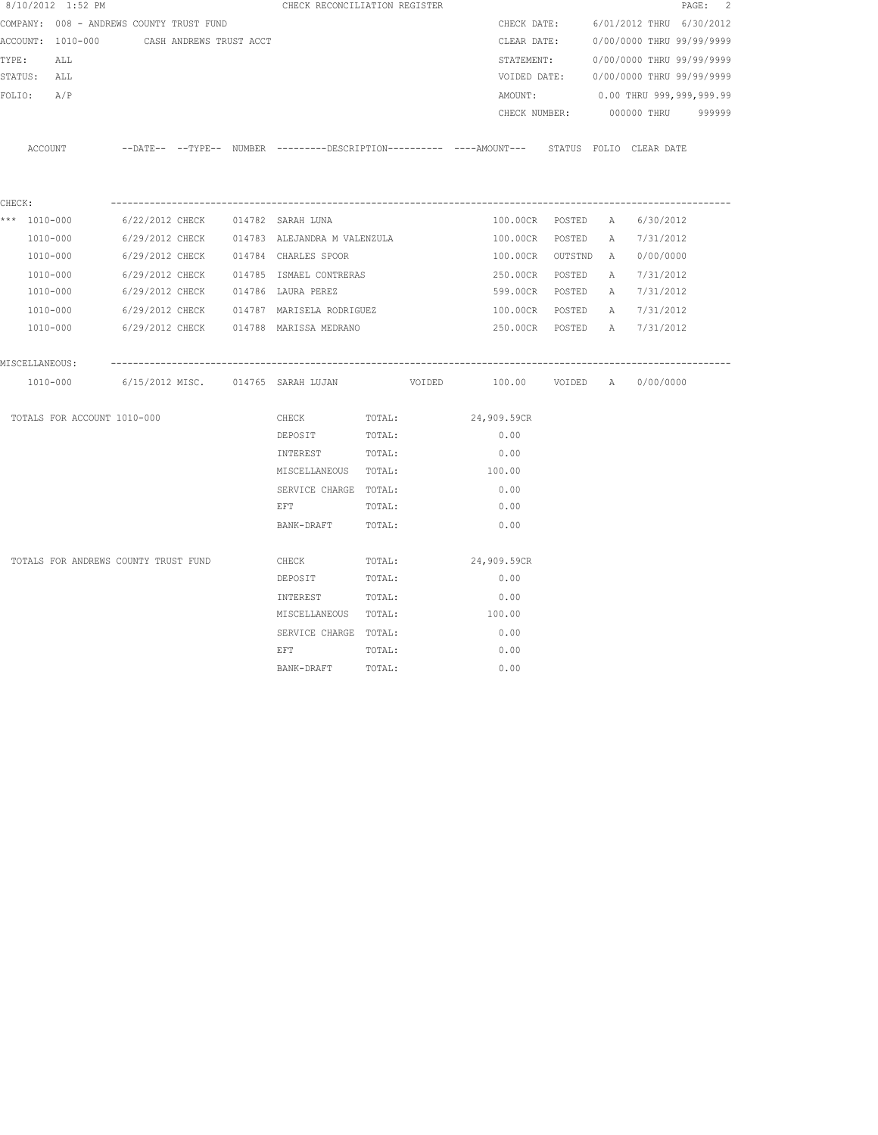|                | 8/10/2012 1:52 PM                         |                                |  | CHECK RECONCILIATION REGISTER                                                                      |        |             |                  |   |                                        | PAGE: 2 |
|----------------|-------------------------------------------|--------------------------------|--|----------------------------------------------------------------------------------------------------|--------|-------------|------------------|---|----------------------------------------|---------|
|                | COMPANY: 008 - ANDREWS COUNTY TRUST FUND  |                                |  |                                                                                                    |        |             |                  |   | CHECK DATE: 6/01/2012 THRU 6/30/2012   |         |
|                | ACCOUNT: 1010-000 CASH ANDREWS TRUST ACCT |                                |  |                                                                                                    |        |             |                  |   | CLEAR DATE: 0/00/0000 THRU 99/99/9999  |         |
| TYPE:          | ALL                                       |                                |  |                                                                                                    |        |             |                  |   | STATEMENT: 0/00/0000 THRU 99/99/9999   |         |
| STATUS: ALL    |                                           |                                |  |                                                                                                    |        |             |                  |   | VOIDED DATE: 0/00/0000 THRU 99/99/9999 |         |
| FOLIO: A/P     |                                           |                                |  |                                                                                                    |        |             |                  |   | AMOUNT: 0.00 THRU 999,999,999.99       |         |
|                |                                           |                                |  |                                                                                                    |        |             |                  |   | CHECK NUMBER: 000000 THRU 999999       |         |
|                |                                           |                                |  | ACCOUNT -DATE-- --TYPE-- NUMBER --------DESCRIPTION--------- ----AMOUNT--- STATUS FOLIO CLEAR DATE |        |             |                  |   |                                        |         |
| CHECK:         |                                           |                                |  |                                                                                                    |        |             |                  |   |                                        |         |
| *** 1010-000   |                                           |                                |  | 6/22/2012 CHECK 014782 SARAH LUNA                                                                  |        |             | 100.00CR POSTED  | A | 6/30/2012                              |         |
|                | 1010-000                                  |                                |  | 6/29/2012 CHECK 014783 ALEJANDRA M VALENZULA                                                       |        |             | 100.00CR POSTED  |   | A 7/31/2012                            |         |
|                | 1010-000                                  |                                |  | 6/29/2012 CHECK 014784 CHARLES SPOOR                                                               |        |             | 100.00CR OUTSTND |   | A 0/00/0000                            |         |
|                | 1010-000                                  |                                |  | 6/29/2012 CHECK 014785 ISMAEL CONTRERAS                                                            |        |             | 250.00CR POSTED  |   | A 7/31/2012                            |         |
|                | 1010-000                                  |                                |  | 6/29/2012 CHECK 014786 LAURA PEREZ                                                                 |        |             | 599.00CR POSTED  |   | A 7/31/2012                            |         |
|                | 1010-000                                  |                                |  | 6/29/2012 CHECK 014787 MARISELA RODRIGUEZ                                                          |        |             | 100.00CR POSTED  |   | A 7/31/2012                            |         |
|                | 1010-000                                  |                                |  | 6/29/2012 CHECK 014788 MARISSA MEDRANO                                                             |        |             |                  |   | 250.00CR POSTED A 7/31/2012            |         |
| MISCELLANEOUS: |                                           | ------------------------------ |  |                                                                                                    |        |             |                  |   |                                        |         |
|                |                                           |                                |  | 1010-000 6/15/2012 MISC. 014765 SARAH LUJAN VOIDED 100.00 VOIDED A 0/00/0000                       |        |             |                  |   |                                        |         |
|                | TOTALS FOR ACCOUNT 1010-000               |                                |  | CHECK TOTAL:                                                                                       |        | 24,909.59CR |                  |   |                                        |         |
|                |                                           |                                |  | DEPOSIT                                                                                            | TOTAL: | 0.00        |                  |   |                                        |         |
|                |                                           |                                |  | INTEREST                                                                                           | TOTAL: | 0.00        |                  |   |                                        |         |
|                |                                           |                                |  | MISCELLANEOUS TOTAL:                                                                               |        | 100.00      |                  |   |                                        |         |
|                |                                           |                                |  | SERVICE CHARGE TOTAL:                                                                              |        | 0.00        |                  |   |                                        |         |
|                |                                           |                                |  | EFT                                                                                                | TOTAL: | 0.00        |                  |   |                                        |         |
|                |                                           |                                |  | BANK-DRAFT                                                                                         | TOTAL: | 0.00        |                  |   |                                        |         |
|                | TOTALS FOR ANDREWS COUNTY TRUST FUND      |                                |  | CHECK                                                                                              | TOTAL: | 24,909.59CR |                  |   |                                        |         |
|                |                                           |                                |  | DEPOSIT                                                                                            | TOTAL: | 0.00        |                  |   |                                        |         |
|                |                                           |                                |  | INTEREST                                                                                           | TOTAL: | 0.00        |                  |   |                                        |         |
|                |                                           |                                |  | MISCELLANEOUS TOTAL:                                                                               |        | 100.00      |                  |   |                                        |         |
|                |                                           |                                |  | SERVICE CHARGE TOTAL:                                                                              |        | 0.00        |                  |   |                                        |         |
|                |                                           |                                |  | EFT                                                                                                | TOTAL: | 0.00        |                  |   |                                        |         |
|                |                                           |                                |  | BANK-DRAFT                                                                                         | TOTAL: | 0.00        |                  |   |                                        |         |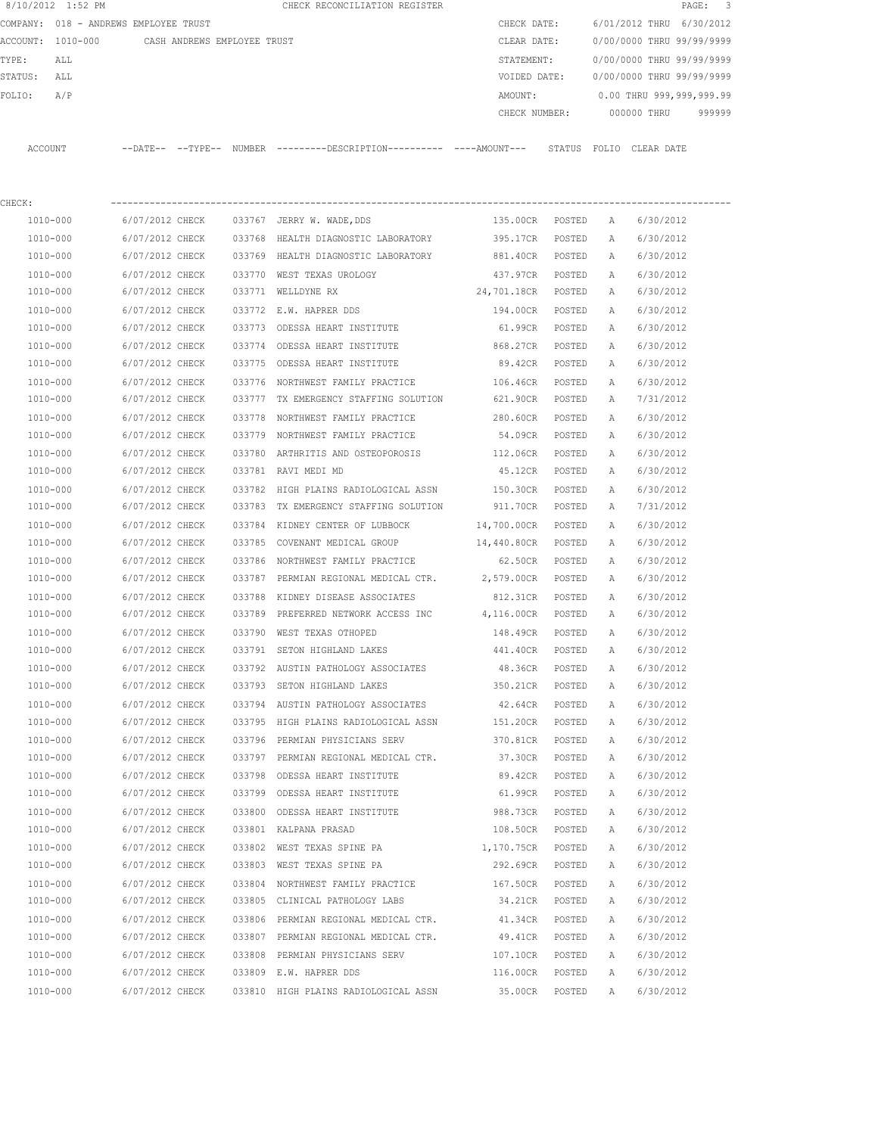| 8/10/2012 1:52 PM |                                       |                             |        | CHECK RECONCILIATION REGISTER                                                                 |                    |        |              |                           | 3<br>$\texttt{PAGE}$ : |
|-------------------|---------------------------------------|-----------------------------|--------|-----------------------------------------------------------------------------------------------|--------------------|--------|--------------|---------------------------|------------------------|
|                   | COMPANY: 018 - ANDREWS EMPLOYEE TRUST |                             |        |                                                                                               | CHECK DATE:        |        |              | 6/01/2012 THRU            | 6/30/2012              |
| ACCOUNT: 1010-000 |                                       | CASH ANDREWS EMPLOYEE TRUST |        |                                                                                               | CLEAR DATE:        |        |              | 0/00/0000 THRU 99/99/9999 |                        |
| TYPE:<br>ALL      |                                       |                             |        |                                                                                               | STATEMENT:         |        |              | 0/00/0000 THRU 99/99/9999 |                        |
| STATUS:<br>ALL    |                                       |                             |        |                                                                                               | VOIDED DATE:       |        |              | 0/00/0000 THRU 99/99/9999 |                        |
| FOLIO:<br>A/P     |                                       |                             |        |                                                                                               | AMOUNT:            |        |              | 0.00 THRU 999,999,999.99  |                        |
|                   |                                       |                             |        |                                                                                               | CHECK NUMBER:      |        |              | 000000 THRU               | 999999                 |
| ACCOUNT           |                                       |                             |        | --DATE-- --TYPE-- NUMBER ---------DESCRIPTION---------- ----AMOUNT--- STATUS FOLIO CLEAR DATE |                    |        |              |                           |                        |
| CHECK:            |                                       |                             |        |                                                                                               |                    |        |              |                           |                        |
| 1010-000          | 6/07/2012 CHECK                       |                             |        | 033767 JERRY W. WADE, DDS                                                                     | 135.00CR           | POSTED | A            | 6/30/2012                 |                        |
| 1010-000          | 6/07/2012 CHECK                       |                             | 033768 | HEALTH DIAGNOSTIC LABORATORY                                                                  | 395.17CR           | POSTED | Α            | 6/30/2012                 |                        |
| 1010-000          | 6/07/2012 CHECK                       |                             |        | 033769 HEALTH DIAGNOSTIC LABORATORY                                                           | 881.40CR           | POSTED | Α            | 6/30/2012                 |                        |
| 1010-000          | 6/07/2012 CHECK                       |                             |        | 033770 WEST TEXAS UROLOGY                                                                     | 437.97CR           | POSTED | Α            | 6/30/2012                 |                        |
| 1010-000          | 6/07/2012 CHECK                       |                             |        | 033771 WELLDYNE RX                                                                            | 24,701.18CR POSTED |        | Α            | 6/30/2012                 |                        |
| 1010-000          | 6/07/2012 CHECK                       |                             |        | 033772 E.W. HAPRER DDS                                                                        | 194.00CR           | POSTED | Α            | 6/30/2012                 |                        |
| 1010-000          | 6/07/2012 CHECK                       |                             |        | 033773 ODESSA HEART INSTITUTE                                                                 | 61.99CR            | POSTED | Α            | 6/30/2012                 |                        |
| 1010-000          | 6/07/2012 CHECK                       |                             | 033774 | ODESSA HEART INSTITUTE                                                                        | 868.27CR           | POSTED | Α            | 6/30/2012                 |                        |
| 1010-000          | 6/07/2012 CHECK                       |                             | 033775 | ODESSA HEART INSTITUTE                                                                        | 89.42CR            | POSTED | A            | 6/30/2012                 |                        |
| 1010-000          | 6/07/2012 CHECK                       |                             |        | 033776 NORTHWEST FAMILY PRACTICE                                                              | 106.46CR           | POSTED | Α            | 6/30/2012                 |                        |
| 1010-000          | 6/07/2012 CHECK                       |                             |        | 033777 TX EMERGENCY STAFFING SOLUTION                                                         | 621.90CR           | POSTED | Α            | 7/31/2012                 |                        |
| 1010-000          | 6/07/2012 CHECK                       |                             | 033778 | NORTHWEST FAMILY PRACTICE                                                                     | 280.60CR           | POSTED | Α            | 6/30/2012                 |                        |
| 1010-000          | 6/07/2012 CHECK                       |                             |        | 033779 NORTHWEST FAMILY PRACTICE                                                              | 54.09CR            | POSTED | A            | 6/30/2012                 |                        |
| 1010-000          | 6/07/2012 CHECK                       |                             | 033780 | ARTHRITIS AND OSTEOPOROSIS                                                                    | 112.06CR           | POSTED | A            | 6/30/2012                 |                        |
| 1010-000          | 6/07/2012 CHECK                       |                             |        | 033781 RAVI MEDI MD                                                                           | 45.12CR            | POSTED | A            | 6/30/2012                 |                        |
| 1010-000          | 6/07/2012 CHECK                       |                             |        | 033782 HIGH PLAINS RADIOLOGICAL ASSN                                                          | 150.30CR           | POSTED | Α            | 6/30/2012                 |                        |
| 1010-000          | 6/07/2012 CHECK                       |                             | 033783 | TX EMERGENCY STAFFING SOLUTION                                                                | 911.70CR           | POSTED | A            | 7/31/2012                 |                        |
| 1010-000          | 6/07/2012 CHECK                       |                             |        | 033784 KIDNEY CENTER OF LUBBOCK                                                               | 14,700.00CR        | POSTED | Α            | 6/30/2012                 |                        |
| 1010-000          | 6/07/2012 CHECK                       |                             | 033785 | COVENANT MEDICAL GROUP                                                                        | 14,440.80CR        | POSTED | Α            | 6/30/2012                 |                        |
| 1010-000          | 6/07/2012 CHECK                       |                             | 033786 | NORTHWEST FAMILY PRACTICE                                                                     | 62.50CR            | POSTED | Α            | 6/30/2012                 |                        |
| 1010-000          | 6/07/2012 CHECK                       |                             | 033787 | PERMIAN REGIONAL MEDICAL CTR.                                                                 | 2,579.00CR         | POSTED | A            | 6/30/2012                 |                        |
| 1010-000          | 6/07/2012 CHECK                       |                             |        | 033788 KIDNEY DISEASE ASSOCIATES                                                              | 812.31CR           | POSTED | А            | 6/30/2012                 |                        |
| 1010-000          | 6/07/2012 CHECK                       |                             |        | 033789 PREFERRED NETWORK ACCESS INC 4,116.00CR                                                |                    | POSTED | A            | 6/30/2012                 |                        |
| 1010-000          | 6/07/2012 CHECK                       |                             |        | 033790 WEST TEXAS OTHOPED                                                                     | 148.49CR           | POSTED | $\mathbb{A}$ | 6/30/2012                 |                        |
| 1010-000          | 6/07/2012 CHECK                       |                             |        | 033791 SETON HIGHLAND LAKES                                                                   | 441.40CR           | POSTED | А            | 6/30/2012                 |                        |
| 1010-000          | 6/07/2012 CHECK                       |                             |        | 033792 AUSTIN PATHOLOGY ASSOCIATES                                                            | 48.36CR            | POSTED | Α            | 6/30/2012                 |                        |
| 1010-000          | 6/07/2012 CHECK                       |                             |        | 033793 SETON HIGHLAND LAKES                                                                   | 350.21CR           | POSTED | Α            | 6/30/2012                 |                        |
| 1010-000          | 6/07/2012 CHECK                       |                             |        | 033794 AUSTIN PATHOLOGY ASSOCIATES                                                            | 42.64CR            | POSTED | Α            | 6/30/2012                 |                        |
| 1010-000          | 6/07/2012 CHECK                       |                             |        | 033795 HIGH PLAINS RADIOLOGICAL ASSN                                                          | 151.20CR           | POSTED | Α            | 6/30/2012                 |                        |
| 1010-000          | 6/07/2012 CHECK                       |                             |        | 033796 PERMIAN PHYSICIANS SERV                                                                | 370.81CR           | POSTED | Α            | 6/30/2012                 |                        |
| 1010-000          | 6/07/2012 CHECK                       |                             |        | 033797 PERMIAN REGIONAL MEDICAL CTR.                                                          | 37.30CR            | POSTED | Α            | 6/30/2012                 |                        |
| 1010-000          | 6/07/2012 CHECK                       |                             |        | 033798 ODESSA HEART INSTITUTE                                                                 | 89.42CR            | POSTED | Α            | 6/30/2012                 |                        |
| 1010-000          | 6/07/2012 CHECK                       |                             |        | 033799 ODESSA HEART INSTITUTE                                                                 | 61.99CR            | POSTED | Α            | 6/30/2012                 |                        |
| 1010-000          | 6/07/2012 CHECK                       |                             |        | 033800 ODESSA HEART INSTITUTE                                                                 | 988.73CR           | POSTED | Α            | 6/30/2012                 |                        |
| $1010 - 000$      | 6/07/2012 CHECK                       |                             |        | 033801 KALPANA PRASAD                                                                         | 108.50CR           | POSTED | Α            | 6/30/2012                 |                        |
| 1010-000          | 6/07/2012 CHECK                       |                             |        | 033802 WEST TEXAS SPINE PA 1,170.75CR                                                         |                    | POSTED | Α            | 6/30/2012                 |                        |
| 1010-000          | 6/07/2012 CHECK                       |                             |        | 033803 WEST TEXAS SPINE PA                                                                    | 292.69CR           | POSTED | Α            | 6/30/2012                 |                        |
| 1010-000          | 6/07/2012 CHECK                       |                             |        | 033804 NORTHWEST FAMILY PRACTICE                                                              | 167.50CR           | POSTED | Α            | 6/30/2012                 |                        |
| 1010-000          | 6/07/2012 CHECK                       |                             |        | 033805 CLINICAL PATHOLOGY LABS                                                                | 34.21CR            | POSTED | Α            | 6/30/2012                 |                        |
| 1010-000          | 6/07/2012 CHECK                       |                             |        | 033806 PERMIAN REGIONAL MEDICAL CTR.                                                          | 41.34CR            | POSTED | Α            | 6/30/2012                 |                        |
| 1010-000          | 6/07/2012 CHECK                       |                             |        | 033807 PERMIAN REGIONAL MEDICAL CTR.                                                          | 49.41CR            | POSTED | Α            | 6/30/2012                 |                        |
| 1010-000          | 6/07/2012 CHECK                       |                             |        | 033808 PERMIAN PHYSICIANS SERV                                                                | 107.10CR           | POSTED | Α            | 6/30/2012                 |                        |
| 1010-000          | 6/07/2012 CHECK                       |                             |        | 033809 E.W. HAPRER DDS                                                                        | 116.00CR           | POSTED | Α            | 6/30/2012                 |                        |
| 1010-000          | 6/07/2012 CHECK                       |                             |        | 033810 HIGH PLAINS RADIOLOGICAL ASSN                                                          | 35.00CR            | POSTED | Α            | 6/30/2012                 |                        |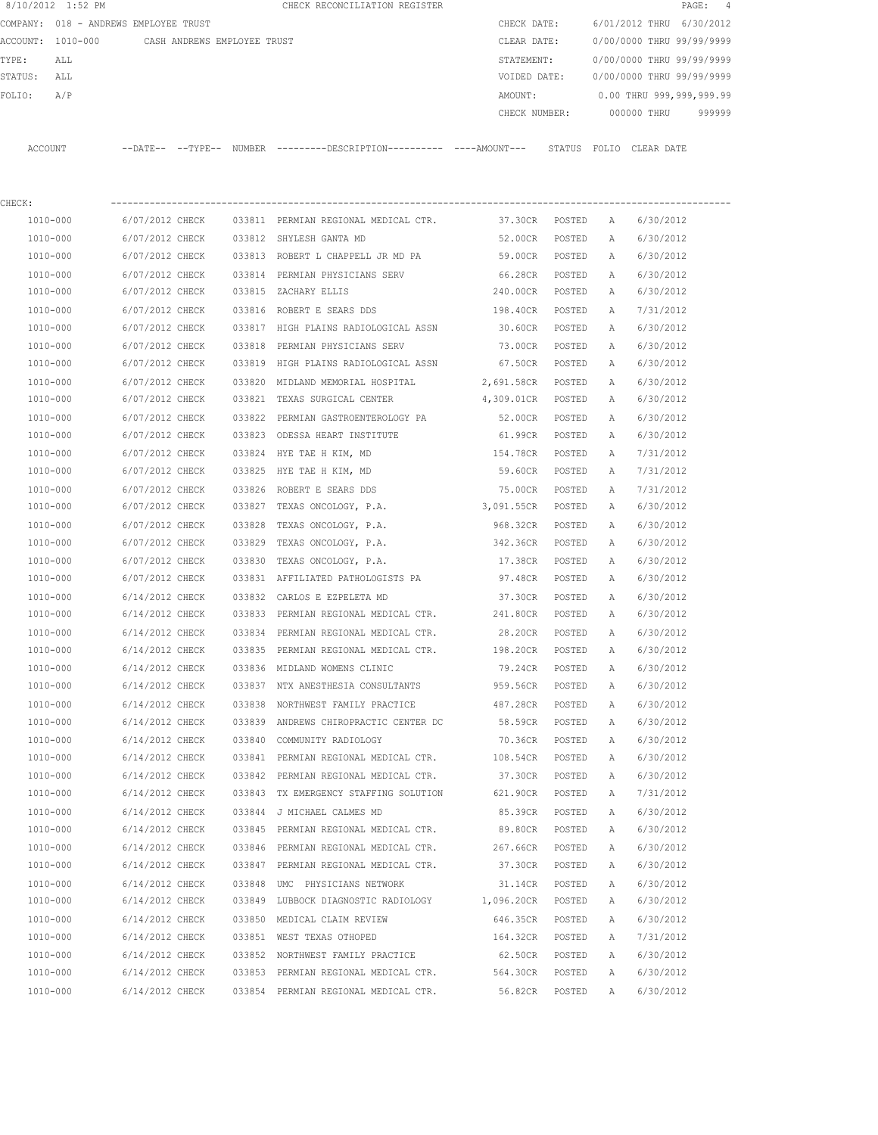|         | 8/10/2012 1:52 PM                     |                 |                             |        | CHECK RECONCILIATION REGISTER                                                              |                 |        |              | PAGE:                     | 4      |
|---------|---------------------------------------|-----------------|-----------------------------|--------|--------------------------------------------------------------------------------------------|-----------------|--------|--------------|---------------------------|--------|
|         | COMPANY: 018 - ANDREWS EMPLOYEE TRUST |                 |                             |        |                                                                                            | CHECK DATE:     |        |              | 6/01/2012 THRU 6/30/2012  |        |
|         | ACCOUNT: 1010-000                     |                 | CASH ANDREWS EMPLOYEE TRUST |        |                                                                                            | CLEAR DATE:     |        |              | 0/00/0000 THRU 99/99/9999 |        |
| TYPE:   | ALL                                   |                 |                             |        |                                                                                            | STATEMENT:      |        |              | 0/00/0000 THRU 99/99/9999 |        |
| STATUS: | ALL                                   |                 |                             |        |                                                                                            | VOIDED DATE:    |        |              | 0/00/0000 THRU 99/99/9999 |        |
| FOLIO:  | A/P                                   |                 |                             |        |                                                                                            | AMOUNT:         |        |              | 0.00 THRU 999,999,999.99  |        |
|         |                                       |                 |                             |        |                                                                                            | CHECK NUMBER:   |        |              | 000000 THRU               | 999999 |
|         | ACCOUNT                               |                 |                             |        | --DATE-- --TYPE-- NUMBER --------DESCRIPTION--------- ----AMOUNT--- STATUS FOLIO CLEARDATE |                 |        |              |                           |        |
| CHECK:  |                                       |                 |                             |        |                                                                                            |                 |        |              |                           |        |
|         | 1010-000                              | 6/07/2012 CHECK |                             |        | 033811 PERMIAN REGIONAL MEDICAL CTR. 37.30CR POSTED                                        |                 |        | $\mathbb{A}$ | 6/30/2012                 |        |
|         | 1010-000                              | 6/07/2012 CHECK |                             |        | 033812 SHYLESH GANTA MD                                                                    | 52.00CR         | POSTED | A            | 6/30/2012                 |        |
|         | 1010-000                              | 6/07/2012 CHECK |                             |        | 033813 ROBERT L CHAPPELL JR MD PA                                                          | 59.00CR         | POSTED | A            | 6/30/2012                 |        |
|         | 1010-000                              | 6/07/2012 CHECK |                             |        | 033814 PERMIAN PHYSICIANS SERV                                                             | 66.28CR POSTED  |        | Α            | 6/30/2012                 |        |
|         | 1010-000                              | 6/07/2012 CHECK |                             |        | 033815 ZACHARY ELLIS                                                                       | 240.00CR POSTED |        | A            | 6/30/2012                 |        |
|         | 1010-000                              | 6/07/2012 CHECK |                             |        | 033816 ROBERT E SEARS DDS                                                                  | 198.40CR        | POSTED | A            | 7/31/2012                 |        |
|         | 1010-000                              | 6/07/2012 CHECK |                             |        | 033817 HIGH PLAINS RADIOLOGICAL ASSN                                                       | 30.60CR         | POSTED | A            | 6/30/2012                 |        |
|         | 1010-000                              | 6/07/2012 CHECK |                             | 033818 | PERMIAN PHYSICIANS SERV                                                                    | 73.00CR         | POSTED | Α            | 6/30/2012                 |        |
|         | 1010-000                              | 6/07/2012 CHECK |                             |        | 033819 HIGH PLAINS RADIOLOGICAL ASSN                                                       | 67.50CR         | POSTED | A            | 6/30/2012                 |        |
|         | 1010-000                              | 6/07/2012 CHECK |                             |        | 033820 MIDLAND MEMORIAL HOSPITAL                                                           | 2,691.58CR      | POSTED | А            | 6/30/2012                 |        |
|         | 1010-000                              | 6/07/2012 CHECK |                             |        | 033821 TEXAS SURGICAL CENTER                                                               | 4,309.01CR      | POSTED | A            | 6/30/2012                 |        |
|         | 1010-000                              | 6/07/2012 CHECK |                             | 033822 | PERMIAN GASTROENTEROLOGY PA                                                                | 52.00CR         | POSTED | A            | 6/30/2012                 |        |
|         | 1010-000                              | 6/07/2012 CHECK |                             |        | 033823 ODESSA HEART INSTITUTE                                                              | 61.99CR         | POSTED | A            | 6/30/2012                 |        |
|         | 1010-000                              | 6/07/2012 CHECK |                             | 033824 | HYE TAE H KIM, MD                                                                          | 154.78CR        | POSTED | A            | 7/31/2012                 |        |
|         | 1010-000                              | 6/07/2012 CHECK |                             | 033825 | HYE TAE H KIM, MD                                                                          | 59.60CR         | POSTED | A            | 7/31/2012                 |        |
|         | 1010-000                              | 6/07/2012 CHECK |                             |        | 033826 ROBERT E SEARS DDS                                                                  | 75.00CR         | POSTED | Α            | 7/31/2012                 |        |
|         | 1010-000                              | 6/07/2012 CHECK |                             | 033827 | TEXAS ONCOLOGY, P.A.                                                                       | 3,091.55CR      | POSTED | A            | 6/30/2012                 |        |
|         | 1010-000                              | 6/07/2012 CHECK |                             | 033828 | TEXAS ONCOLOGY, P.A.                                                                       | 968.32CR        | POSTED | Α            | 6/30/2012                 |        |
|         | 1010-000                              | 6/07/2012 CHECK |                             | 033829 | TEXAS ONCOLOGY, P.A.                                                                       | 342.36CR        | POSTED | Α            | 6/30/2012                 |        |
|         | 1010-000                              | 6/07/2012 CHECK |                             | 033830 | TEXAS ONCOLOGY, P.A.                                                                       | 17.38CR         | POSTED | Α            | 6/30/2012                 |        |
|         | 1010-000                              | 6/07/2012 CHECK |                             |        | 033831 AFFILIATED PATHOLOGISTS PA                                                          | 97.48CR         | POSTED | A            | 6/30/2012                 |        |
|         | 1010-000                              | 6/14/2012 CHECK |                             |        | 033832 CARLOS E EZPELETA MD                                                                | 37.30CR         | POSTED | А            | 6/30/2012                 |        |
|         | 1010-000                              | 6/14/2012 CHECK |                             |        | 033833 PERMIAN REGIONAL MEDICAL CTR. 241.80CR                                              |                 | POSTED | A            | 6/30/2012                 |        |
|         | 1010-000                              | 6/14/2012 CHECK |                             |        | 033834 PERMIAN REGIONAL MEDICAL CTR.                                                       | 28.20CR         | POSTED | A            | 6/30/2012                 |        |
|         | 1010-000                              | 6/14/2012 CHECK |                             |        | 033835 PERMIAN REGIONAL MEDICAL CTR.                                                       | 198.20CR        | POSTED | А            | 6/30/2012                 |        |
|         | 1010-000                              | 6/14/2012 CHECK |                             |        | 033836 MIDLAND WOMENS CLINIC                                                               | 79.24CR         | POSTED | Α            | 6/30/2012                 |        |
|         | 1010-000                              | 6/14/2012 CHECK |                             |        | 033837 NTX ANESTHESIA CONSULTANTS                                                          | 959.56CR        | POSTED | Α            | 6/30/2012                 |        |
|         | $1010 - 000$                          | 6/14/2012 CHECK |                             |        | 033838 NORTHWEST FAMILY PRACTICE                                                           | 487.28CR        | POSTED | Α            | 6/30/2012                 |        |
|         | 1010-000                              | 6/14/2012 CHECK |                             |        | 033839 ANDREWS CHIROPRACTIC CENTER DC                                                      | 58.59CR         | POSTED | Α            | 6/30/2012                 |        |
|         | 1010-000                              | 6/14/2012 CHECK |                             |        | 033840 COMMUNITY RADIOLOGY                                                                 | 70.36CR POSTED  |        | Α            | 6/30/2012                 |        |
|         | 1010-000                              | 6/14/2012 CHECK |                             |        | 033841 PERMIAN REGIONAL MEDICAL CTR.                                                       | 108.54CR        | POSTED | Α            | 6/30/2012                 |        |
|         | 1010-000                              | 6/14/2012 CHECK |                             |        | 033842 PERMIAN REGIONAL MEDICAL CTR.                                                       | 37.30CR         | POSTED | Α            | 6/30/2012                 |        |
|         | 1010-000                              | 6/14/2012 CHECK |                             |        | 033843 TX EMERGENCY STAFFING SOLUTION 621.90CR                                             |                 | POSTED | Α            | 7/31/2012                 |        |
|         | 1010-000                              | 6/14/2012 CHECK |                             |        | 033844 J MICHAEL CALMES MD                                                                 | 85.39CR         | POSTED | Α            | 6/30/2012                 |        |
|         | 1010-000                              | 6/14/2012 CHECK |                             |        | 033845 PERMIAN REGIONAL MEDICAL CTR.                                                       | 89.80CR         | POSTED | Α            | 6/30/2012                 |        |
|         | 1010-000                              | 6/14/2012 CHECK |                             |        | 033846 PERMIAN REGIONAL MEDICAL CTR. 267.66CR                                              |                 | POSTED | Α            | 6/30/2012                 |        |
|         | 1010-000                              | 6/14/2012 CHECK |                             |        | 033847 PERMIAN REGIONAL MEDICAL CTR.                                                       | 37.30CR         | POSTED | Α            | 6/30/2012                 |        |
|         | 1010-000                              | 6/14/2012 CHECK |                             |        | 033848 UMC PHYSICIANS NETWORK                                                              | 31.14CR         | POSTED | Α            | 6/30/2012                 |        |
|         | 1010-000                              | 6/14/2012 CHECK |                             |        | 033849 LUBBOCK DIAGNOSTIC RADIOLOGY 1,096.20CR                                             |                 | POSTED | Α            | 6/30/2012                 |        |
|         | 1010-000                              | 6/14/2012 CHECK |                             |        | 033850 MEDICAL CLAIM REVIEW                                                                | 646.35CR POSTED |        | Α            | 6/30/2012                 |        |
|         | 1010-000                              | 6/14/2012 CHECK |                             |        | 033851 WEST TEXAS OTHOPED                                                                  | 164.32CR POSTED |        | Α            | 7/31/2012                 |        |
|         | 1010-000                              | 6/14/2012 CHECK |                             |        | 033852 NORTHWEST FAMILY PRACTICE                                                           | 62.50CR POSTED  |        | $\mathbb{A}$ | 6/30/2012                 |        |
|         | 1010-000                              | 6/14/2012 CHECK |                             |        | 033853 PERMIAN REGIONAL MEDICAL CTR.                                                       | 564.30CR POSTED |        | Α            | 6/30/2012                 |        |
|         | 1010-000                              | 6/14/2012 CHECK |                             |        | 033854 PERMIAN REGIONAL MEDICAL CTR.                                                       | 56.82CR         | POSTED | Α            | 6/30/2012                 |        |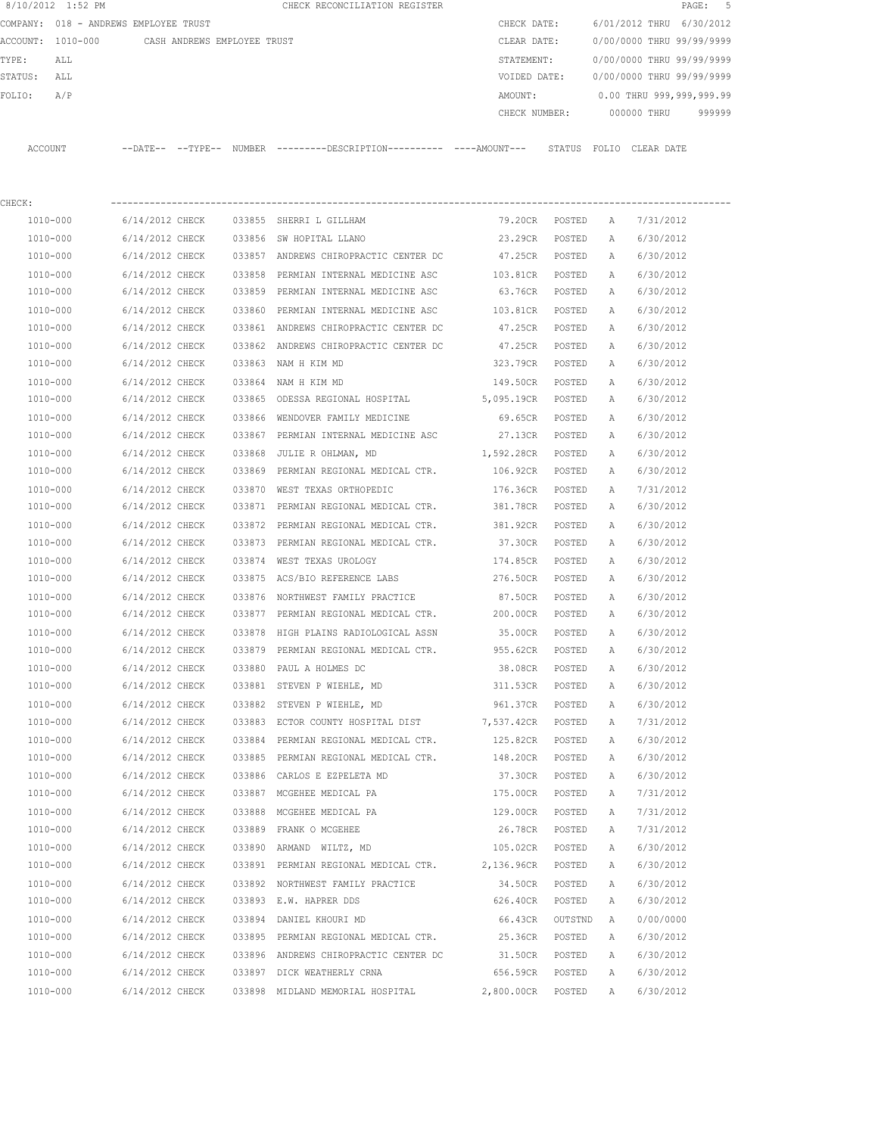|         | 8/10/2012 1:52 PM |                                       |        | CHECK RECONCILIATION REGISTER                |  |               |        |                           |             | PAGE: 5 |  |
|---------|-------------------|---------------------------------------|--------|----------------------------------------------|--|---------------|--------|---------------------------|-------------|---------|--|
|         |                   | COMPANY: 018 - ANDREWS EMPLOYEE TRUST |        |                                              |  | CHECK DATE:   |        | 6/01/2012 THRU 6/30/2012  |             |         |  |
|         | ACCOUNT: 1010-000 | CASH ANDREWS EMPLOYEE TRUST           |        |                                              |  | CLEAR DATE:   |        | 0/00/0000 THRU 99/99/9999 |             |         |  |
| TYPE:   | ALL               |                                       |        |                                              |  | STATEMENT:    |        | 0/00/0000 THRU 99/99/9999 |             |         |  |
| STATUS: | ALL               |                                       |        |                                              |  | VOIDED DATE:  |        | 0/00/0000 THRU 99/99/9999 |             |         |  |
| FOLIO:  | A/P               |                                       |        |                                              |  | AMOUNT:       |        | 0.00 THRU 999,999,999.99  |             |         |  |
|         |                   |                                       |        |                                              |  | CHECK NUMBER: |        |                           | 000000 THRU | 999999  |  |
|         |                   |                                       |        |                                              |  |               |        |                           |             |         |  |
| ACCOUNT |                   | --TYPE--<br>ーーDATEーー                  | NUMBER | ---------DESCRIPTION---------- ----AMOUNT--- |  |               | STATUS | FOLTO                     | CLEAR DATE  |         |  |

| CHECK:   |                                         |        |                                                                      |                   |         |              |           |
|----------|-----------------------------------------|--------|----------------------------------------------------------------------|-------------------|---------|--------------|-----------|
| 1010-000 | 6/14/2012 CHECK                         |        | 033855 SHERRI L GILLHAM                                              | 79.20CR POSTED    |         | <b>A</b>     | 7/31/2012 |
| 1010-000 | 6/14/2012 CHECK 033856 SW HOPITAL LLANO |        |                                                                      | 23.29CR POSTED    |         | A            | 6/30/2012 |
| 1010-000 |                                         |        | 6/14/2012 CHECK 033857 ANDREWS CHIROPRACTIC CENTER DC                | 47.25CR POSTED    |         | A            | 6/30/2012 |
| 1010-000 |                                         |        | 6/14/2012 CHECK 033858 PERMIAN INTERNAL MEDICINE ASC                 | 103.81CR POSTED   |         | A            | 6/30/2012 |
| 1010-000 |                                         |        | 6/14/2012 CHECK 033859 PERMIAN INTERNAL MEDICINE ASC                 | 63.76CR POSTED    |         | A            | 6/30/2012 |
| 1010-000 | 6/14/2012 CHECK                         |        | 033860 PERMIAN INTERNAL MEDICINE ASC 103.81CR POSTED                 |                   |         | $\mathbb{A}$ | 6/30/2012 |
| 1010-000 |                                         |        | 6/14/2012 CHECK 033861 ANDREWS CHIROPRACTIC CENTER DC                | 47.25CR POSTED    |         | A            | 6/30/2012 |
| 1010-000 |                                         |        | 6/14/2012 CHECK 033862 ANDREWS CHIROPRACTIC CENTER DC                | 47.25CR POSTED    |         | A            | 6/30/2012 |
| 1010-000 | 6/14/2012 CHECK 033863 NAM H KIM MD     |        |                                                                      | 323.79CR POSTED   |         | A            | 6/30/2012 |
| 1010-000 | 6/14/2012 CHECK 033864 NAM H KIM MD     |        |                                                                      | 149.50CR POSTED   |         | A            | 6/30/2012 |
| 1010-000 |                                         |        | 6/14/2012 CHECK 033865 ODESSA REGIONAL HOSPITAL 5,095.19CR POSTED    |                   |         | A            | 6/30/2012 |
| 1010-000 |                                         |        | 6/14/2012 CHECK 033866 WENDOVER FAMILY MEDICINE                      | 69.65CR POSTED    |         | Α            | 6/30/2012 |
| 1010-000 | 6/14/2012 CHECK                         |        | 033867 PERMIAN INTERNAL MEDICINE ASC                                 | 27.13CR POSTED    |         | $\mathbb{A}$ | 6/30/2012 |
| 1010-000 |                                         |        | 6/14/2012 CHECK 033868 JULIE R OHLMAN, MD                            | 1,592.28CR POSTED |         | A            | 6/30/2012 |
| 1010-000 |                                         |        | 6/14/2012 CHECK 033869 PERMIAN REGIONAL MEDICAL CTR.                 | 106.92CR POSTED   |         | $\mathbb{A}$ | 6/30/2012 |
| 1010-000 |                                         |        | 6/14/2012 CHECK 033870 WEST TEXAS ORTHOPEDIC                         | 176.36CR POSTED   |         | A            | 7/31/2012 |
| 1010-000 | 6/14/2012 CHECK                         |        | 033871 PERMIAN REGIONAL MEDICAL CTR.                                 | 381.78CR POSTED   |         | A            | 6/30/2012 |
| 1010-000 | 6/14/2012 CHECK                         |        | 033872 PERMIAN REGIONAL MEDICAL CTR.                                 | 381.92CR POSTED   |         | A            | 6/30/2012 |
| 1010-000 | 6/14/2012 CHECK                         |        | 033873 PERMIAN REGIONAL MEDICAL CTR.                                 | 37.30CR POSTED    |         | A            | 6/30/2012 |
| 1010-000 | 6/14/2012 CHECK                         |        | 033874 WEST TEXAS UROLOGY                                            | 174.85CR POSTED   |         | A            | 6/30/2012 |
| 1010-000 | 6/14/2012 CHECK                         |        | 033875 ACS/BIO REFERENCE LABS                                        | 276.50CR POSTED   |         | A            | 6/30/2012 |
| 1010-000 |                                         |        | 6/14/2012 CHECK 033876 NORTHWEST FAMILY PRACTICE                     | 87.50CR           | POSTED  | A            | 6/30/2012 |
| 1010-000 |                                         |        | 6/14/2012 CHECK 033877 PERMIAN REGIONAL MEDICAL CTR. 200.00CR        |                   | POSTED  | A            | 6/30/2012 |
| 1010-000 | 6/14/2012 CHECK                         |        | 033878 HIGH PLAINS RADIOLOGICAL ASSN                                 | 35.00CR           | POSTED  | Α            | 6/30/2012 |
| 1010-000 | 6/14/2012 CHECK                         |        | 033879 PERMIAN REGIONAL MEDICAL CTR.                                 | 955.62CR POSTED   |         | A            | 6/30/2012 |
| 1010-000 | 6/14/2012 CHECK                         |        | 033880 PAUL A HOLMES DC                                              | 38.08CR POSTED    |         | A            | 6/30/2012 |
| 1010-000 |                                         |        | 6/14/2012 CHECK 033881 STEVEN P WIEHLE, MD                           | 311.53CR POSTED   |         | A            | 6/30/2012 |
| 1010-000 | 6/14/2012 CHECK                         |        | 033882 STEVEN P WIEHLE, MD                                           | 961.37CR POSTED   |         | A            | 6/30/2012 |
| 1010-000 |                                         |        | 6/14/2012 CHECK 033883 ECTOR COUNTY HOSPITAL DIST                    | 7,537.42CR POSTED |         | A            | 7/31/2012 |
| 1010-000 |                                         |        | 6/14/2012 CHECK 033884 PERMIAN REGIONAL MEDICAL CTR.                 | 125.82CR POSTED   |         | A            | 6/30/2012 |
| 1010-000 |                                         |        | 6/14/2012 CHECK 033885 PERMIAN REGIONAL MEDICAL CTR. 148.20CR POSTED |                   |         | A            | 6/30/2012 |
| 1010-000 |                                         |        | 6/14/2012 CHECK 033886 CARLOS E EZPELETA MD                          | 37.30CR POSTED    |         | A            | 6/30/2012 |
| 1010-000 |                                         |        | 6/14/2012 CHECK 033887 MCGEHEE MEDICAL PA                            | 175.00CR POSTED   |         | A            | 7/31/2012 |
| 1010-000 | 6/14/2012 CHECK                         |        | 033888 MCGEHEE MEDICAL PA                                            | 129.00CR POSTED   |         | A            | 7/31/2012 |
| 1010-000 | 6/14/2012 CHECK                         |        | 033889 FRANK O MCGEHEE                                               | 26.78CR           | POSTED  | A            | 7/31/2012 |
| 1010-000 | 6/14/2012 CHECK                         |        | 033890 ARMAND WILTZ, MD                                              | 105.02CR          | POSTED  | А            | 6/30/2012 |
| 1010-000 | 6/14/2012 CHECK                         |        | 033891 PERMIAN REGIONAL MEDICAL CTR.                                 | 2,136.96CR        | POSTED  | Α            | 6/30/2012 |
| 1010-000 | 6/14/2012 CHECK                         |        | 033892 NORTHWEST FAMILY PRACTICE                                     | 34.50CR           | POSTED  | Α            | 6/30/2012 |
| 1010-000 | 6/14/2012 CHECK                         |        | 033893 E.W. HAPRER DDS                                               | 626.40CR          | POSTED  | Α            | 6/30/2012 |
| 1010-000 | 6/14/2012 CHECK                         |        | 033894 DANIEL KHOURI MD                                              | 66.43CR           | OUTSTND | Α            | 0/00/0000 |
| 1010-000 | 6/14/2012 CHECK                         |        | 033895 PERMIAN REGIONAL MEDICAL CTR.                                 | 25.36CR           | POSTED  | Α            | 6/30/2012 |
| 1010-000 | 6/14/2012 CHECK                         | 033896 | ANDREWS CHIROPRACTIC CENTER DC                                       | 31.50CR           | POSTED  | Α            | 6/30/2012 |
| 1010-000 | 6/14/2012 CHECK                         |        | 033897 DICK WEATHERLY CRNA                                           | 656.59CR          | POSTED  | Α            | 6/30/2012 |
| 1010-000 | 6/14/2012 CHECK                         |        | 033898 MIDLAND MEMORIAL HOSPITAL                                     | 2,800.00CR        | POSTED  | Α            | 6/30/2012 |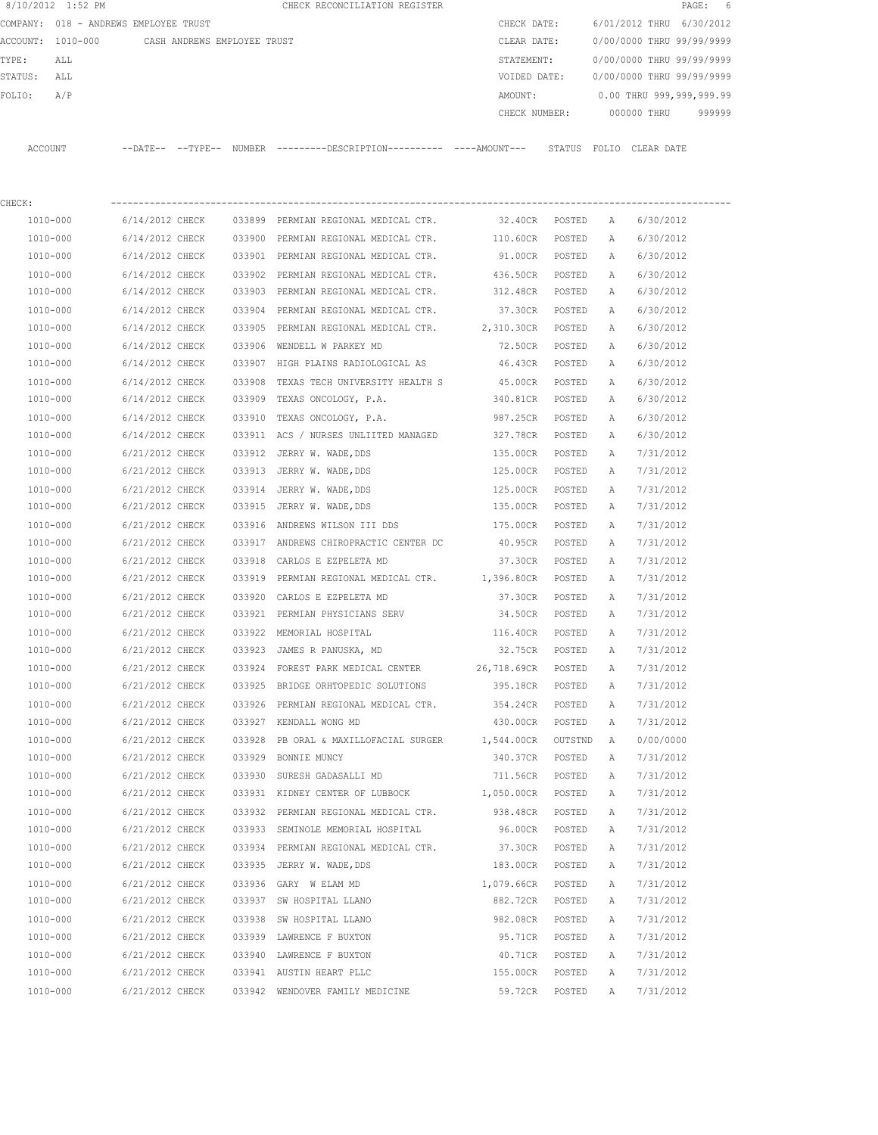|         | 8/10/2012 1:52 PM                     |                             |        | CHECK RECONCILIATION REGISTER                                                               |                 |        |              |                           | PAGE:<br>6 |
|---------|---------------------------------------|-----------------------------|--------|---------------------------------------------------------------------------------------------|-----------------|--------|--------------|---------------------------|------------|
|         | COMPANY: 018 - ANDREWS EMPLOYEE TRUST |                             |        |                                                                                             | CHECK DATE:     |        |              | 6/01/2012 THRU 6/30/2012  |            |
|         | ACCOUNT: 1010-000                     | CASH ANDREWS EMPLOYEE TRUST |        |                                                                                             | CLEAR DATE:     |        |              | 0/00/0000 THRU 99/99/9999 |            |
| TYPE:   | ALL                                   |                             |        |                                                                                             | STATEMENT:      |        |              | 0/00/0000 THRU 99/99/9999 |            |
| STATUS: | ALL                                   |                             |        |                                                                                             | VOIDED DATE:    |        |              | 0/00/0000 THRU 99/99/9999 |            |
| FOLIO:  | A/P                                   |                             |        |                                                                                             | AMOUNT:         |        |              | 0.00 THRU 999,999,999.99  |            |
|         |                                       |                             |        |                                                                                             | CHECK NUMBER:   |        |              | 000000 THRU               | 999999     |
|         | ACCOUNT                               |                             |        | --DATE-- --TYPE-- NUMBER --------DESCRIPTION--------- ----AMOUNT--- STATUS FOLIO CLEAR-DATE |                 |        |              |                           |            |
| CHECK:  |                                       |                             |        |                                                                                             |                 |        |              |                           |            |
|         | 1010-000                              | 6/14/2012 CHECK             |        | 033899 PERMIAN REGIONAL MEDICAL CTR.                                                        | 32.40CR POSTED  |        | A            | 6/30/2012                 |            |
|         | 1010-000                              | 6/14/2012 CHECK             |        | 033900 PERMIAN REGIONAL MEDICAL CTR. 110.60CR                                               |                 | POSTED | A            | 6/30/2012                 |            |
|         | 1010-000                              | 6/14/2012 CHECK             |        | 033901 PERMIAN REGIONAL MEDICAL CTR.                                                        | 91.00CR         | POSTED | Α            | 6/30/2012                 |            |
|         | 1010-000                              | 6/14/2012 CHECK             |        | 033902 PERMIAN REGIONAL MEDICAL CTR.                                                        | 436.50CR POSTED |        | Α            | 6/30/2012                 |            |
|         | 1010-000                              | 6/14/2012 CHECK             |        | 033903 PERMIAN REGIONAL MEDICAL CTR.                                                        | 312.48CR POSTED |        | Α            | 6/30/2012                 |            |
|         | 1010-000                              | 6/14/2012 CHECK             |        | 033904 PERMIAN REGIONAL MEDICAL CTR.                                                        | 37.30CR         | POSTED | A            | 6/30/2012                 |            |
|         | 1010-000                              | 6/14/2012 CHECK             |        | 033905 PERMIAN REGIONAL MEDICAL CTR. 2,310.30CR                                             |                 | POSTED | Α            | 6/30/2012                 |            |
|         | 1010-000                              | 6/14/2012 CHECK             |        | 033906 WENDELL W PARKEY MD                                                                  | 72.50CR         | POSTED | Α            | 6/30/2012                 |            |
|         | 1010-000                              | 6/14/2012 CHECK             |        | 033907 HIGH PLAINS RADIOLOGICAL AS                                                          | 46.43CR         | POSTED | Α            | 6/30/2012                 |            |
|         | 1010-000                              | 6/14/2012 CHECK             | 033908 | TEXAS TECH UNIVERSITY HEALTH S 45.00CR                                                      |                 | POSTED | Α            | 6/30/2012                 |            |
|         | 1010-000                              | 6/14/2012 CHECK             | 033909 | TEXAS ONCOLOGY, P.A.                                                                        | 340.81CR        | POSTED | А            | 6/30/2012                 |            |
|         | 1010-000                              | 6/14/2012 CHECK             | 033910 | TEXAS ONCOLOGY, P.A.                                                                        | 987.25CR        | POSTED | Α            | 6/30/2012                 |            |
|         | 1010-000                              | 6/14/2012 CHECK             |        | 033911 ACS / NURSES UNLIITED MANAGED                                                        | 327.78CR        | POSTED | Α            | 6/30/2012                 |            |
|         | 1010-000                              | 6/21/2012 CHECK             |        | 033912 JERRY W. WADE, DDS                                                                   | 135.00CR        | POSTED | Α            | 7/31/2012                 |            |
|         | 1010-000                              | 6/21/2012 CHECK             |        | 033913 JERRY W. WADE, DDS                                                                   | 125.00CR        | POSTED | Α            | 7/31/2012                 |            |
|         | 1010-000                              | 6/21/2012 CHECK             |        | 033914 JERRY W. WADE, DDS                                                                   | 125.00CR        | POSTED | Α            | 7/31/2012                 |            |
|         | 1010-000                              | 6/21/2012 CHECK             |        | 033915 JERRY W. WADE, DDS                                                                   | 135.00CR        | POSTED | Α            | 7/31/2012                 |            |
|         | 1010-000                              | 6/21/2012 CHECK             | 033916 | ANDREWS WILSON III DDS                                                                      | 175.00CR        | POSTED | Α            | 7/31/2012                 |            |
|         | 1010-000                              | 6/21/2012 CHECK             |        | 033917 ANDREWS CHIROPRACTIC CENTER DC                                                       | 40.95CR         | POSTED | Α            | 7/31/2012                 |            |
|         | 1010-000                              | 6/21/2012 CHECK             | 033918 | CARLOS E EZPELETA MD                                                                        | 37.30CR         | POSTED | Α            | 7/31/2012                 |            |
|         | 1010-000                              | 6/21/2012 CHECK             | 033919 | PERMIAN REGIONAL MEDICAL CTR. 1,396.80CR                                                    |                 | POSTED | А            | 7/31/2012                 |            |
|         | 1010-000                              | 6/21/2012 CHECK             | 033920 | CARLOS E EZPELETA MD                                                                        | 37.30CR         | POSTED | А            | 7/31/2012                 |            |
|         | 1010-000                              | 6/21/2012 CHECK             |        | 033921 PERMIAN PHYSICIANS SERV                                                              | 34.50CR         | POSTED | Α            | 7/31/2012                 |            |
|         | 1010-000                              | 6/21/2012 CHECK             |        | 033922 MEMORIAL HOSPITAL                                                                    | 116.40CR        | POSTED | $\mathbb{A}$ | 7/31/2012                 |            |
|         | 1010-000                              | 6/21/2012 CHECK             |        | 033923 JAMES R PANUSKA, MD                                                                  | 32.75CR         | POSTED | Α            | 7/31/2012                 |            |
|         | 1010-000                              | 6/21/2012 CHECK             |        | 033924 FOREST PARK MEDICAL CENTER 26,718.69CR                                               |                 | POSTED | Α            | 7/31/2012                 |            |
|         | 1010-000                              | 6/21/2012 CHECK             |        | 033925 BRIDGE ORHTOPEDIC SOLUTIONS                                                          | 395.18CR        | POSTED | Α            | 7/31/2012                 |            |
|         | $1010 - 000$                          | 6/21/2012 CHECK             |        | 033926 PERMIAN REGIONAL MEDICAL CTR.                                                        | 354.24CR        | POSTED | Α            | 7/31/2012                 |            |
|         | 1010-000                              | 6/21/2012 CHECK             |        | 033927 KENDALL WONG MD                                                                      | 430.00CR        | POSTED | Α            | 7/31/2012                 |            |
|         | 1010-000                              | 6/21/2012 CHECK             |        | 033928 PB ORAL & MAXILLOFACIAL SURGER 1,544.00CR OUTSTND                                    |                 |        | A            | 0/00/0000                 |            |
|         | 1010-000                              | 6/21/2012 CHECK             |        | 033929 BONNIE MUNCY                                                                         | 340.37CR        | POSTED | Α            | 7/31/2012                 |            |
|         | $1010 - 000$                          | 6/21/2012 CHECK             |        | 033930 SURESH GADASALLI MD                                                                  | 711.56CR        | POSTED | Α            | 7/31/2012                 |            |
|         | 1010-000                              | 6/21/2012 CHECK             |        | 033931 KIDNEY CENTER OF LUBBOCK                                                             | 1,050.00CR      | POSTED | Α            | 7/31/2012                 |            |
|         | 1010-000                              | 6/21/2012 CHECK             |        | 033932 PERMIAN REGIONAL MEDICAL CTR.                                                        | 938.48CR        | POSTED | Α            | 7/31/2012                 |            |
|         | 1010-000                              | 6/21/2012 CHECK             |        | 033933 SEMINOLE MEMORIAL HOSPITAL                                                           | 96.00CR         | POSTED | Α            | 7/31/2012                 |            |
|         | 1010-000                              | 6/21/2012 CHECK             |        | 033934 PERMIAN REGIONAL MEDICAL CTR. 37.30CR                                                |                 | POSTED | Α            | 7/31/2012                 |            |
|         | 1010-000                              | 6/21/2012 CHECK             |        | 033935 JERRY W. WADE, DDS                                                                   | 183.00CR        | POSTED | Α            | 7/31/2012                 |            |
|         | 1010-000                              | 6/21/2012 CHECK             |        | 033936 GARY W ELAM MD                                                                       | 1,079.66CR      | POSTED | Α            | 7/31/2012                 |            |
|         | 1010-000                              | 6/21/2012 CHECK             |        | 033937 SW HOSPITAL LLANO                                                                    | 882.72CR        | POSTED | Α            | 7/31/2012                 |            |
|         | 1010-000                              | 6/21/2012 CHECK             |        | 033938 SW HOSPITAL LLANO                                                                    | 982.08CR        | POSTED | Α            | 7/31/2012                 |            |
|         | 1010-000                              | 6/21/2012 CHECK             |        | 033939 LAWRENCE F BUXTON                                                                    | 95.71CR         | POSTED | Α            | 7/31/2012                 |            |
|         | 1010-000                              | 6/21/2012 CHECK             |        | 033940 LAWRENCE F BUXTON                                                                    | 40.71CR         | POSTED | Α            | 7/31/2012                 |            |
|         | 1010-000                              | 6/21/2012 CHECK             |        | 033941 AUSTIN HEART PLLC                                                                    | 155.00CR POSTED |        | Α            | 7/31/2012                 |            |
|         | 1010-000                              | 6/21/2012 CHECK             |        | 033942 WENDOVER FAMILY MEDICINE                                                             | 59.72CR         | POSTED | Α            | 7/31/2012                 |            |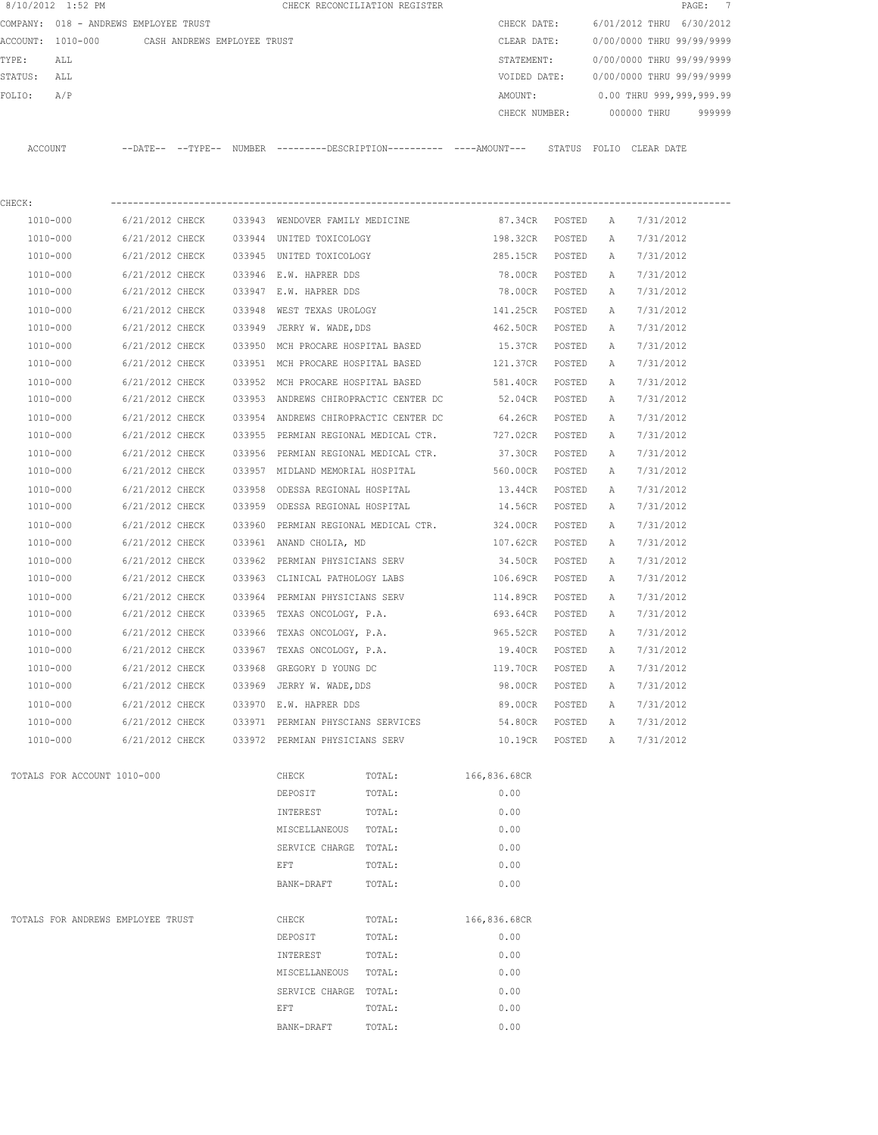|         | 8/10/2012 1:52 PM                     |                             |        |                                       | CHECK RECONCILIATION REGISTER                                                               |                |        |   |                           | $\overline{7}$<br>$\texttt{PAGE}$ : |
|---------|---------------------------------------|-----------------------------|--------|---------------------------------------|---------------------------------------------------------------------------------------------|----------------|--------|---|---------------------------|-------------------------------------|
|         | COMPANY: 018 - ANDREWS EMPLOYEE TRUST |                             |        |                                       |                                                                                             | CHECK DATE:    |        |   | 6/01/2012 THRU 6/30/2012  |                                     |
|         | ACCOUNT: 1010-000                     | CASH ANDREWS EMPLOYEE TRUST |        |                                       |                                                                                             | CLEAR DATE:    |        |   | 0/00/0000 THRU 99/99/9999 |                                     |
| TYPE:   | ALL                                   |                             |        |                                       |                                                                                             | STATEMENT:     |        |   | 0/00/0000 THRU 99/99/9999 |                                     |
| STATUS: | ALL                                   |                             |        |                                       |                                                                                             | VOIDED DATE:   |        |   | 0/00/0000 THRU 99/99/9999 |                                     |
| FOLIO:  | A/P                                   |                             |        |                                       |                                                                                             | AMOUNT:        |        |   | 0.00 THRU 999,999,999.99  |                                     |
|         |                                       |                             |        |                                       |                                                                                             | CHECK NUMBER:  |        |   | 000000 THRU               | 999999                              |
|         | ACCOUNT                               |                             |        |                                       | --DATE-- --TYPE-- NUMBER ---------DESCRIPTION--------- ----AMOUNT--- STATUS FOLIO CLEARDATE |                |        |   |                           |                                     |
| CHECK:  |                                       |                             |        |                                       |                                                                                             |                |        |   |                           |                                     |
|         | 1010-000                              | 6/21/2012 CHECK             |        | 033943 WENDOVER FAMILY MEDICINE       |                                                                                             | 87.34CR POSTED |        | Α | 7/31/2012                 |                                     |
|         | 1010-000                              | 6/21/2012 CHECK             |        | 033944 UNITED TOXICOLOGY              |                                                                                             | 198.32CR       | POSTED | Α | 7/31/2012                 |                                     |
|         | 1010-000                              | 6/21/2012 CHECK             |        | 033945 UNITED TOXICOLOGY              |                                                                                             | 285.15CR       | POSTED | Α | 7/31/2012                 |                                     |
|         | 1010-000                              | 6/21/2012 CHECK             |        | 033946 E.W. HAPRER DDS                |                                                                                             | 78.00CR        | POSTED | Α | 7/31/2012                 |                                     |
|         | 1010-000                              | 6/21/2012 CHECK             |        | 033947 E.W. HAPRER DDS                |                                                                                             | 78.00CR        | POSTED | Α | 7/31/2012                 |                                     |
|         | 1010-000                              | 6/21/2012 CHECK             |        | 033948 WEST TEXAS UROLOGY             |                                                                                             | 141.25CR       | POSTED | Α | 7/31/2012                 |                                     |
|         | 1010-000                              | 6/21/2012 CHECK             |        | 033949 JERRY W. WADE, DDS             |                                                                                             | 462.50CR       | POSTED | Α | 7/31/2012                 |                                     |
|         | 1010-000                              | 6/21/2012 CHECK             | 033950 | MCH PROCARE HOSPITAL BASED            |                                                                                             | 15.37CR        | POSTED | A | 7/31/2012                 |                                     |
|         | 1010-000                              | 6/21/2012 CHECK             |        |                                       | 033951 MCH PROCARE HOSPITAL BASED                                                           | 121.37CR       | POSTED | Α | 7/31/2012                 |                                     |
|         | 1010-000                              | 6/21/2012 CHECK             |        |                                       | 033952 MCH PROCARE HOSPITAL BASED                                                           | 581.40CR       | POSTED | Α | 7/31/2012                 |                                     |
|         | 1010-000                              | 6/21/2012 CHECK             |        | 033953 ANDREWS CHIROPRACTIC CENTER DC |                                                                                             | 52.04CR        | POSTED | Α | 7/31/2012                 |                                     |
|         | 1010-000                              | 6/21/2012 CHECK             |        | 033954 ANDREWS CHIROPRACTIC CENTER DC |                                                                                             | 64.26CR        | POSTED | Α | 7/31/2012                 |                                     |
|         | 1010-000                              | 6/21/2012 CHECK             |        |                                       | 033955 PERMIAN REGIONAL MEDICAL CTR.                                                        | 727.02CR       | POSTED | Α | 7/31/2012                 |                                     |
|         | 1010-000                              | 6/21/2012 CHECK             | 033956 | PERMIAN REGIONAL MEDICAL CTR.         |                                                                                             | 37.30CR        | POSTED | Α | 7/31/2012                 |                                     |
|         | 1010-000                              | 6/21/2012 CHECK             |        | 033957 MIDLAND MEMORIAL HOSPITAL      |                                                                                             | 560.00CR       | POSTED | Α | 7/31/2012                 |                                     |
|         | 1010-000                              | 6/21/2012 CHECK             |        | 033958 ODESSA REGIONAL HOSPITAL       |                                                                                             | 13.44CR        | POSTED | Α | 7/31/2012                 |                                     |
|         | 1010-000                              | 6/21/2012 CHECK             |        | 033959 ODESSA REGIONAL HOSPITAL       |                                                                                             | 14.56CR        | POSTED | Α | 7/31/2012                 |                                     |
|         | 1010-000                              | 6/21/2012 CHECK             | 033960 |                                       | PERMIAN REGIONAL MEDICAL CTR.                                                               | 324.00CR       | POSTED | Α | 7/31/2012                 |                                     |
|         | 1010-000                              | 6/21/2012 CHECK             |        | 033961 ANAND CHOLIA, MD               |                                                                                             | 107.62CR       | POSTED | Α | 7/31/2012                 |                                     |
|         | 1010-000                              | 6/21/2012 CHECK             |        | 033962 PERMIAN PHYSICIANS SERV        |                                                                                             | 34.50CR        | POSTED | Α | 7/31/2012                 |                                     |
|         | 1010-000                              | 6/21/2012 CHECK             |        | 033963 CLINICAL PATHOLOGY LABS        |                                                                                             | 106.69CR       | POSTED | Α | 7/31/2012                 |                                     |
|         | 1010-000                              | 6/21/2012 CHECK             |        | 033964 PERMIAN PHYSICIANS SERV        |                                                                                             | 114.89CR       | POSTED | Α | 7/31/2012                 |                                     |
|         | 1010-000                              | 6/21/2012 CHECK             |        | 033965 TEXAS ONCOLOGY, P.A.           |                                                                                             | 693.64CR       | POSTED | Α | 7/31/2012                 |                                     |
|         | 1010-000                              | 6/21/2012 CHECK             |        |                                       | 033966 TEXAS ONCOLOGY, P.A.                                                                 | 965.52CR       | POSTED | Α | 7/31/2012                 |                                     |
|         | 1010-000                              | 6/21/2012 CHECK             |        | 033967 TEXAS ONCOLOGY, P.A.           |                                                                                             | 19.40CR        | POSTED | Α | 7/31/2012                 |                                     |
|         | 1010-000                              | 6/21/2012 CHECK             |        | 033968 GREGORY D YOUNG DC             |                                                                                             | 119.70CR       | POSTED | Α | 7/31/2012                 |                                     |
|         | 1010-000                              | 6/21/2012 CHECK             |        | 033969 JERRY W. WADE, DDS             |                                                                                             | 98.00CR        | POSTED | Α | 7/31/2012                 |                                     |
|         | 1010-000                              | 6/21/2012 CHECK             |        | 033970 E.W. HAPRER DDS                |                                                                                             | 89.00CR        | POSTED | Α | 7/31/2012                 |                                     |
|         | 1010-000                              | 6/21/2012 CHECK             |        | 033971 PERMIAN PHYSCIANS SERVICES     |                                                                                             | 54.80CR POSTED |        | Α | 7/31/2012                 |                                     |
|         | 1010-000                              | 6/21/2012 CHECK             |        | 033972 PERMIAN PHYSICIANS SERV        |                                                                                             | 10.19CR POSTED |        | A | 7/31/2012                 |                                     |
|         | TOTALS FOR ACCOUNT 1010-000           |                             |        | CHECK                                 | TOTAL:                                                                                      | 166,836.68CR   |        |   |                           |                                     |
|         |                                       |                             |        | DEPOSIT                               | TOTAL:                                                                                      | 0.00           |        |   |                           |                                     |
|         |                                       |                             |        | INTEREST                              | TOTAL:                                                                                      | 0.00           |        |   |                           |                                     |
|         |                                       |                             |        | MISCELLANEOUS                         | TOTAL:                                                                                      | 0.00           |        |   |                           |                                     |
|         |                                       |                             |        | SERVICE CHARGE TOTAL:                 |                                                                                             | 0.00           |        |   |                           |                                     |
|         |                                       |                             |        | EFT                                   | TOTAL:                                                                                      | 0.00           |        |   |                           |                                     |
|         |                                       |                             |        | BANK-DRAFT                            | TOTAL:                                                                                      | 0.00           |        |   |                           |                                     |
|         | TOTALS FOR ANDREWS EMPLOYEE TRUST     |                             |        | CHECK                                 | TOTAL:                                                                                      | 166,836.68CR   |        |   |                           |                                     |
|         |                                       |                             |        | DEPOSIT                               | TOTAL:                                                                                      | 0.00           |        |   |                           |                                     |
|         |                                       |                             |        | INTEREST                              | TOTAL:                                                                                      | 0.00           |        |   |                           |                                     |
|         |                                       |                             |        | MISCELLANEOUS                         | TOTAL:                                                                                      | 0.00           |        |   |                           |                                     |
|         |                                       |                             |        | SERVICE CHARGE TOTAL:                 |                                                                                             | 0.00           |        |   |                           |                                     |
|         |                                       |                             |        | EFT                                   | TOTAL:                                                                                      | 0.00           |        |   |                           |                                     |
|         |                                       |                             |        | BANK-DRAFT                            | TOTAL:                                                                                      | 0.00           |        |   |                           |                                     |
|         |                                       |                             |        |                                       |                                                                                             |                |        |   |                           |                                     |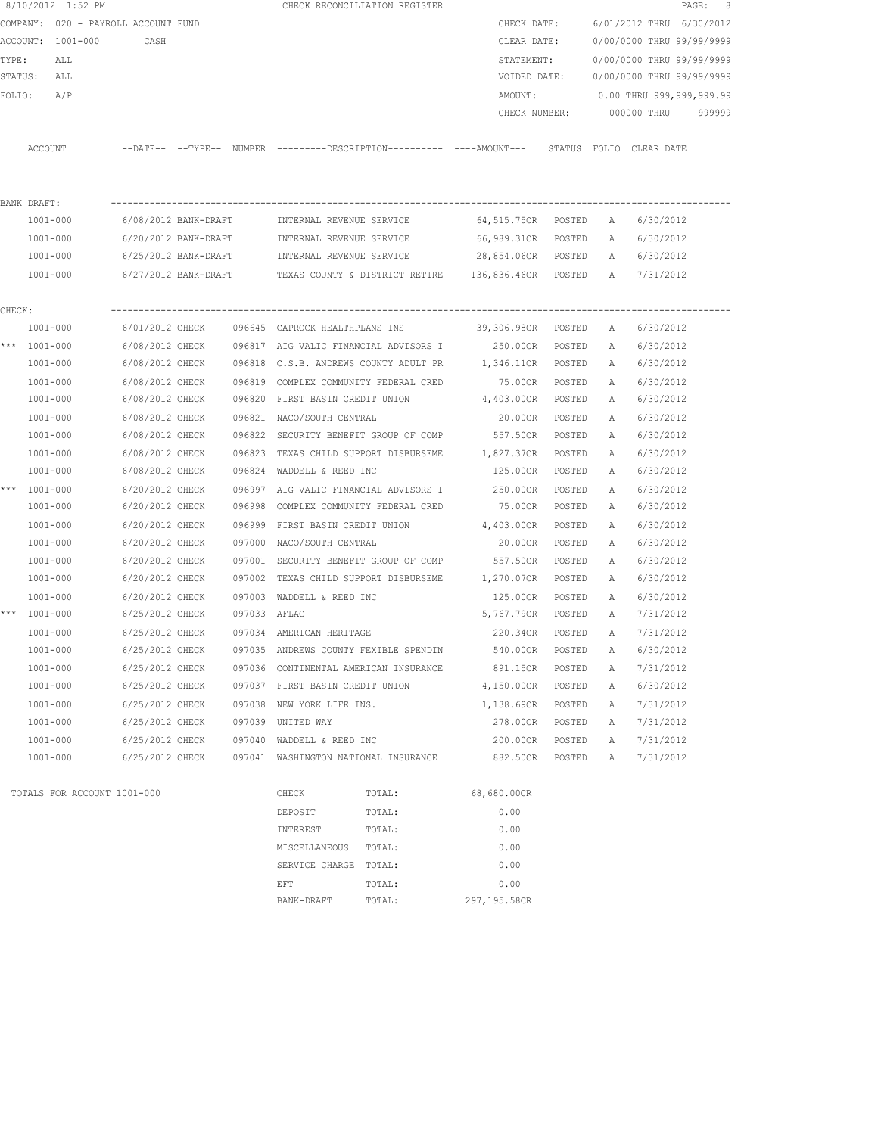|        | 8/10/2012 1:52 PM                   |                      |              |                                       | CHECK RECONCILIATION REGISTER                  |                                                                                            |        |   |                           | PAGE: 8 |
|--------|-------------------------------------|----------------------|--------------|---------------------------------------|------------------------------------------------|--------------------------------------------------------------------------------------------|--------|---|---------------------------|---------|
|        | COMPANY: 020 - PAYROLL ACCOUNT FUND |                      |              |                                       |                                                | CHECK DATE:                                                                                |        |   | 6/01/2012 THRU 6/30/2012  |         |
|        | ACCOUNT: 1001-000                   | CASH                 |              |                                       |                                                | CLEAR DATE:                                                                                |        |   | 0/00/0000 THRU 99/99/9999 |         |
| TYPE:  | ALL                                 |                      |              |                                       |                                                | STATEMENT:                                                                                 |        |   | 0/00/0000 THRU 99/99/9999 |         |
|        | STATUS:<br>ALL                      |                      |              |                                       |                                                | VOIDED DATE:                                                                               |        |   | 0/00/0000 THRU 99/99/9999 |         |
| FOLIO: | A/P                                 |                      |              |                                       |                                                | AMOUNT:                                                                                    |        |   | 0.00 THRU 999,999,999.99  |         |
|        |                                     |                      |              |                                       |                                                | CHECK NUMBER:                                                                              |        |   | 000000 THRU               | 999999  |
|        | ACCOUNT                             |                      |              |                                       |                                                | --DATE-- --TYPE-- NUMBER --------DESCRIPTION---------- ---AMOUNT--- STATUS FOLIO CLEARDATE |        |   |                           |         |
|        |                                     |                      |              |                                       |                                                |                                                                                            |        |   |                           |         |
|        | BANK DRAFT:                         |                      |              |                                       |                                                |                                                                                            |        |   |                           |         |
|        | 1001-000                            | 6/08/2012 BANK-DRAFT |              | INTERNAL REVENUE SERVICE              |                                                | 64,515.75CR POSTED                                                                         |        | A | 6/30/2012                 |         |
|        | 1001-000                            | 6/20/2012 BANK-DRAFT |              | INTERNAL REVENUE SERVICE              |                                                | 66,989.31CR POSTED                                                                         |        | A | 6/30/2012                 |         |
|        | 1001-000                            | 6/25/2012 BANK-DRAFT |              | INTERNAL REVENUE SERVICE              |                                                | 28,854.06CR POSTED                                                                         |        | A | 6/30/2012                 |         |
|        | 1001-000                            |                      |              |                                       |                                                | $6/27/2012$ BANK-DRAFT TEXAS COUNTY & DISTRICT RETIRE 136,836.46CR POSTED                  |        | A | 7/31/2012                 |         |
| CHECK: |                                     |                      |              |                                       |                                                |                                                                                            |        |   |                           |         |
|        | 1001-000                            | 6/01/2012 CHECK      |              |                                       |                                                | 096645 CAPROCK HEALTHPLANS INS 39,306.98CR POSTED                                          |        | A | 6/30/2012                 |         |
|        | *** 1001-000                        | 6/08/2012 CHECK      |              |                                       | 096817 AIG VALIC FINANCIAL ADVISORS I 250.00CR |                                                                                            | POSTED | A | 6/30/2012                 |         |
|        | 1001-000                            | 6/08/2012 CHECK      |              |                                       |                                                | 096818 C.S.B. ANDREWS COUNTY ADULT PR 1,346.11CR POSTED                                    |        | A | 6/30/2012                 |         |
|        | 1001-000                            | 6/08/2012 CHECK      | 096819       |                                       | COMPLEX COMMUNITY FEDERAL CRED                 | 75.00CR                                                                                    | POSTED | Α | 6/30/2012                 |         |
|        | 1001-000                            | 6/08/2012 CHECK      | 096820       | FIRST BASIN CREDIT UNION              |                                                | 4,403.00CR                                                                                 | POSTED | А | 6/30/2012                 |         |
|        | 1001-000                            | 6/08/2012 CHECK      |              | 096821 NACO/SOUTH CENTRAL             |                                                | 20.00CR                                                                                    | POSTED | Α | 6/30/2012                 |         |
|        | 1001-000                            | 6/08/2012 CHECK      | 096822       |                                       | SECURITY BENEFIT GROUP OF COMP                 | 557.50CR                                                                                   | POSTED | А | 6/30/2012                 |         |
|        | 1001-000                            | 6/08/2012 CHECK      |              |                                       | 096823 TEXAS CHILD SUPPORT DISBURSEME          | 1,827.37CR                                                                                 | POSTED | Α | 6/30/2012                 |         |
|        | 1001-000                            | 6/08/2012 CHECK      |              | 096824 WADDELL & REED INC             |                                                | 125.00CR                                                                                   | POSTED | Α | 6/30/2012                 |         |
|        | *** 1001-000                        | 6/20/2012 CHECK      |              | 096997 AIG VALIC FINANCIAL ADVISORS I |                                                | 250.00CR                                                                                   | POSTED | А | 6/30/2012                 |         |
|        | 1001-000                            | 6/20/2012 CHECK      | 096998       |                                       | COMPLEX COMMUNITY FEDERAL CRED                 | 75.00CR                                                                                    | POSTED | А | 6/30/2012                 |         |
|        | 1001-000                            | 6/20/2012 CHECK      | 096999       | FIRST BASIN CREDIT UNION              |                                                | 4,403.00CR                                                                                 | POSTED | А | 6/30/2012                 |         |
|        | 1001-000                            | 6/20/2012 CHECK      | 097000       | NACO/SOUTH CENTRAL                    |                                                | 20.00CR                                                                                    | POSTED | Α | 6/30/2012                 |         |
|        | $1001 - 000$                        | 6/20/2012 CHECK      | 097001       |                                       | SECURITY BENEFIT GROUP OF COMP                 | 557.50CR                                                                                   | POSTED | Α | 6/30/2012                 |         |
|        | 1001-000                            | 6/20/2012 CHECK      | 097002       |                                       | TEXAS CHILD SUPPORT DISBURSEME 1,270.07CR      |                                                                                            | POSTED | A | 6/30/2012                 |         |
|        | 1001-000                            | 6/20/2012 CHECK      |              | 097003 WADDELL & REED INC             |                                                | 125.00CR                                                                                   | POSTED | Α | 6/30/2012                 |         |
|        | *** 1001-000                        | 6/25/2012 CHECK      | 097033 AFLAC |                                       |                                                | 5,767.79CR                                                                                 | POSTED | A | 7/31/2012                 |         |
|        | 1001-000                            | 6/25/2012 CHECK      |              | 097034 AMERICAN HERITAGE              |                                                | 220.34CR                                                                                   | POSTED | Α | 7/31/2012                 |         |
|        | 1001-000                            | 6/25/2012 CHECK      |              | 097035 ANDREWS COUNTY FEXIBLE SPENDIN |                                                | 540.00CR                                                                                   | POSTED | Α | 6/30/2012                 |         |
|        | 1001-000                            | 6/25/2012 CHECK      |              | 097036 CONTINENTAL AMERICAN INSURANCE |                                                | 891.15CR                                                                                   | POSTED | Α | 7/31/2012                 |         |
|        | 1001-000                            | 6/25/2012 CHECK      |              | 097037 FIRST BASIN CREDIT UNION       |                                                | 4,150.00CR                                                                                 | POSTED | Α | 6/30/2012                 |         |
|        | 1001-000                            | 6/25/2012 CHECK      | 097038       | NEW YORK LIFE INS.                    |                                                | 1,138.69CR                                                                                 | POSTED | Α | 7/31/2012                 |         |
|        | 1001-000                            | 6/25/2012 CHECK      | 097039       | UNITED WAY                            |                                                | 278.00CR                                                                                   | POSTED | А | 7/31/2012                 |         |
|        | 1001-000                            | 6/25/2012 CHECK      | 097040       | WADDELL & REED INC                    |                                                | 200.00CR                                                                                   | POSTED | Α | 7/31/2012                 |         |
|        | $1001 - 000$                        | 6/25/2012 CHECK      |              | 097041 WASHINGTON NATIONAL INSURANCE  |                                                | 882.50CR                                                                                   | POSTED | Α | 7/31/2012                 |         |
|        | TOTALS FOR ACCOUNT 1001-000         |                      |              | CHECK                                 | TOTAL:                                         | 68,680.00CR                                                                                |        |   |                           |         |
|        |                                     |                      |              | DEPOSIT                               | TOTAL:                                         | 0.00                                                                                       |        |   |                           |         |
|        |                                     |                      |              | INTEREST                              | TOTAL:                                         | 0.00                                                                                       |        |   |                           |         |
|        |                                     |                      |              | MISCELLANEOUS                         | TOTAL:                                         | 0.00                                                                                       |        |   |                           |         |
|        |                                     |                      |              | SERVICE CHARGE TOTAL:                 |                                                | 0.00                                                                                       |        |   |                           |         |
|        |                                     |                      |              |                                       |                                                |                                                                                            |        |   |                           |         |

extermination of the extent of the extent of  $\Gamma$  to  $\Gamma$  of  $\Gamma$  . One of  $\Gamma$  or  $\Gamma$  or  $\Gamma$  or  $\Gamma$  or  $\Gamma$  or  $\Gamma$  or  $\Gamma$  or  $\Gamma$  or  $\Gamma$  or  $\Gamma$  or  $\Gamma$  or  $\Gamma$  or  $\Gamma$  or  $\Gamma$  or  $\Gamma$  or  $\Gamma$  or  $\Gamma$  or  $\Gamma$  or  $\Gamma$ BANK-DRAFT TOTAL: 297,195.58CR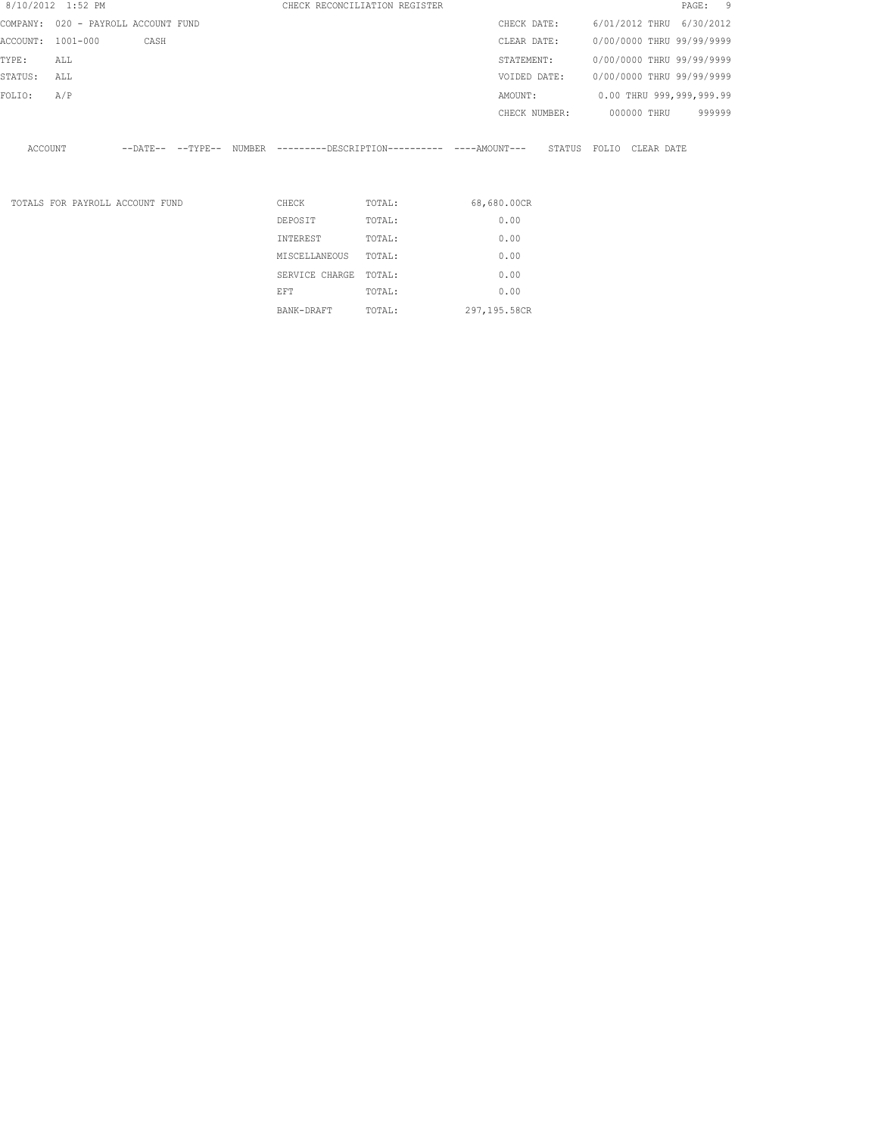| 8/10/2012 1:52 PM                   |          |                                 |                            |                | CHECK RECONCILIATION REGISTER                       |               |              |             | PAGE:                     | - 9    |
|-------------------------------------|----------|---------------------------------|----------------------------|----------------|-----------------------------------------------------|---------------|--------------|-------------|---------------------------|--------|
| COMPANY: 020 - PAYROLL ACCOUNT FUND |          |                                 |                            |                |                                                     | CHECK DATE:   |              |             | 6/01/2012 THRU 6/30/2012  |        |
| ACCOUNT:                            | 1001-000 | CASH                            |                            |                |                                                     | CLEAR DATE:   |              |             | 0/00/0000 THRU 99/99/9999 |        |
| TYPE:                               | ALL      |                                 |                            |                |                                                     | STATEMENT:    |              |             | 0/00/0000 THRU 99/99/9999 |        |
| STATUS:                             | ALL      |                                 |                            |                |                                                     | VOIDED DATE:  |              |             | 0/00/0000 THRU 99/99/9999 |        |
| FOLIO:                              | A/P      |                                 |                            |                |                                                     | AMOUNT:       |              |             | 0.00 THRU 999,999,999.99  |        |
|                                     |          |                                 |                            |                |                                                     | CHECK NUMBER: |              | 000000 THRU |                           | 999999 |
| ACCOUNT                             |          |                                 | $--$ DATE $- --$ TYPE $--$ |                | NUMBER ---------DESCRIPTION---------- ----AMOUNT--- |               | STATUS FOLIO | CLEAR DATE  |                           |        |
|                                     |          | TOTALS FOR PAYROLL ACCOUNT FUND |                            | CHECK          | TOTAL:                                              | 68,680.00CR   |              |             |                           |        |
|                                     |          |                                 |                            | DEPOSIT        | TOTAL:                                              | 0.00          |              |             |                           |        |
|                                     |          |                                 |                            | INTEREST       | TOTAL:                                              | 0.00          |              |             |                           |        |
|                                     |          |                                 |                            | MISCELLANEOUS  | TOTAL:                                              | 0.00          |              |             |                           |        |
|                                     |          |                                 |                            | SERVICE CHARGE | TOTAL:                                              | 0.00          |              |             |                           |        |
|                                     |          |                                 |                            | EFT            | TOTAL:                                              | 0.00          |              |             |                           |        |

BANK-DRAFT TOTAL: 297,195.58CR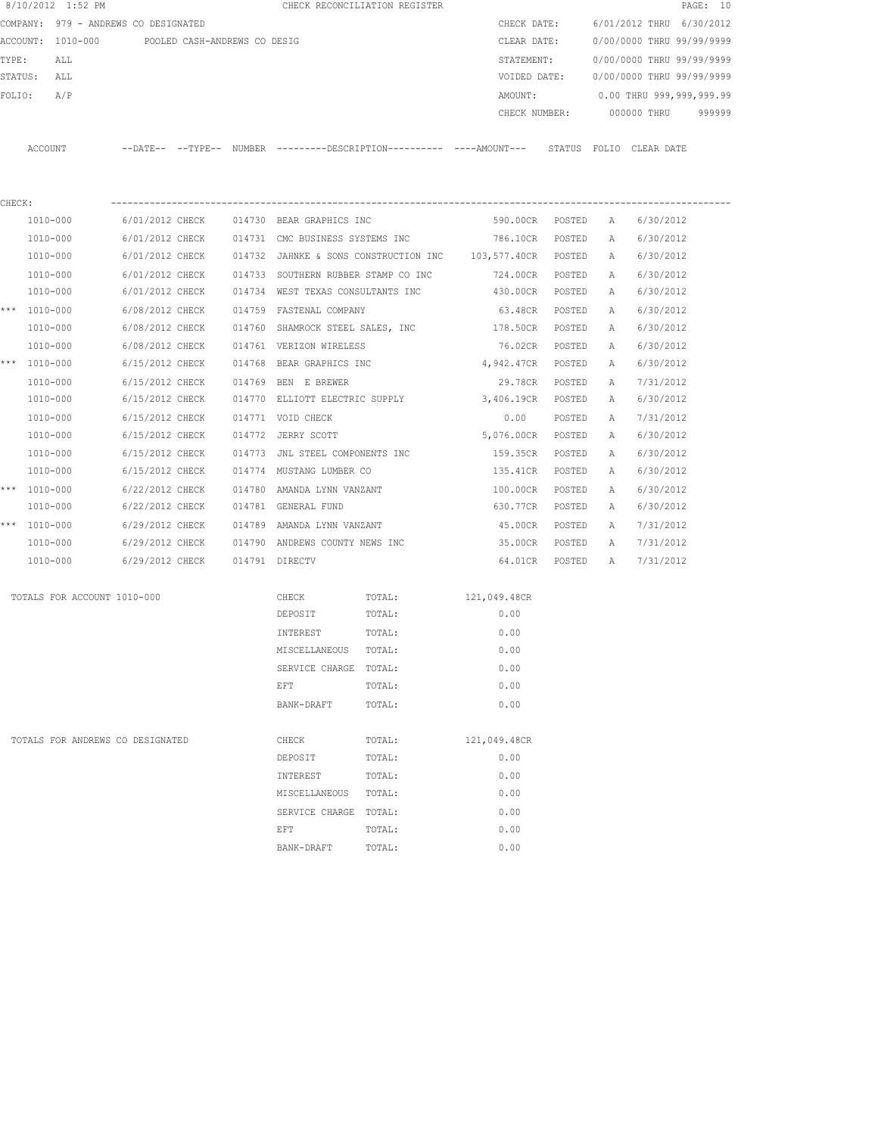|         | 8/10/2012 1:52 PM                    |                            |                              |               | CHECK RECONCILIATION REGISTER                |               |        |                           | PAGE: 10 |  |
|---------|--------------------------------------|----------------------------|------------------------------|---------------|----------------------------------------------|---------------|--------|---------------------------|----------|--|
|         | COMPANY: 979 - ANDREWS CO DESIGNATED |                            |                              |               |                                              | CHECK DATE:   |        | 6/01/2012 THRU 6/30/2012  |          |  |
|         | ACCOUNT: 1010-000                    |                            | POOLED CASH-ANDREWS CO DESIG |               |                                              | CLEAR DATE:   |        | 0/00/0000 THRU 99/99/9999 |          |  |
| TYPE:   | ALL                                  |                            |                              |               |                                              | STATEMENT:    |        | 0/00/0000 THRU 99/99/9999 |          |  |
| STATUS: | ALL                                  |                            |                              |               |                                              | VOIDED DATE:  |        | 0/00/0000 THRU 99/99/9999 |          |  |
| FOLIO:  | A/P                                  |                            |                              |               |                                              | AMOUNT:       |        | 0.00 THRU 999,999,999.99  |          |  |
|         |                                      |                            |                              |               |                                              | CHECK NUMBER: |        | 000000 THRU               | 999999   |  |
|         |                                      |                            |                              |               |                                              |               |        |                           |          |  |
| ACCOUNT |                                      | $--$ DATE $- --$ TYPE $--$ |                              | <b>NUMBER</b> | ---------DESCRIPTION---------- ----AMOUNT--- |               | STATUS | FOLIO CLEAR DATE          |          |  |
|         |                                      |                            |                              |               |                                              |               |        |                           |          |  |

| CHECK: |                                  |                 |                                |                                                                                                                |                                                                    |              |          |   |           |
|--------|----------------------------------|-----------------|--------------------------------|----------------------------------------------------------------------------------------------------------------|--------------------------------------------------------------------|--------------|----------|---|-----------|
|        | 1010-000                         | 6/01/2012 CHECK |                                | 014730 BEAR GRAPHICS INC                                                                                       |                                                                    | 590.00CR     | POSTED   | A | 6/30/2012 |
|        | 1010-000                         |                 |                                |                                                                                                                | 6/01/2012 CHECK 014731 CMC BUSINESS SYSTEMS INC 786.10CR           |              | POSTED   | A | 6/30/2012 |
|        | 1010-000                         |                 |                                |                                                                                                                | 6/01/2012 CHECK 014732 JAHNKE & SONS CONSTRUCTION INC 103,577.40CR |              | POSTED   | A | 6/30/2012 |
|        | 1010-000                         | 6/01/2012 CHECK |                                |                                                                                                                | 014733 SOUTHERN RUBBER STAMP CO INC 724.00CR                       |              | POSTED   | Α | 6/30/2012 |
|        | 1010-000                         |                 |                                |                                                                                                                | 6/01/2012 CHECK 014734 WEST TEXAS CONSULTANTS INC 430.00CR         |              | POSTED   | Α | 6/30/2012 |
|        | *** $1010 - 000$                 |                 |                                | 6/08/2012 CHECK 014759 FASTENAL COMPANY                                                                        |                                                                    | 63.48CR      | POSTED   | A | 6/30/2012 |
|        | 1010-000                         | 6/08/2012 CHECK |                                |                                                                                                                | 014760 SHAMROCK STEEL SALES, INC 178.50CR                          |              | POSTED   | Α | 6/30/2012 |
|        | 1010-000                         |                 |                                | 6/08/2012 CHECK 014761 VERIZON WIRELESS                                                                        |                                                                    | 76.02CR      | POSTED   | A | 6/30/2012 |
|        | *** $1010 - 000$                 |                 |                                |                                                                                                                | 6/15/2012 CHECK 014768 BEAR GRAPHICS INC 4,942.47CR                |              | POSTED   | Α | 6/30/2012 |
|        | 1010-000                         |                 |                                | 6/15/2012 CHECK 014769 BEN E BREWER                                                                            |                                                                    | 29.78CR      | POSTED   | A | 7/31/2012 |
|        | 1010-000                         |                 | 6/15/2012 CHECK                |                                                                                                                | 014770 ELLIOTT ELECTRIC SUPPLY 3,406.19CR                          |              | POSTED   | A | 6/30/2012 |
|        | 1010-000                         |                 |                                | 6/15/2012 CHECK 014771 VOID CHECK                                                                              |                                                                    | 0.00         | POSTED   | Α | 7/31/2012 |
|        | 1010-000                         | 6/15/2012 CHECK |                                | 014772 JERRY SCOTT                                                                                             |                                                                    | 5,076.00CR   | POSTED   | Α | 6/30/2012 |
|        | 1010-000                         | 6/15/2012 CHECK |                                |                                                                                                                | 014773 JNL STEEL COMPONENTS INC                                    | 159.35CR     | POSTED   | Α | 6/30/2012 |
|        | 1010-000                         | 6/15/2012 CHECK |                                | 014774 MUSTANG LUMBER CO                                                                                       |                                                                    | 135.41CR     | POSTED   | A | 6/30/2012 |
|        | *** $1010 - 000$                 | 6/22/2012 CHECK |                                | 014780 AMANDA LYNN VANZANT                                                                                     |                                                                    | 100.00CR     | POSTED   | Α | 6/30/2012 |
|        | 1010-000                         | 6/22/2012 CHECK |                                | 014781 GENERAL FUND                                                                                            |                                                                    | 630.77CR     | POSTED   | A | 6/30/2012 |
|        | *** $1010 - 000$                 |                 |                                | 6/29/2012 CHECK 014789 AMANDA LYNN VANZANT                                                                     |                                                                    | 45.00CR      | POSTED   | A | 7/31/2012 |
|        | 1010-000                         |                 |                                | 6/29/2012 CHECK 014790 ANDREWS COUNTY NEWS INC                                                                 |                                                                    | 35.00CR      | POSTED   | A | 7/31/2012 |
|        | 1010-000                         |                 | 6/29/2012 CHECK 014791 DIRECTV |                                                                                                                |                                                                    | 64.01CR      | POSTED A |   | 7/31/2012 |
|        | TOTALS FOR ACCOUNT 1010-000      |                 |                                | CHECK                                                                                                          | TOTAL:                                                             | 121,049.48CR |          |   |           |
|        |                                  |                 |                                | DEPOSIT                                                                                                        | TOTAL:                                                             | 0.00         |          |   |           |
|        |                                  |                 |                                | INTEREST                                                                                                       | TOTAL:                                                             | 0.00         |          |   |           |
|        |                                  |                 |                                | MISCELLANEOUS TOTAL:                                                                                           |                                                                    | 0.00         |          |   |           |
|        |                                  |                 |                                | SERVICE CHARGE TOTAL:                                                                                          |                                                                    | 0.00         |          |   |           |
|        |                                  |                 |                                | EFT FOR THE STATE OF THE STATE OF THE STATE OF THE STATE OF THE STATE OF THE STATE OF THE STATE OF THE STATE O | TOTAL:                                                             | 0.00         |          |   |           |
|        |                                  |                 |                                | BANK-DRAFT                                                                                                     | TOTAL:                                                             | 0.00         |          |   |           |
|        | TOTALS FOR ANDREWS CO DESIGNATED |                 |                                | CHECK                                                                                                          | TOTAL:                                                             | 121,049.48CR |          |   |           |
|        |                                  |                 |                                | DEPOSIT                                                                                                        | TOTAL:                                                             | 0.00         |          |   |           |
|        |                                  |                 |                                | INTEREST                                                                                                       | TOTAL:                                                             | 0.00         |          |   |           |
|        |                                  |                 |                                | MISCELLANEOUS TOTAL:                                                                                           |                                                                    | 0.00         |          |   |           |
|        |                                  |                 |                                | SERVICE CHARGE TOTAL:                                                                                          |                                                                    | 0.00         |          |   |           |
|        |                                  |                 |                                | EFT                                                                                                            | TOTAL:                                                             | 0.00         |          |   |           |
|        |                                  |                 |                                | BANK-DRAFT                                                                                                     | TOTAL:                                                             | 0.00         |          |   |           |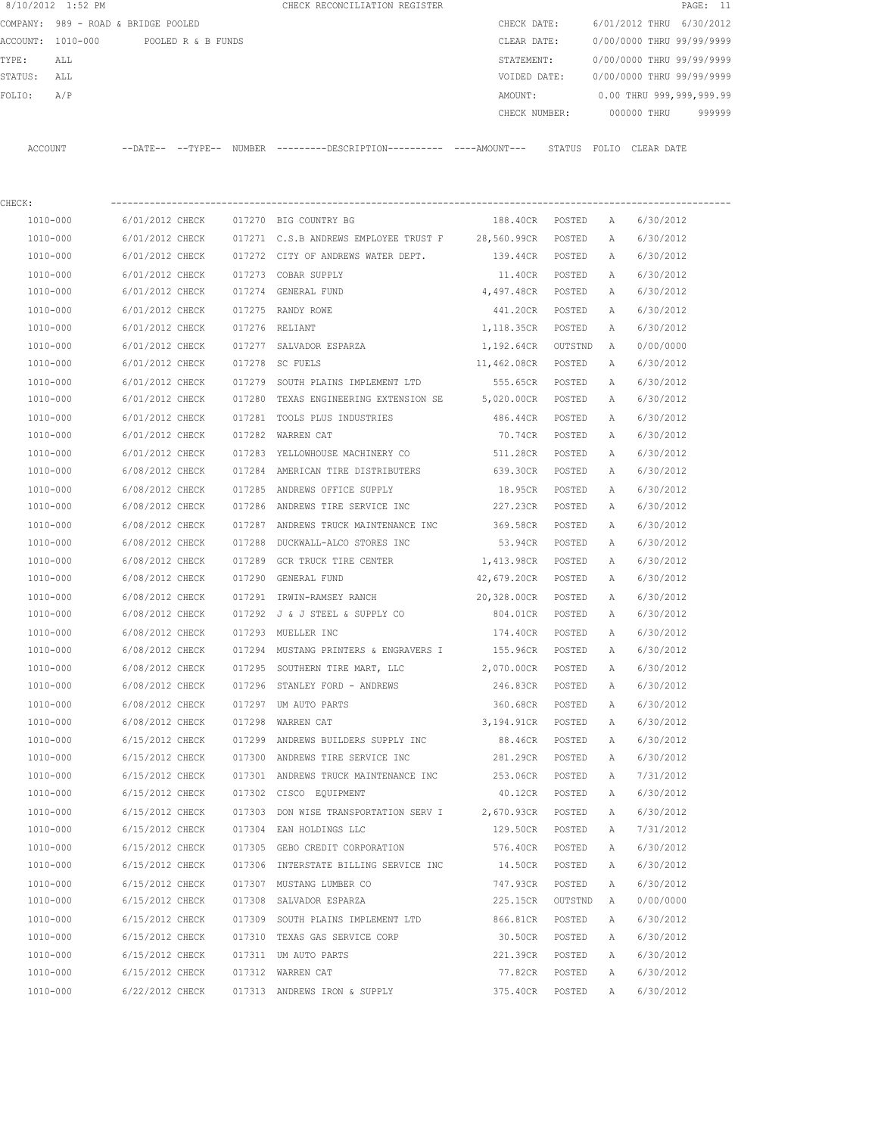|         | 8/10/2012 1:52 PM                   |                            |                    |        | CHECK RECONCILIATION REGISTER |               |        |                           |            | PAGE: 11  |        |
|---------|-------------------------------------|----------------------------|--------------------|--------|-------------------------------|---------------|--------|---------------------------|------------|-----------|--------|
|         | COMPANY: 989 - ROAD & BRIDGE POOLED |                            |                    |        |                               | CHECK DATE:   |        | 6/01/2012 THRU            |            | 6/30/2012 |        |
|         | ACCOUNT: 1010-000                   |                            | POOLED R & B FUNDS |        |                               | CLEAR DATE:   |        | 0/00/0000 THRU 99/99/9999 |            |           |        |
| TYPE:   | ALL                                 |                            |                    |        |                               | STATEMENT:    |        | 0/00/0000 THRU 99/99/9999 |            |           |        |
| STATUS: | ALL                                 |                            |                    |        |                               | VOIDED DATE:  |        | 0/00/0000 THRU 99/99/9999 |            |           |        |
| FOLIO:  | A/P                                 |                            |                    |        |                               | AMOUNT:       |        | 0.00 THRU 999,999,999.99  |            |           |        |
|         |                                     |                            |                    |        |                               | CHECK NUMBER: |        | 000000 THRU               |            |           | 999999 |
|         |                                     |                            |                    |        |                               |               |        |                           |            |           |        |
| ACCOUNT |                                     | $--$ DATE $- --$ TYPE $--$ |                    | NUMBER | ---------DESCRIPTION--        |               | STATUS | FOLTO                     | CLEAR DATE |           |        |

| CHECK:   |                 |                                                         |             |         |              |           |
|----------|-----------------|---------------------------------------------------------|-------------|---------|--------------|-----------|
| 1010-000 | 6/01/2012 CHECK | 017270 BIG COUNTRY BG                                   | 188.40CR    | POSTED  | A            | 6/30/2012 |
| 1010-000 | 6/01/2012 CHECK | 017271 C.S.B ANDREWS EMPLOYEE TRUST F 28,560.99CR       |             | POSTED  | Α            | 6/30/2012 |
| 1010-000 | 6/01/2012 CHECK | 017272 CITY OF ANDREWS WATER DEPT.                      | 139.44CR    | POSTED  | Α            | 6/30/2012 |
| 1010-000 | 6/01/2012 CHECK | 017273 COBAR SUPPLY                                     | 11.40CR     | POSTED  | Α            | 6/30/2012 |
| 1010-000 | 6/01/2012 CHECK | 017274 GENERAL FUND                                     | 4,497.48CR  | POSTED  | A            | 6/30/2012 |
| 1010-000 | 6/01/2012 CHECK | 017275 RANDY ROWE                                       | 441.20CR    | POSTED  | A            | 6/30/2012 |
| 1010-000 | 6/01/2012 CHECK | 017276 RELIANT                                          | 1,118.35CR  | POSTED  | Α            | 6/30/2012 |
| 1010-000 | 6/01/2012 CHECK | 017277 SALVADOR ESPARZA                                 | 1,192.64CR  | OUTSTND | Α            | 0/00/0000 |
| 1010-000 | 6/01/2012 CHECK | 017278 SC FUELS                                         | 11,462.08CR | POSTED  | Α            | 6/30/2012 |
| 1010-000 | 6/01/2012 CHECK | 017279 SOUTH PLAINS IMPLEMENT LTD                       | 555.65CR    | POSTED  | A            | 6/30/2012 |
| 1010-000 | 6/01/2012 CHECK | 017280 TEXAS ENGINEERING EXTENSION SE 5,020.00CR POSTED |             |         | Α            | 6/30/2012 |
| 1010-000 | 6/01/2012 CHECK | 017281 TOOLS PLUS INDUSTRIES                            | 486.44CR    | POSTED  | A            | 6/30/2012 |
| 1010-000 | 6/01/2012 CHECK | 017282 WARREN CAT                                       | 70.74CR     | POSTED  | Α            | 6/30/2012 |
| 1010-000 | 6/01/2012 CHECK | 017283 YELLOWHOUSE MACHINERY CO                         | 511.28CR    | POSTED  | Α            | 6/30/2012 |
| 1010-000 | 6/08/2012 CHECK | 017284 AMERICAN TIRE DISTRIBUTERS                       | 639.30CR    | POSTED  | Α            | 6/30/2012 |
| 1010-000 | 6/08/2012 CHECK | 017285 ANDREWS OFFICE SUPPLY                            | 18.95CR     | POSTED  | Α            | 6/30/2012 |
| 1010-000 | 6/08/2012 CHECK | 017286 ANDREWS TIRE SERVICE INC                         | 227.23CR    | POSTED  | Α            | 6/30/2012 |
| 1010-000 | 6/08/2012 CHECK | 017287 ANDREWS TRUCK MAINTENANCE INC                    | 369.58CR    | POSTED  | Α            | 6/30/2012 |
| 1010-000 | 6/08/2012 CHECK | 017288 DUCKWALL-ALCO STORES INC                         | 53.94CR     | POSTED  | Α            | 6/30/2012 |
| 1010-000 | 6/08/2012 CHECK | 017289 GCR TRUCK TIRE CENTER                            | 1,413.98CR  | POSTED  | Α            | 6/30/2012 |
| 1010-000 | 6/08/2012 CHECK | 017290 GENERAL FUND                                     | 42,679.20CR | POSTED  | Α            | 6/30/2012 |
| 1010-000 | 6/08/2012 CHECK | 017291 IRWIN-RAMSEY RANCH                               | 20,328.00CR | POSTED  | Α            | 6/30/2012 |
| 1010-000 | 6/08/2012 CHECK | 017292 J & J STEEL & SUPPLY CO                          | 804.01CR    | POSTED  | Α            | 6/30/2012 |
| 1010-000 | 6/08/2012 CHECK | 017293 MUELLER INC                                      | 174.40CR    | POSTED  | A            | 6/30/2012 |
| 1010-000 | 6/08/2012 CHECK | 017294 MUSTANG PRINTERS & ENGRAVERS I 155.96CR          |             | POSTED  | Α            | 6/30/2012 |
| 1010-000 | 6/08/2012 CHECK | 017295 SOUTHERN TIRE MART, LLC 2,070.00CR               |             | POSTED  | Α            | 6/30/2012 |
| 1010-000 | 6/08/2012 CHECK | 017296 STANLEY FORD - ANDREWS                           | 246.83CR    | POSTED  | Α            | 6/30/2012 |
| 1010-000 | 6/08/2012 CHECK | 017297 UM AUTO PARTS                                    | 360.68CR    | POSTED  | Α            | 6/30/2012 |
| 1010-000 | 6/08/2012 CHECK | 017298 WARREN CAT                                       | 3,194.91CR  | POSTED  | Α            | 6/30/2012 |
| 1010-000 | 6/15/2012 CHECK | 017299 ANDREWS BUILDERS SUPPLY INC                      | 88.46CR     | POSTED  | A            | 6/30/2012 |
| 1010-000 | 6/15/2012 CHECK | 017300 ANDREWS TIRE SERVICE INC                         | 281.29CR    | POSTED  | Α            | 6/30/2012 |
| 1010-000 | 6/15/2012 CHECK | 017301 ANDREWS TRUCK MAINTENANCE INC                    | 253.06CR    | POSTED  | Α            | 7/31/2012 |
| 1010-000 | 6/15/2012 CHECK | 017302 CISCO EQUIPMENT                                  | 40.12CR     | POSTED  | A            | 6/30/2012 |
| 1010-000 | 6/15/2012 CHECK | 017303 DON WISE TRANSPORTATION SERV I 2,670.93CR        |             | POSTED  | A            | 6/30/2012 |
| 1010-000 | 6/15/2012 CHECK | 017304 EAN HOLDINGS LLC                                 | 129.50CR    | POSTED  | $\mathbb{A}$ | 7/31/2012 |
| 1010-000 | 6/15/2012 CHECK | 017305 GEBO CREDIT CORPORATION                          | 576.40CR    | POSTED  | Α            | 6/30/2012 |
| 1010-000 | 6/15/2012 CHECK | 017306 INTERSTATE BILLING SERVICE INC                   | 14.50CR     | POSTED  | Α            | 6/30/2012 |
| 1010-000 | 6/15/2012 CHECK | 017307 MUSTANG LUMBER CO                                | 747.93CR    | POSTED  | Α            | 6/30/2012 |
| 1010-000 | 6/15/2012 CHECK | 017308 SALVADOR ESPARZA                                 | 225.15CR    | OUTSTND | Α            | 0/00/0000 |
| 1010-000 | 6/15/2012 CHECK | 017309 SOUTH PLAINS IMPLEMENT LTD                       | 866.81CR    | POSTED  | Α            | 6/30/2012 |
| 1010-000 | 6/15/2012 CHECK | 017310 TEXAS GAS SERVICE CORP                           | 30.50CR     | POSTED  | Α            | 6/30/2012 |
| 1010-000 | 6/15/2012 CHECK | 017311 UM AUTO PARTS                                    | 221.39CR    | POSTED  | Α            | 6/30/2012 |
| 1010-000 | 6/15/2012 CHECK | 017312 WARREN CAT                                       | 77.82CR     | POSTED  | Α            | 6/30/2012 |
| 1010-000 | 6/22/2012 CHECK | 017313 ANDREWS IRON & SUPPLY                            | 375.40CR    | POSTED  | Α            | 6/30/2012 |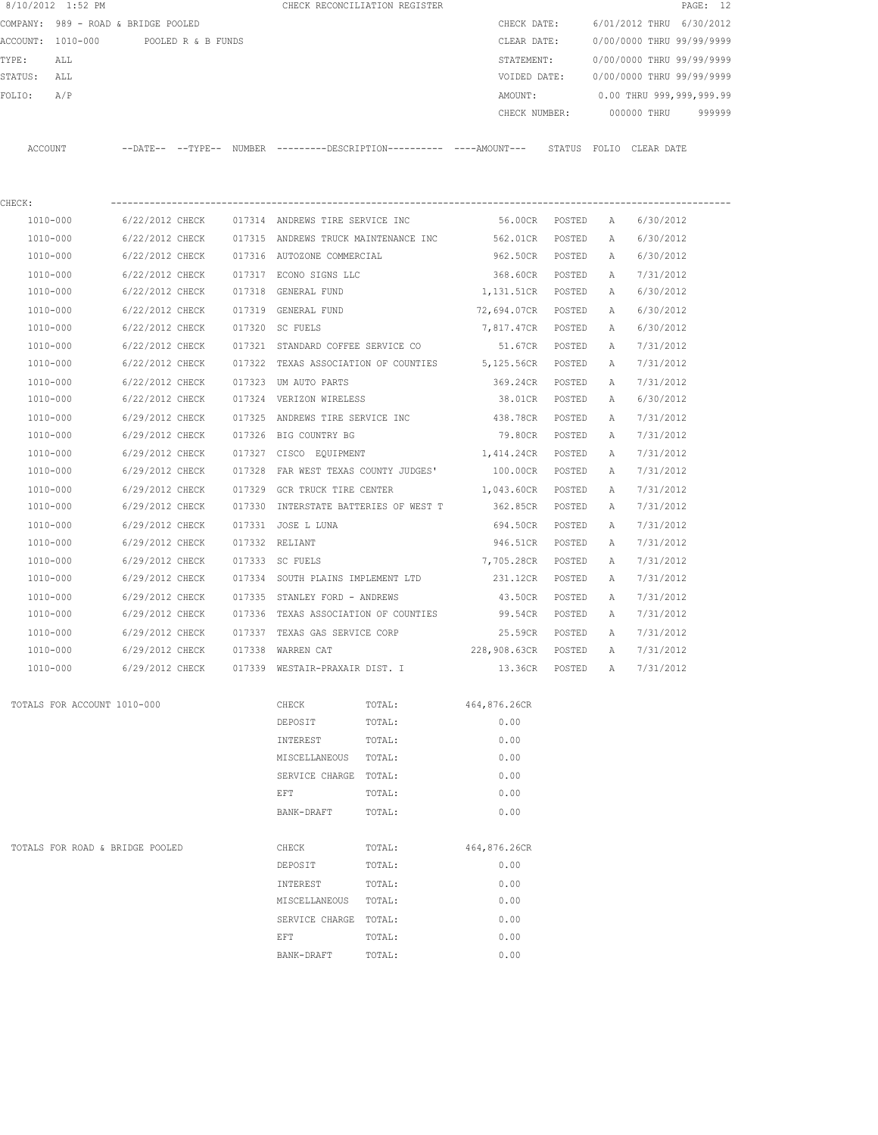|         | 8/10/2012 1:52 PM                   |                 |                    |        |                                       | CHECK RECONCILIATION REGISTER |                                                                                            |        |   |                           | PAGE: 12 |
|---------|-------------------------------------|-----------------|--------------------|--------|---------------------------------------|-------------------------------|--------------------------------------------------------------------------------------------|--------|---|---------------------------|----------|
|         | COMPANY: 989 - ROAD & BRIDGE POOLED |                 |                    |        |                                       |                               | CHECK DATE:                                                                                |        |   | 6/01/2012 THRU 6/30/2012  |          |
|         | ACCOUNT: 1010-000                   |                 | POOLED R & B FUNDS |        |                                       |                               | CLEAR DATE:                                                                                |        |   | 0/00/0000 THRU 99/99/9999 |          |
| TYPE:   | ALL                                 |                 |                    |        |                                       |                               | STATEMENT:                                                                                 |        |   | 0/00/0000 THRU 99/99/9999 |          |
| STATUS: | ALL                                 |                 |                    |        |                                       |                               | VOIDED DATE:                                                                               |        |   | 0/00/0000 THRU 99/99/9999 |          |
| FOLIO:  | A/P                                 |                 |                    |        |                                       |                               | AMOUNT:                                                                                    |        |   | 0.00 THRU 999,999,999.99  |          |
|         |                                     |                 |                    |        |                                       |                               | CHECK NUMBER:                                                                              |        |   | 000000 THRU               | 999999   |
|         | ACCOUNT                             |                 |                    |        |                                       |                               | --DATE-- --TYPE-- NUMBER --------DESCRIPTION--------- ----AMOUNT--- STATUS FOLIO CLEARDATE |        |   |                           |          |
| CHECK:  |                                     |                 |                    |        |                                       |                               |                                                                                            |        |   |                           |          |
|         | 1010-000                            | 6/22/2012 CHECK |                    |        | 017314 ANDREWS TIRE SERVICE INC       |                               | 56.00CR POSTED                                                                             |        | A | 6/30/2012                 |          |
|         | 1010-000                            | 6/22/2012 CHECK |                    |        |                                       |                               | 017315 ANDREWS TRUCK MAINTENANCE INC 562.01CR                                              | POSTED | Α | 6/30/2012                 |          |
|         | 1010-000                            | 6/22/2012 CHECK |                    |        | 017316 AUTOZONE COMMERCIAL            |                               | 962.50CR POSTED                                                                            |        | A | 6/30/2012                 |          |
|         | 1010-000                            | 6/22/2012 CHECK |                    |        | 017317 ECONO SIGNS LLC                |                               | 368.60CR POSTED                                                                            |        | Α | 7/31/2012                 |          |
|         | $1010 - 000$                        | 6/22/2012 CHECK |                    |        | 017318 GENERAL FUND                   |                               | 1,131.51CR POSTED                                                                          |        | A | 6/30/2012                 |          |
|         | 1010-000                            | 6/22/2012 CHECK |                    |        | 017319 GENERAL FUND                   |                               | 72,694.07CR POSTED                                                                         |        | A | 6/30/2012                 |          |
|         | 1010-000                            | 6/22/2012 CHECK |                    |        | 017320 SC FUELS                       |                               | 7,817.47CR POSTED                                                                          |        | A | 6/30/2012                 |          |
|         | 1010-000                            | 6/22/2012 CHECK |                    |        | 017321 STANDARD COFFEE SERVICE CO     |                               | 51.67CR                                                                                    | POSTED | Α | 7/31/2012                 |          |
|         | 1010-000                            | 6/22/2012 CHECK |                    |        |                                       |                               | 017322 TEXAS ASSOCIATION OF COUNTIES 5,125.56CR POSTED                                     |        | A | 7/31/2012                 |          |
|         | 1010-000                            | 6/22/2012 CHECK |                    |        | 017323 UM AUTO PARTS                  |                               | 369.24CR                                                                                   | POSTED | Α | 7/31/2012                 |          |
|         | 1010-000                            | 6/22/2012 CHECK |                    |        | 017324 VERIZON WIRELESS               |                               | 38.01CR                                                                                    | POSTED | А | 6/30/2012                 |          |
|         | 1010-000                            | 6/29/2012 CHECK |                    |        | 017325 ANDREWS TIRE SERVICE INC       |                               | 438.78CR                                                                                   | POSTED | Α | 7/31/2012                 |          |
|         | 1010-000                            | 6/29/2012 CHECK |                    |        | 017326 BIG COUNTRY BG                 |                               | 79.80CR POSTED                                                                             |        | Α | 7/31/2012                 |          |
|         | 1010-000                            | 6/29/2012 CHECK |                    |        | 017327 CISCO EQUIPMENT                |                               | 1,414.24CR POSTED                                                                          |        | Α | 7/31/2012                 |          |
|         | 1010-000                            | 6/29/2012 CHECK |                    | 017328 | FAR WEST TEXAS COUNTY JUDGES'         |                               | 100.00CR POSTED                                                                            |        | Α | 7/31/2012                 |          |
|         | 1010-000                            | 6/29/2012 CHECK |                    |        | 017329 GCR TRUCK TIRE CENTER          |                               | 1,043.60CR POSTED                                                                          |        | Α | 7/31/2012                 |          |
|         | 1010-000                            | 6/29/2012 CHECK |                    |        | 017330 INTERSTATE BATTERIES OF WEST T |                               | 362.85CR                                                                                   | POSTED | Α | 7/31/2012                 |          |
|         | 1010-000                            | 6/29/2012 CHECK |                    |        | 017331 JOSE L LUNA                    |                               | 694.50CR                                                                                   | POSTED | Α | 7/31/2012                 |          |
|         | 1010-000                            | 6/29/2012 CHECK |                    |        | 017332 RELIANT                        |                               | 946.51CR                                                                                   | POSTED | Α | 7/31/2012                 |          |
|         | 1010-000                            | 6/29/2012 CHECK |                    |        | 017333 SC FUELS                       |                               | 7,705.28CR                                                                                 | POSTED | Α | 7/31/2012                 |          |
|         | 1010-000                            | 6/29/2012 CHECK |                    |        | 017334 SOUTH PLAINS IMPLEMENT LTD     |                               | 231.12CR                                                                                   | POSTED | Α | 7/31/2012                 |          |
|         | 1010-000                            | 6/29/2012 CHECK |                    |        | 017335 STANLEY FORD - ANDREWS         |                               | 43.50CR                                                                                    | POSTED | Α | 7/31/2012                 |          |
|         | 1010-000                            | 6/29/2012 CHECK |                    |        |                                       |                               | 017336 TEXAS ASSOCIATION OF COUNTIES 99.54CR                                               | POSTED | A | 7/31/2012                 |          |
|         | $1010 - 000$                        | 6/29/2012 CHECK |                    |        | 017337 TEXAS GAS SERVICE CORP         |                               | 25.59CR                                                                                    | POSTED | A | 7/31/2012                 |          |
|         | 1010-000                            | 6/29/2012 CHECK |                    |        | 017338 WARREN CAT                     |                               | 228,908.63CR POSTED                                                                        |        | A | 7/31/2012                 |          |
|         | 1010-000                            | 6/29/2012 CHECK |                    |        | 017339 WESTAIR-PRAXAIR DIST. I        |                               | 13.36CR POSTED                                                                             |        | Α | 7/31/2012                 |          |
|         | TOTALS FOR ACCOUNT 1010-000         |                 |                    |        | CHECK                                 | TOTAL:                        | 464,876.26CR                                                                               |        |   |                           |          |
|         |                                     |                 |                    |        | DEPOSIT                               | TOTAL:                        | 0.00                                                                                       |        |   |                           |          |
|         |                                     |                 |                    |        | INTEREST                              | TOTAL:                        | 0.00                                                                                       |        |   |                           |          |
|         |                                     |                 |                    |        | MISCELLANEOUS TOTAL:                  |                               | 0.00                                                                                       |        |   |                           |          |
|         |                                     |                 |                    |        | SERVICE CHARGE TOTAL:                 |                               | 0.00                                                                                       |        |   |                           |          |
|         |                                     |                 |                    |        | EFT                                   | TOTAL:                        | 0.00                                                                                       |        |   |                           |          |
|         |                                     |                 |                    |        | BANK-DRAFT                            | TOTAL:                        | 0.00                                                                                       |        |   |                           |          |
|         | TOTALS FOR ROAD & BRIDGE POOLED     |                 |                    |        | CHECK                                 | TOTAL:                        | 464,876.26CR                                                                               |        |   |                           |          |
|         |                                     |                 |                    |        | DEPOSIT                               | TOTAL:                        | 0.00                                                                                       |        |   |                           |          |
|         |                                     |                 |                    |        | INTEREST                              | TOTAL:                        | 0.00                                                                                       |        |   |                           |          |
|         |                                     |                 |                    |        | MISCELLANEOUS                         | TOTAL:                        | 0.00                                                                                       |        |   |                           |          |
|         |                                     |                 |                    |        | SERVICE CHARGE TOTAL:                 |                               | 0.00                                                                                       |        |   |                           |          |
|         |                                     |                 |                    |        | EFT                                   | TOTAL:                        | 0.00                                                                                       |        |   |                           |          |
|         |                                     |                 |                    |        | BANK-DRAFT                            | TOTAL:                        | 0.00                                                                                       |        |   |                           |          |
|         |                                     |                 |                    |        |                                       |                               |                                                                                            |        |   |                           |          |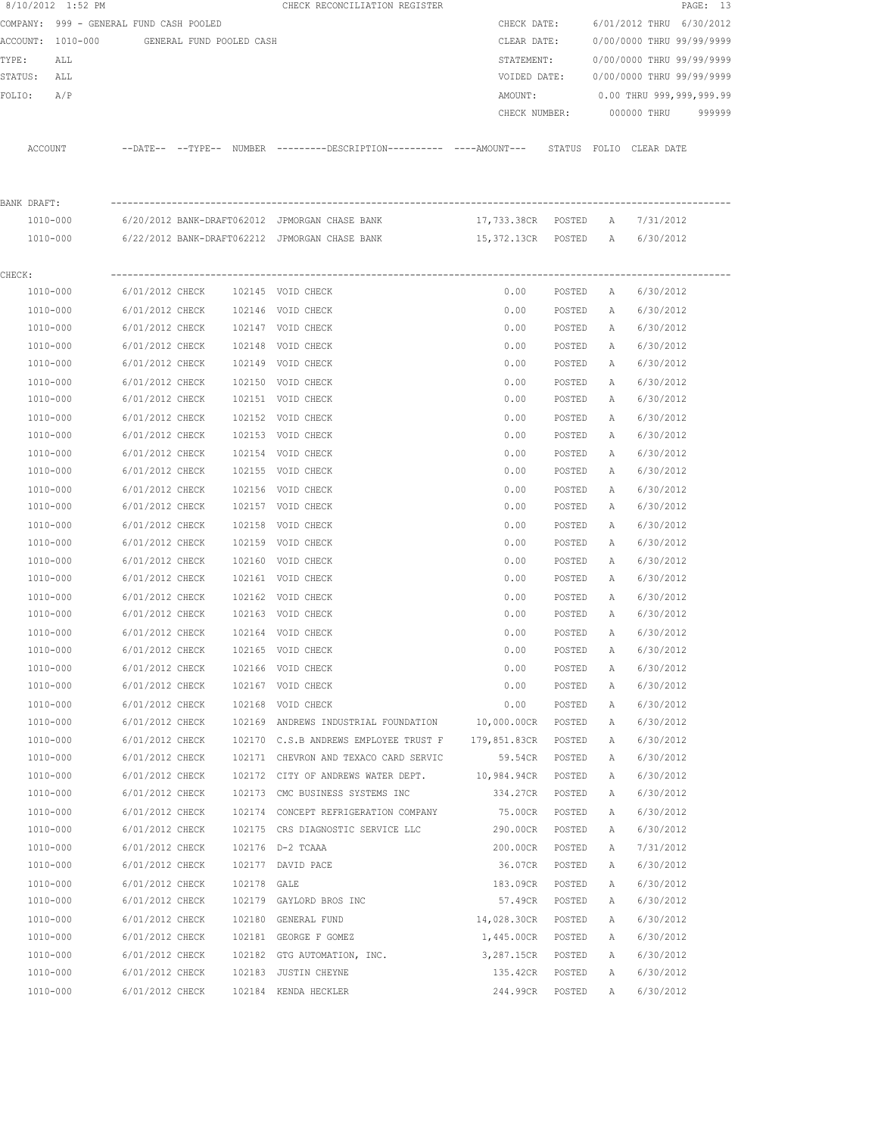|             | 8/10/2012 1:52 PM                       |                          |             | CHECK RECONCILIATION REGISTER                                                              |                                |        |              |                           | PAGE: 13 |
|-------------|-----------------------------------------|--------------------------|-------------|--------------------------------------------------------------------------------------------|--------------------------------|--------|--------------|---------------------------|----------|
|             | COMPANY: 999 - GENERAL FUND CASH POOLED |                          |             |                                                                                            | CHECK DATE:                    |        |              | 6/01/2012 THRU 6/30/2012  |          |
|             | ACCOUNT: 1010-000                       | GENERAL FUND POOLED CASH |             |                                                                                            | CLEAR DATE:                    |        |              | 0/00/0000 THRU 99/99/9999 |          |
| TYPE:       | ALL                                     |                          |             |                                                                                            | STATEMENT:                     |        |              | 0/00/0000 THRU 99/99/9999 |          |
| STATUS:     | ALL                                     |                          |             |                                                                                            | VOIDED DATE:                   |        |              | 0/00/0000 THRU 99/99/9999 |          |
| FOLIO:      | A/P                                     |                          |             |                                                                                            | AMOUNT:                        |        |              | 0.00 THRU 999,999,999.99  |          |
|             |                                         |                          |             |                                                                                            | CHECK NUMBER:                  |        |              | 000000 THRU               | 999999   |
|             | ACCOUNT                                 |                          |             | --DATE-- --TYPE-- NUMBER --------DESCRIPTION--------- ----AMOUNT--- STATUS FOLIO CLEARDATE |                                |        |              |                           |          |
|             |                                         |                          |             |                                                                                            |                                |        |              |                           |          |
| BANK DRAFT: | 1010-000                                |                          |             | 6/20/2012 BANK-DRAFT062012 JPMORGAN CHASE BANK                                             | 17,733.38CR POSTED A           |        |              |                           |          |
|             | 1010-000                                |                          |             | 6/22/2012 BANK-DRAFT062212 JPMORGAN CHASE BANK                                             | 15,372.13CR POSTED A 6/30/2012 |        |              | 7/31/2012                 |          |
|             |                                         |                          |             |                                                                                            |                                |        |              |                           |          |
| CHECK:      | 1010-000                                | 6/01/2012 CHECK          |             | 102145 VOID CHECK                                                                          | 0.00                           | POSTED | A            | 6/30/2012                 |          |
|             | 1010-000                                | 6/01/2012 CHECK          |             | 102146 VOID CHECK                                                                          | 0.00                           | POSTED | A            | 6/30/2012                 |          |
|             | 1010-000                                | 6/01/2012 CHECK          |             | 102147 VOID CHECK                                                                          | 0.00                           | POSTED | A            | 6/30/2012                 |          |
|             | 1010-000                                | 6/01/2012 CHECK          |             | 102148 VOID CHECK                                                                          | 0.00                           | POSTED | Α            | 6/30/2012                 |          |
|             | 1010-000                                | 6/01/2012 CHECK          |             | 102149 VOID CHECK                                                                          | 0.00                           | POSTED | Α            | 6/30/2012                 |          |
|             |                                         |                          |             |                                                                                            |                                |        |              |                           |          |
|             | 1010-000<br>1010-000                    | 6/01/2012 CHECK          |             | 102150 VOID CHECK                                                                          | 0.00                           | POSTED | Α            | 6/30/2012                 |          |
|             |                                         | 6/01/2012 CHECK          |             | 102151 VOID CHECK                                                                          | 0.00                           | POSTED | Α            | 6/30/2012                 |          |
|             | 1010-000                                | 6/01/2012 CHECK          |             | 102152 VOID CHECK                                                                          | 0.00                           | POSTED | Α            | 6/30/2012                 |          |
|             | 1010-000                                | 6/01/2012 CHECK          |             | 102153 VOID CHECK                                                                          | 0.00                           | POSTED | Α            | 6/30/2012                 |          |
|             | 1010-000                                | 6/01/2012 CHECK          |             | 102154 VOID CHECK                                                                          | 0.00                           | POSTED | А            | 6/30/2012                 |          |
|             | 1010-000                                | 6/01/2012 CHECK          |             | 102155 VOID CHECK                                                                          | 0.00                           | POSTED | А            | 6/30/2012                 |          |
|             | 1010-000                                | 6/01/2012 CHECK          |             | 102156 VOID CHECK                                                                          | 0.00                           | POSTED | Α            | 6/30/2012                 |          |
|             | 1010-000                                | 6/01/2012 CHECK          |             | 102157 VOID CHECK                                                                          | 0.00                           | POSTED | А            | 6/30/2012                 |          |
|             | 1010-000                                | 6/01/2012 CHECK          | 102158      | VOID CHECK                                                                                 | 0.00                           | POSTED | Α            | 6/30/2012                 |          |
|             | 1010-000                                | 6/01/2012 CHECK          |             | 102159 VOID CHECK                                                                          | 0.00                           | POSTED | Α            | 6/30/2012                 |          |
|             | 1010-000                                | 6/01/2012 CHECK          |             | 102160 VOID CHECK                                                                          | 0.00                           | POSTED | А            | 6/30/2012                 |          |
|             | 1010-000                                | 6/01/2012 CHECK          |             | 102161 VOID CHECK                                                                          | 0.00                           | POSTED | А            | 6/30/2012                 |          |
|             | 1010-000                                | 6/01/2012 CHECK          |             | 102162 VOID CHECK                                                                          | 0.00                           | POSTED | Α            | 6/30/2012                 |          |
|             | 1010-000                                | 6/01/2012 CHECK          |             | 102163 VOID CHECK                                                                          | 0.00                           | POSTED | Α            | 6/30/2012                 |          |
|             | 1010-000                                | 6/01/2012 CHECK          |             | 102164 VOID CHECK                                                                          | 0.00                           | POSTED | $\mathbb{A}$ | 6/30/2012                 |          |
|             | 1010-000                                | 6/01/2012 CHECK          |             | 102165 VOID CHECK                                                                          | 0.00                           | POSTED | Α            | 6/30/2012                 |          |
|             | $1010 - 000$                            | 6/01/2012 CHECK          |             | 102166 VOID CHECK                                                                          | 0.00                           | POSTED | Α            | 6/30/2012                 |          |
|             | 1010-000                                | 6/01/2012 CHECK          |             | 102167 VOID CHECK                                                                          | 0.00                           | POSTED | Α            | 6/30/2012                 |          |
|             | 1010-000                                | 6/01/2012 CHECK          | 102168      | VOID CHECK                                                                                 | 0.00                           | POSTED | Α            | 6/30/2012                 |          |
|             | 1010-000                                | 6/01/2012 CHECK          |             | 102169 ANDREWS INDUSTRIAL FOUNDATION                                                       | 10,000.00CR                    | POSTED | Α            | 6/30/2012                 |          |
|             | 1010-000                                | 6/01/2012 CHECK          |             | 102170 C.S.B ANDREWS EMPLOYEE TRUST F                                                      | 179,851.83CR                   | POSTED | Α            | 6/30/2012                 |          |
|             | 1010-000                                | 6/01/2012 CHECK          |             | 102171 CHEVRON AND TEXACO CARD SERVIC                                                      | 59.54CR                        | POSTED | Α            | 6/30/2012                 |          |
|             | 1010-000                                | 6/01/2012 CHECK          |             | 102172 CITY OF ANDREWS WATER DEPT.                                                         | 10,984.94CR                    | POSTED | Α            | 6/30/2012                 |          |
|             | 1010-000                                | 6/01/2012 CHECK          |             | 102173 CMC BUSINESS SYSTEMS INC                                                            | 334.27CR                       | POSTED | Α            | 6/30/2012                 |          |
|             | 1010-000                                | 6/01/2012 CHECK          |             | 102174 CONCEPT REFRIGERATION COMPANY                                                       | 75.00CR                        | POSTED | Α            | 6/30/2012                 |          |
|             | 1010-000                                | 6/01/2012 CHECK          |             | 102175 CRS DIAGNOSTIC SERVICE LLC                                                          | 290.00CR                       | POSTED | Α            | 6/30/2012                 |          |
|             | 1010-000                                | 6/01/2012 CHECK          |             | 102176 D-2 TCAAA                                                                           | 200.00CR                       | POSTED | Α            | 7/31/2012                 |          |
|             | 1010-000                                | 6/01/2012 CHECK          |             | 102177 DAVID PACE                                                                          | 36.07CR                        | POSTED | Α            | 6/30/2012                 |          |
|             | 1010-000                                | 6/01/2012 CHECK          | 102178 GALE |                                                                                            | 183.09CR                       | POSTED | Α            | 6/30/2012                 |          |
|             | 1010-000                                | 6/01/2012 CHECK          |             | 102179 GAYLORD BROS INC                                                                    | 57.49CR                        | POSTED | Α            | 6/30/2012                 |          |
|             | 1010-000                                | 6/01/2012 CHECK          |             | 102180 GENERAL FUND                                                                        | 14,028.30CR                    | POSTED | Α            | 6/30/2012                 |          |
|             | 1010-000                                | 6/01/2012 CHECK          |             | 102181 GEORGE F GOMEZ                                                                      | 1,445.00CR                     | POSTED | Α            | 6/30/2012                 |          |
|             | 1010-000                                | 6/01/2012 CHECK          |             | 102182 GTG AUTOMATION, INC.                                                                | 3,287.15CR                     | POSTED | Α            | 6/30/2012                 |          |
|             | 1010-000                                | 6/01/2012 CHECK          |             | 102183 JUSTIN CHEYNE                                                                       | 135.42CR                       | POSTED | Α            | 6/30/2012                 |          |
|             | 1010-000                                | 6/01/2012 CHECK          |             | 102184 KENDA HECKLER                                                                       | 244.99CR                       | POSTED | Α            | 6/30/2012                 |          |
|             |                                         |                          |             |                                                                                            |                                |        |              |                           |          |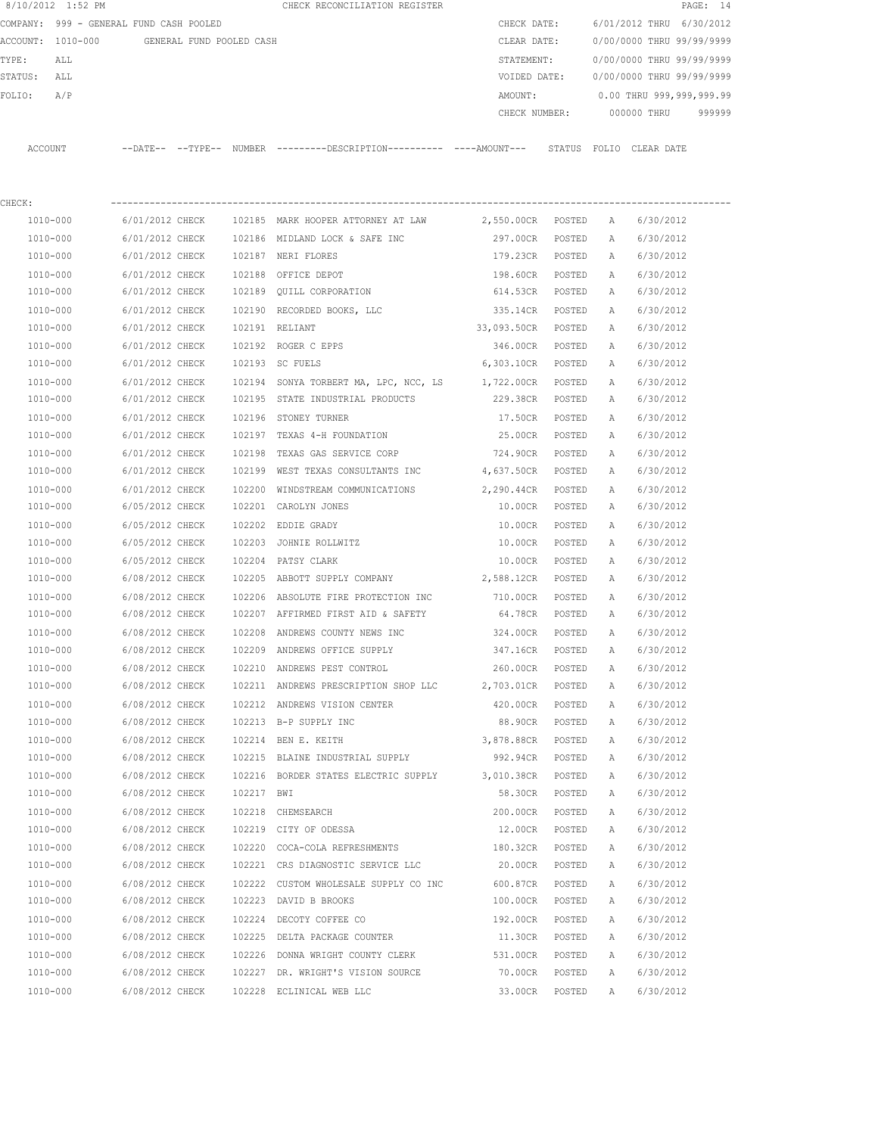| 8/10/2012 1:52 PM |                                         |            | CHECK RECONCILIATION REGISTER                                                                 |                               |        |              | PAGE: 14                               |  |
|-------------------|-----------------------------------------|------------|-----------------------------------------------------------------------------------------------|-------------------------------|--------|--------------|----------------------------------------|--|
|                   | COMPANY: 999 - GENERAL FUND CASH POOLED |            |                                                                                               | CHECK DATE:                   |        |              | 6/01/2012 THRU 6/30/2012               |  |
|                   |                                         |            |                                                                                               |                               |        |              | CLEAR DATE: 0/00/0000 THRU 99/99/9999  |  |
| TYPE:<br>ALL      |                                         |            |                                                                                               |                               |        |              | STATEMENT: 0/00/0000 THRU 99/99/9999   |  |
| STATUS: ALL       |                                         |            |                                                                                               |                               |        |              | VOIDED DATE: 0/00/0000 THRU 99/99/9999 |  |
| FOLIO: A/P        |                                         |            |                                                                                               |                               |        |              | AMOUNT: 0.00 THRU 999,999,999.99       |  |
|                   |                                         |            |                                                                                               |                               |        |              | CHECK NUMBER: 000000 THRU 999999       |  |
| ACCOUNT           |                                         |            | --DATE-- --TYPE-- NUMBER ---------DESCRIPTION---------- ----AMOUNT--- STATUS FOLIO CLEAR DATE |                               |        |              |                                        |  |
| CHECK:            |                                         |            |                                                                                               |                               |        |              |                                        |  |
| 1010-000          |                                         |            | 6/01/2012 CHECK 102185 MARK HOOPER ATTORNEY AT LAW                                            | 2,550.00CR POSTED A 6/30/2012 |        |              |                                        |  |
| 1010-000          |                                         |            |                                                                                               | 297.00CR POSTED A             |        |              | 6/30/2012                              |  |
| 1010-000          |                                         |            | 6/01/2012 CHECK 102186 MIDLAND LOCK & SAFE INC<br>6/01/2012 CHECK 102187 NERI FLORES          |                               |        |              | 179.23CR POSTED A 6/30/2012            |  |
|                   |                                         |            |                                                                                               |                               |        |              |                                        |  |
| 1010-000          |                                         |            | 6/01/2012 CHECK 102188 OFFICE DEPOT                                                           | 198.60CR POSTED               |        | A            | 6/30/2012                              |  |
| 1010-000          |                                         |            | 6/01/2012 CHECK 102189 QUILL CORPORATION                                                      | 614.53CR POSTED               |        | A            | 6/30/2012                              |  |
| 1010-000          |                                         |            | 6/01/2012 CHECK 102190 RECORDED BOOKS, LLC                                                    | 335.14CR POSTED               |        | A            | 6/30/2012                              |  |
| 1010-000          | 6/01/2012 CHECK 102191 RELIANT          |            |                                                                                               | 33,093.50CR POSTED            |        | A            | 6/30/2012                              |  |
| 1010-000          |                                         |            | 6/01/2012 CHECK 102192 ROGER C EPPS                                                           | 346.00CR POSTED               |        | A            | 6/30/2012                              |  |
| 1010-000          |                                         |            | 6/01/2012 CHECK 102193 SC FUELS                                                               | 6,303.10CR POSTED             |        | A            | 6/30/2012                              |  |
| 1010-000          |                                         |            | 6/01/2012 CHECK 102194 SONYA TORBERT MA, LPC, NCC, LS                                         | 1,722.00CR POSTED             |        | A            | 6/30/2012                              |  |
| 1010-000          |                                         |            | 6/01/2012 CHECK 102195 STATE INDUSTRIAL PRODUCTS                                              | 229.38CR POSTED               |        | A            | 6/30/2012                              |  |
| 1010-000          |                                         |            | 6/01/2012 CHECK 102196 STONEY TURNER                                                          | 17.50CR POSTED                |        | A            | 6/30/2012                              |  |
| 1010-000          | 6/01/2012 CHECK                         |            | 102197 TEXAS 4-H FOUNDATION                                                                   | 25.00CR POSTED                |        | A            | 6/30/2012                              |  |
| 1010-000          | 6/01/2012 CHECK                         |            | 102198 TEXAS GAS SERVICE CORP                                                                 | 724.90CR POSTED               |        | A            | 6/30/2012                              |  |
| 1010-000          |                                         |            | 6/01/2012 CHECK 102199 WEST TEXAS CONSULTANTS INC 4,637.50CR POSTED                           |                               |        | A            | 6/30/2012                              |  |
| 1010-000          |                                         |            | 6/01/2012 CHECK 102200 WINDSTREAM COMMUNICATIONS 2,290.44CR POSTED                            |                               |        | A            | 6/30/2012                              |  |
| 1010-000          |                                         |            | 6/05/2012 CHECK 102201 CAROLYN JONES                                                          | 10.00CR POSTED                |        | A            | 6/30/2012                              |  |
| 1010-000          |                                         |            | 6/05/2012 CHECK 102202 EDDIE GRADY                                                            | 10.00CR POSTED                |        | A            | 6/30/2012                              |  |
| 1010-000          |                                         |            | 6/05/2012 CHECK 102203 JOHNIE ROLLWITZ                                                        | 10.00CR POSTED                |        | A            | 6/30/2012                              |  |
| 1010-000          |                                         |            | 6/05/2012 CHECK 102204 PATSY CLARK                                                            | 10.00CR POSTED                |        | A            | 6/30/2012                              |  |
| 1010-000          |                                         |            | 6/08/2012 CHECK 102205 ABBOTT SUPPLY COMPANY 2,588.12CR POSTED                                |                               |        | A            | 6/30/2012                              |  |
| 1010-000          |                                         |            | 6/08/2012 CHECK 102206 ABSOLUTE FIRE PROTECTION INC                                           | 710.00CR POSTED               |        | A            | 6/30/2012                              |  |
| 1010-000          |                                         |            | 6/08/2012 CHECK 102207 AFFIRMED FIRST AID & SAFETY                                            |                               |        |              | 64.78CR POSTED A 6/30/2012             |  |
| 1010-000          | 6/08/2012 CHECK                         |            | 102208 ANDREWS COUNTY NEWS INC                                                                | 324.00CR POSTED A             |        |              | 6/30/2012                              |  |
| 1010-000          | 6/08/2012 CHECK                         |            | 102209 ANDREWS OFFICE SUPPLY                                                                  | 347.16CR                      | POSTED | Α            | 6/30/2012                              |  |
| 1010-000          | 6/08/2012 CHECK                         |            | 102210 ANDREWS PEST CONTROL                                                                   | 260.00CR                      | POSTED | Α            | 6/30/2012                              |  |
| 1010-000          | 6/08/2012 CHECK                         |            | 102211 ANDREWS PRESCRIPTION SHOP LLC 2,703.01CR                                               |                               | POSTED | Α            | 6/30/2012                              |  |
| 1010-000          | 6/08/2012 CHECK                         |            | 102212 ANDREWS VISION CENTER                                                                  | 420.00CR                      | POSTED | Α            | 6/30/2012                              |  |
| 1010-000          | 6/08/2012 CHECK                         |            | 102213 B-P SUPPLY INC                                                                         | 88.90CR                       | POSTED | Α            | 6/30/2012                              |  |
|                   |                                         |            |                                                                                               |                               |        |              |                                        |  |
| 1010-000          | 6/08/2012 CHECK                         |            | 102214 BEN E. KEITH                                                                           | 3,878.88CR                    | POSTED | Α            | 6/30/2012                              |  |
| $1010 - 000$      | 6/08/2012 CHECK                         |            | 102215 BLAINE INDUSTRIAL SUPPLY                                                               | 992.94CR                      | POSTED | Α            | 6/30/2012                              |  |
| 1010-000          | 6/08/2012 CHECK                         |            | 102216 BORDER STATES ELECTRIC SUPPLY                                                          | 3,010.38CR                    | POSTED | Α            | 6/30/2012                              |  |
| 1010-000          | 6/08/2012 CHECK                         | 102217 BWI |                                                                                               | 58.30CR                       | POSTED | Α            | 6/30/2012                              |  |
| $1010 - 000$      | 6/08/2012 CHECK                         |            | 102218 CHEMSEARCH                                                                             | 200.00CR                      | POSTED | Α            | 6/30/2012                              |  |
| 1010-000          | 6/08/2012 CHECK                         |            | 102219 CITY OF ODESSA                                                                         | 12.00CR                       | POSTED | Α            | 6/30/2012                              |  |
| 1010-000          | 6/08/2012 CHECK                         |            | 102220 COCA-COLA REFRESHMENTS                                                                 | 180.32CR                      | POSTED | Α            | 6/30/2012                              |  |
| 1010-000          | 6/08/2012 CHECK                         |            | 102221 CRS DIAGNOSTIC SERVICE LLC                                                             | 20.00CR                       | POSTED | Α            | 6/30/2012                              |  |
| 1010-000          | 6/08/2012 CHECK                         |            | 102222 CUSTOM WHOLESALE SUPPLY CO INC                                                         | 600.87CR                      | POSTED | Α            | 6/30/2012                              |  |
| 1010-000          | 6/08/2012 CHECK                         |            | 102223 DAVID B BROOKS                                                                         | 100.00CR                      | POSTED | Α            | 6/30/2012                              |  |
| 1010-000          | 6/08/2012 CHECK                         |            | 102224 DECOTY COFFEE CO                                                                       | 192.00CR                      | POSTED | Α            | 6/30/2012                              |  |
| 1010-000          | 6/08/2012 CHECK                         |            | 102225 DELTA PACKAGE COUNTER                                                                  | 11.30CR                       | POSTED | Α            | 6/30/2012                              |  |
| 1010-000          | 6/08/2012 CHECK                         |            | 102226 DONNA WRIGHT COUNTY CLERK                                                              | 531.00CR                      | POSTED | Α            | 6/30/2012                              |  |
| 1010-000          | 6/08/2012 CHECK                         |            | 102227 DR. WRIGHT'S VISION SOURCE                                                             | 70.00CR                       | POSTED | $\mathbb{A}$ | 6/30/2012                              |  |

1010-000 6/08/2012 CHECK 102228 ECLINICAL WEB LLC 33.00CR POSTED A 6/30/2012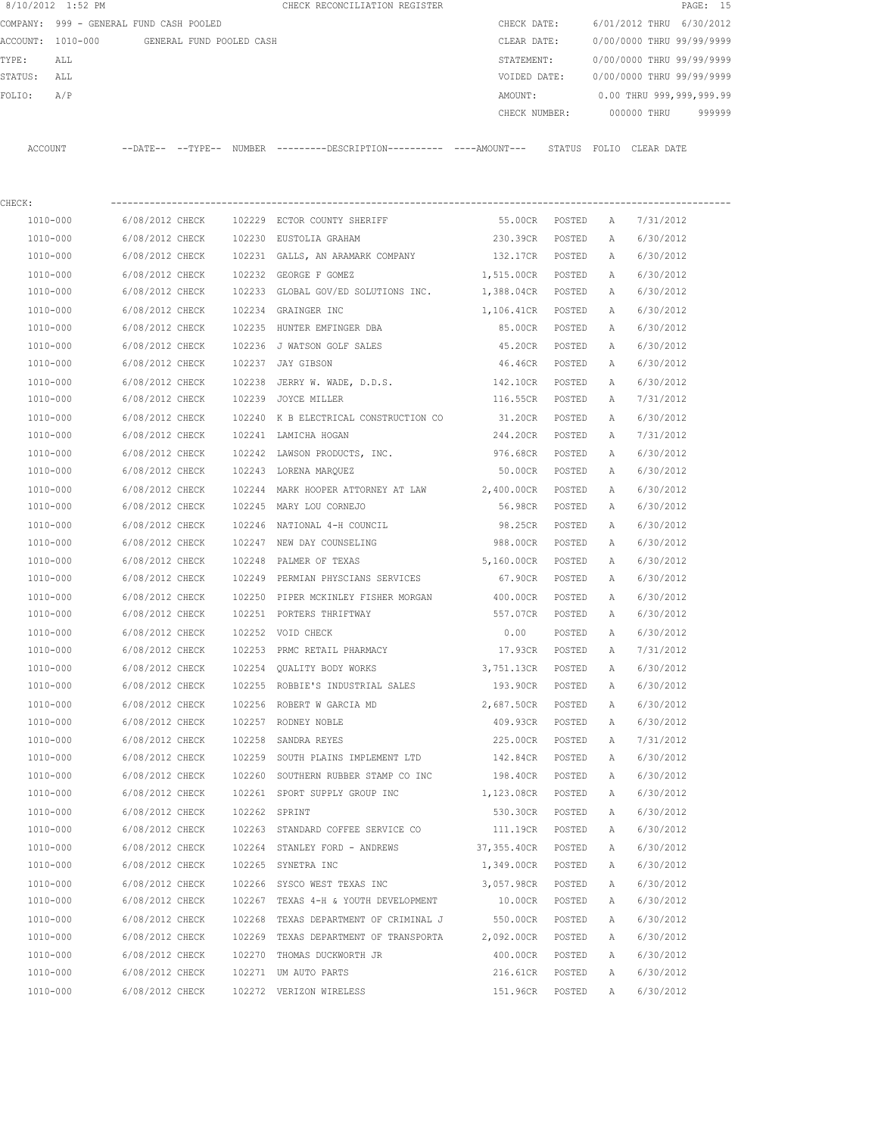|             | 8/10/2012 1:52 PM                       |                 |                          | CHECK RECONCILIATION REGISTER                                                                |                   |        |              |                           | PAGE: 15 |
|-------------|-----------------------------------------|-----------------|--------------------------|----------------------------------------------------------------------------------------------|-------------------|--------|--------------|---------------------------|----------|
|             | COMPANY: 999 - GENERAL FUND CASH POOLED |                 |                          |                                                                                              | CHECK DATE:       |        |              | 6/01/2012 THRU 6/30/2012  |          |
|             | ACCOUNT: 1010-000                       |                 | GENERAL FUND POOLED CASH |                                                                                              | CLEAR DATE:       |        |              | 0/00/0000 THRU 99/99/9999 |          |
| TYPE:       | ALL                                     |                 |                          |                                                                                              | STATEMENT:        |        |              | 0/00/0000 THRU 99/99/9999 |          |
| STATUS: ALL |                                         |                 |                          |                                                                                              | VOIDED DATE:      |        |              | 0/00/0000 THRU 99/99/9999 |          |
| FOLIO:      | A/P                                     |                 |                          |                                                                                              | AMOUNT:           |        |              | 0.00 THRU 999,999,999.99  |          |
|             |                                         |                 |                          |                                                                                              | CHECK NUMBER:     |        |              | 000000 THRU               | 999999   |
|             |                                         |                 |                          |                                                                                              |                   |        |              |                           |          |
| ACCOUNT     |                                         |                 |                          | --DATE-- --TYPE-- NUMBER --------DESCRIPTION---------- ----AMOUNT--- STATUS FOLIO CLEAR DATE |                   |        |              |                           |          |
|             |                                         |                 |                          |                                                                                              |                   |        |              |                           |          |
|             |                                         |                 |                          |                                                                                              |                   |        |              |                           |          |
| CHECK:      |                                         |                 |                          |                                                                                              |                   |        |              |                           |          |
|             | 1010-000                                | 6/08/2012 CHECK |                          | 102229 ECTOR COUNTY SHERIFF                                                                  | 55.00CR POSTED    |        | A            | 7/31/2012                 |          |
|             | 1010-000                                | 6/08/2012 CHECK |                          | 102230 EUSTOLIA GRAHAM                                                                       | 230.39CR          | POSTED | A            | 6/30/2012                 |          |
|             | 1010-000                                | 6/08/2012 CHECK |                          | 102231 GALLS, AN ARAMARK COMPANY                                                             | 132.17CR POSTED   |        | $\mathbb{A}$ | 6/30/2012                 |          |
|             | 1010-000                                | 6/08/2012 CHECK |                          | 102232 GEORGE F GOMEZ                                                                        | 1,515.00CR POSTED |        | A            | 6/30/2012                 |          |
|             | 1010-000                                | 6/08/2012 CHECK |                          | 102233 GLOBAL GOV/ED SOLUTIONS INC. 1,388.04CR POSTED                                        |                   |        | A            | 6/30/2012                 |          |
|             | 1010-000                                | 6/08/2012 CHECK |                          | 102234 GRAINGER INC                                                                          | 1,106.41CR POSTED |        | $\mathbb{A}$ | 6/30/2012                 |          |
|             | 1010-000                                | 6/08/2012 CHECK |                          | 102235 HUNTER EMFINGER DBA                                                                   | 85.00CR           | POSTED | $\mathbb{A}$ | 6/30/2012                 |          |
|             | 1010-000                                | 6/08/2012 CHECK |                          | 102236 J WATSON GOLF SALES                                                                   | 45.20CR           | POSTED | A            | 6/30/2012                 |          |
|             | 1010-000                                | 6/08/2012 CHECK |                          | 102237 JAY GIBSON                                                                            | 46.46CR           | POSTED | Α            | 6/30/2012                 |          |
|             | 1010-000                                | 6/08/2012 CHECK |                          | 102238 JERRY W. WADE, D.D.S.                                                                 | 142.10CR          | POSTED | A            | 6/30/2012                 |          |
|             | 1010-000                                | 6/08/2012 CHECK |                          | 102239 JOYCE MILLER                                                                          | 116.55CR POSTED   |        | A            | 7/31/2012                 |          |
|             | 1010-000                                | 6/08/2012 CHECK |                          | 102240 K B ELECTRICAL CONSTRUCTION CO                                                        | 31.20CR POSTED    |        | $\mathbb{A}$ | 6/30/2012                 |          |
|             | 1010-000                                | 6/08/2012 CHECK |                          | 102241 LAMICHA HOGAN                                                                         | 244.20CR          | POSTED | $\mathbb{A}$ | 7/31/2012                 |          |
|             | 1010-000                                | 6/08/2012 CHECK |                          | 102242 LAWSON PRODUCTS, INC.                                                                 | 976.68CR          | POSTED | A            | 6/30/2012                 |          |
|             | 1010-000                                | 6/08/2012 CHECK |                          | 102243 LORENA MARQUEZ                                                                        | 50.00CR           | POSTED | A            | 6/30/2012                 |          |
|             | 1010-000                                | 6/08/2012 CHECK |                          | 102244 MARK HOOPER ATTORNEY AT LAW 2,400.00CR                                                |                   | POSTED | A            | 6/30/2012                 |          |
|             | 1010-000                                | 6/08/2012 CHECK |                          | 102245 MARY LOU CORNEJO                                                                      | 56.98CR POSTED    |        | $\mathbb{A}$ | 6/30/2012                 |          |
|             | 1010-000                                | 6/08/2012 CHECK |                          | 102246 NATIONAL 4-H COUNCIL                                                                  | 98.25CR           | POSTED | $\mathbb{A}$ | 6/30/2012                 |          |
|             | 1010-000                                | 6/08/2012 CHECK |                          | 102247 NEW DAY COUNSELING                                                                    | 988.00CR POSTED   |        | $\mathbb{A}$ | 6/30/2012                 |          |
|             | 1010-000                                | 6/08/2012 CHECK |                          | 102248 PALMER OF TEXAS                                                                       | 5,160.00CR POSTED |        | A            | 6/30/2012                 |          |
|             | 1010-000                                | 6/08/2012 CHECK |                          | 102249 PERMIAN PHYSCIANS SERVICES                                                            | 67.90CR POSTED    |        | A            | 6/30/2012                 |          |
|             | 1010-000                                | 6/08/2012 CHECK |                          | 102250 PIPER MCKINLEY FISHER MORGAN 400.00CR                                                 |                   | POSTED | A            | 6/30/2012                 |          |
|             | $1010 - 000$                            | 6/08/2012 CHECK |                          | 102251 PORTERS THRIFTWAY                                                                     | 557.07CR          | POSTED | Α            | 6/30/2012                 |          |

 1010-000 6/08/2012 CHECK 102252 VOID CHECK 0.00 POSTED A 6/30/2012 1010-000 6/08/2012 CHECK 102253 PRMC RETAIL PHARMACY 17.93CR POSTED A 7/31/2012 1010-000 6/08/2012 CHECK 102254 QUALITY BODY WORKS 3,751.13CR POSTED A 6/30/2012 1010-000 6/08/2012 CHECK 102255 ROBBIE'S INDUSTRIAL SALES 193.90CR POSTED A 6/30/2012 1010-000 6/08/2012 CHECK 102256 ROBERT W GARCIA MD 2,687.50CR POSTED A 6/30/2012 1010-000 6/08/2012 CHECK 102257 RODNEY NOBLE 409.93CR POSTED A 6/30/2012 1010-000 6/08/2012 CHECK 102258 SANDRA REYES 225.00CR POSTED A 7/31/2012 1010-000 6/08/2012 CHECK 102259 SOUTH PLAINS IMPLEMENT LTD 142.84CR POSTED A 6/30/2012 1010-000 6/08/2012 CHECK 102260 SOUTHERN RUBBER STAMP CO INC 198.40CR POSTED A 6/30/2012 1010-000 6/08/2012 CHECK 102261 SPORT SUPPLY GROUP INC 1,123.08CR POSTED A 6/30/2012 1010-000 6/08/2012 CHECK 102262 SPRINT 530.30CR POSTED A 6/30/2012 1010-000 6/08/2012 CHECK 102263 STANDARD COFFEE SERVICE CO 111.19CR POSTED A 6/30/2012 1010-000 6/08/2012 CHECK 102264 STANLEY FORD - ANDREWS 37,355.40CR POSTED A 6/30/2012 1010-000 6/08/2012 CHECK 102265 SYNETRA INC 1,349.00CR POSTED A 6/30/2012 1010-000 6/08/2012 CHECK 102266 SYSCO WEST TEXAS INC 3,057.98CR POSTED A 6/30/2012 1010-000 6/08/2012 CHECK 102267 TEXAS 4-H & YOUTH DEVELOPMENT 10.00CR POSTED A 6/30/2012 1010-000 6/08/2012 CHECK 102268 TEXAS DEPARTMENT OF CRIMINAL J 550.00CR POSTED A 6/30/2012 1010-000 6/08/2012 CHECK 102269 TEXAS DEPARTMENT OF TRANSPORTA 2,092.00CR POSTED A 6/30/2012 1010-000 6/08/2012 CHECK 102270 THOMAS DUCKWORTH JR 400.00CR POSTED A 6/30/2012 1010-000 6/08/2012 CHECK 102271 UM AUTO PARTS 216.61CR POSTED A 6/30/2012 1010-000 6/08/2012 CHECK 102272 VERIZON WIRELESS 151.96CR POSTED A 6/30/2012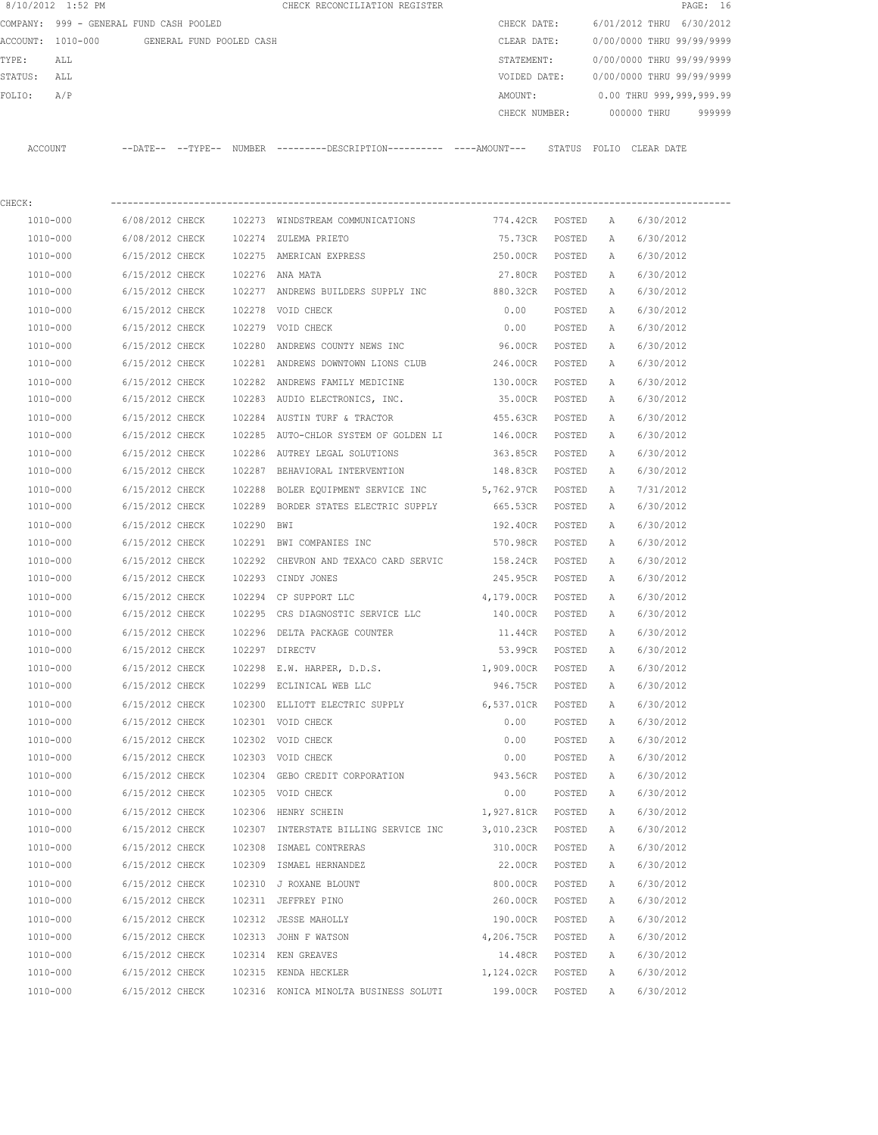|         | 8/10/2012 1:52 PM                       |                 |                          |            | CHECK RECONCILIATION REGISTER                                                                |                   |        |              |                           | PAGE: 16 |
|---------|-----------------------------------------|-----------------|--------------------------|------------|----------------------------------------------------------------------------------------------|-------------------|--------|--------------|---------------------------|----------|
|         | COMPANY: 999 - GENERAL FUND CASH POOLED |                 |                          |            |                                                                                              | CHECK DATE:       |        |              | 6/01/2012 THRU 6/30/2012  |          |
|         | ACCOUNT: 1010-000                       |                 | GENERAL FUND POOLED CASH |            |                                                                                              | CLEAR DATE:       |        |              | 0/00/0000 THRU 99/99/9999 |          |
| TYPE:   | ALL                                     |                 |                          |            |                                                                                              | STATEMENT:        |        |              | 0/00/0000 THRU 99/99/9999 |          |
| STATUS: | ALL                                     |                 |                          |            |                                                                                              | VOIDED DATE:      |        |              | 0/00/0000 THRU 99/99/9999 |          |
| FOLIO:  | A/P                                     |                 |                          |            |                                                                                              | AMOUNT:           |        |              | 0.00 THRU 999,999,999.99  |          |
|         |                                         |                 |                          |            |                                                                                              | CHECK NUMBER:     |        |              | 000000 THRU               | 999999   |
|         | ACCOUNT                                 |                 |                          |            | --DATE-- --TYPE-- NUMBER ---------DESCRIPTION---------- ----AMOUNT--- STATUS FOLIO CLEARDATE |                   |        |              |                           |          |
| CHECK:  |                                         |                 |                          |            |                                                                                              |                   |        |              |                           |          |
|         | 1010-000                                | 6/08/2012 CHECK |                          |            | 102273 WINDSTREAM COMMUNICATIONS                                                             | 774.42CR POSTED   |        | A            | 6/30/2012                 |          |
|         | 1010-000                                | 6/08/2012 CHECK |                          |            | 102274 ZULEMA PRIETO                                                                         | 75.73CR           | POSTED | A            | 6/30/2012                 |          |
|         | 1010-000                                | 6/15/2012 CHECK |                          |            | 102275 AMERICAN EXPRESS                                                                      | 250.00CR          | POSTED | А            | 6/30/2012                 |          |
|         | 1010-000                                | 6/15/2012 CHECK |                          |            | 102276 ANA MATA                                                                              | 27.80CR           | POSTED | Α            | 6/30/2012                 |          |
|         | 1010-000                                | 6/15/2012 CHECK |                          |            | 102277 ANDREWS BUILDERS SUPPLY INC                                                           | 880.32CR POSTED   |        | Α            | 6/30/2012                 |          |
|         | 1010-000                                | 6/15/2012 CHECK |                          |            | 102278 VOID CHECK                                                                            | 0.00              | POSTED | $\mathbb{A}$ | 6/30/2012                 |          |
|         | 1010-000                                | 6/15/2012 CHECK |                          |            | 102279 VOID CHECK                                                                            | 0.00              | POSTED | Α            | 6/30/2012                 |          |
|         | 1010-000                                | 6/15/2012 CHECK |                          |            | 102280 ANDREWS COUNTY NEWS INC                                                               | 96.00CR           | POSTED | А            | 6/30/2012                 |          |
|         | 1010-000                                | 6/15/2012 CHECK |                          |            | 102281 ANDREWS DOWNTOWN LIONS CLUB                                                           | 246.00CR          | POSTED | A            | 6/30/2012                 |          |
|         | 1010-000                                | 6/15/2012 CHECK |                          |            | 102282 ANDREWS FAMILY MEDICINE                                                               | 130.00CR          | POSTED | А            | 6/30/2012                 |          |
|         | 1010-000                                | 6/15/2012 CHECK |                          |            | 102283 AUDIO ELECTRONICS, INC.                                                               | 35.00CR           | POSTED | A            | 6/30/2012                 |          |
|         | 1010-000                                | 6/15/2012 CHECK |                          |            | 102284 AUSTIN TURF & TRACTOR                                                                 | 455.63CR          | POSTED | Α            | 6/30/2012                 |          |
|         | 1010-000                                | 6/15/2012 CHECK |                          |            | 102285 AUTO-CHLOR SYSTEM OF GOLDEN LI 146.00CR                                               |                   | POSTED | A            | 6/30/2012                 |          |
|         | 1010-000                                | 6/15/2012 CHECK |                          |            | 102286 AUTREY LEGAL SOLUTIONS                                                                | 363.85CR          | POSTED | A            | 6/30/2012                 |          |
|         | 1010-000                                | 6/15/2012 CHECK |                          |            | 102287 BEHAVIORAL INTERVENTION                                                               | 148.83CR          | POSTED | A            | 6/30/2012                 |          |
|         | 1010-000                                | 6/15/2012 CHECK |                          |            | 102288 BOLER EQUIPMENT SERVICE INC                                                           | 5,762.97CR POSTED |        | Α            | 7/31/2012                 |          |
|         | 1010-000                                | 6/15/2012 CHECK |                          |            | 102289 BORDER STATES ELECTRIC SUPPLY                                                         | 665.53CR POSTED   |        | Α            | 6/30/2012                 |          |
|         | 1010-000                                | 6/15/2012 CHECK |                          | 102290 BWI |                                                                                              | 192.40CR POSTED   |        | Α            | 6/30/2012                 |          |
|         | 1010-000                                | 6/15/2012 CHECK |                          |            | 102291 BWI COMPANIES INC                                                                     | 570.98CR          | POSTED | A            | 6/30/2012                 |          |
|         | 1010-000                                | 6/15/2012 CHECK |                          |            | 102292 CHEVRON AND TEXACO CARD SERVIC                                                        | 158.24CR          | POSTED | А            | 6/30/2012                 |          |
|         | 1010-000                                | 6/15/2012 CHECK |                          |            | 102293 CINDY JONES                                                                           | 245.95CR          | POSTED | А            | 6/30/2012                 |          |
|         | 1010-000                                | 6/15/2012 CHECK |                          |            | 102294 CP SUPPORT LLC                                                                        | 4,179.00CR        | POSTED | Α            | 6/30/2012                 |          |
|         | 1010-000                                | 6/15/2012 CHECK |                          |            | 102295 CRS DIAGNOSTIC SERVICE LLC                                                            | 140.00CR          | POSTED | A            | 6/30/2012                 |          |
|         | 1010-000                                | 6/15/2012 CHECK |                          |            | 102296 DELTA PACKAGE COUNTER                                                                 | 11.44CR           | POSTED | A            | 6/30/2012                 |          |
|         | 1010-000                                | 6/15/2012 CHECK |                          |            | 102297 DIRECTV                                                                               | 53.99CR           | POSTED | А            | 6/30/2012                 |          |
|         | 1010-000                                | 6/15/2012 CHECK |                          |            | 102298 E.W. HARPER, D.D.S.                                                                   | 1,909.00CR        | POSTED | Α            | 6/30/2012                 |          |
|         | 1010-000                                | 6/15/2012 CHECK |                          |            | 102299 ECLINICAL WEB LLC                                                                     | 946.75CR          | POSTED | Α            | 6/30/2012                 |          |
|         | 1010-000                                | 6/15/2012 CHECK |                          |            | 102300 ELLIOTT ELECTRIC SUPPLY                                                               | 6,537.01CR        | POSTED | Α            | 6/30/2012                 |          |
|         | 1010-000                                | 6/15/2012 CHECK |                          |            | 102301 VOID CHECK                                                                            | 0.00              | POSTED | Α            | 6/30/2012                 |          |
|         | 1010-000                                | 6/15/2012 CHECK |                          |            | 102302 VOID CHECK                                                                            | 0.00              | POSTED | Α            | 6/30/2012                 |          |
|         | 1010-000                                | 6/15/2012 CHECK |                          |            | 102303 VOID CHECK                                                                            | 0.00              | POSTED | Α            | 6/30/2012                 |          |
|         | 1010-000                                | 6/15/2012 CHECK |                          |            | 102304 GEBO CREDIT CORPORATION                                                               | 943.56CR          | POSTED | Α            | 6/30/2012                 |          |
|         | 1010-000                                | 6/15/2012 CHECK |                          |            | 102305 VOID CHECK                                                                            | 0.00              | POSTED | Α            | 6/30/2012                 |          |
|         | $1010 - 000$                            | 6/15/2012 CHECK |                          |            | 102306 HENRY SCHEIN                                                                          | 1,927.81CR        | POSTED | Α            | 6/30/2012                 |          |
|         | 1010-000                                | 6/15/2012 CHECK |                          |            | 102307 INTERSTATE BILLING SERVICE INC 3,010.23CR                                             |                   | POSTED | Α            | 6/30/2012                 |          |
|         | 1010-000                                | 6/15/2012 CHECK |                          | 102308     | ISMAEL CONTRERAS                                                                             | 310.00CR          | POSTED | Α            | 6/30/2012                 |          |
|         | 1010-000                                | 6/15/2012 CHECK |                          |            | 102309 ISMAEL HERNANDEZ                                                                      | 22.00CR           | POSTED | Α            | 6/30/2012                 |          |
|         | 1010-000                                | 6/15/2012 CHECK |                          |            | 102310 J ROXANE BLOUNT                                                                       | 800.00CR          | POSTED | Α            | 6/30/2012                 |          |
|         | 1010-000                                | 6/15/2012 CHECK |                          |            | 102311 JEFFREY PINO                                                                          | 260.00CR          | POSTED | Α            | 6/30/2012                 |          |
|         | 1010-000                                | 6/15/2012 CHECK |                          |            | 102312 JESSE MAHOLLY                                                                         | 190.00CR          | POSTED | Α            | 6/30/2012                 |          |
|         | 1010-000                                | 6/15/2012 CHECK |                          |            | 102313 JOHN F WATSON                                                                         | 4,206.75CR        | POSTED | Α            | 6/30/2012                 |          |
|         | 1010-000                                | 6/15/2012 CHECK |                          |            | 102314 KEN GREAVES                                                                           | 14.48CR           | POSTED | Α            | 6/30/2012                 |          |
|         | 1010-000                                | 6/15/2012 CHECK |                          |            | 102315 KENDA HECKLER                                                                         | 1,124.02CR        | POSTED | Α            | 6/30/2012                 |          |
|         | 1010-000                                | 6/15/2012 CHECK |                          |            | 102316 KONICA MINOLTA BUSINESS SOLUTI                                                        | 199.00CR          | POSTED | Α            | 6/30/2012                 |          |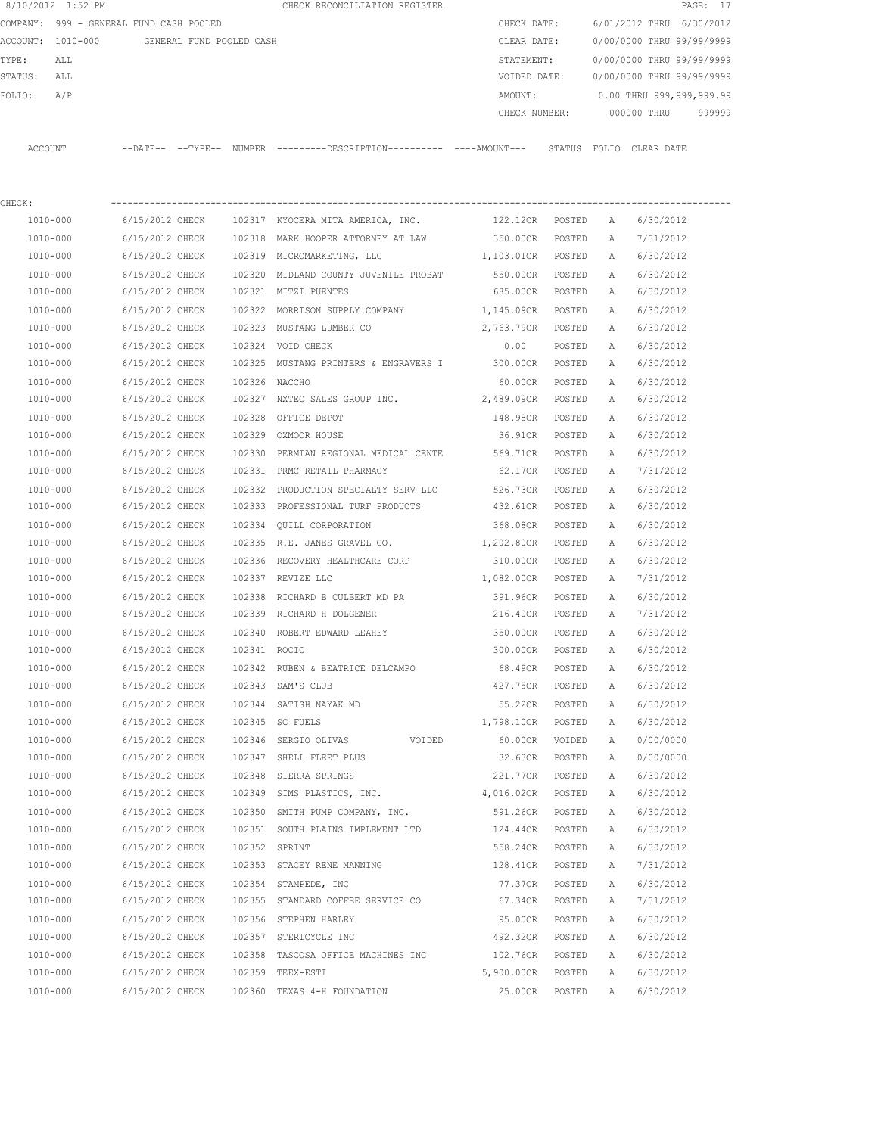| 8/10/2012 1:52 PM                       |                                    |                          |                  | CHECK RECONCILIATION REGISTER                                                                 |                        |                  |                              |                           | PAGE: 17  |
|-----------------------------------------|------------------------------------|--------------------------|------------------|-----------------------------------------------------------------------------------------------|------------------------|------------------|------------------------------|---------------------------|-----------|
| COMPANY: 999 - GENERAL FUND CASH POOLED |                                    |                          |                  |                                                                                               | CHECK DATE:            |                  |                              | 6/01/2012 THRU            | 6/30/2012 |
| ACCOUNT: 1010-000                       |                                    | GENERAL FUND POOLED CASH |                  |                                                                                               | CLEAR DATE:            |                  |                              | 0/00/0000 THRU 99/99/9999 |           |
| TYPE:<br>ALL                            |                                    |                          |                  |                                                                                               | STATEMENT:             |                  |                              | 0/00/0000 THRU 99/99/9999 |           |
| STATUS:<br>ALL                          |                                    |                          |                  |                                                                                               | VOIDED DATE:           |                  |                              | 0/00/0000 THRU 99/99/9999 |           |
| A/P<br>FOLIO:                           |                                    |                          |                  |                                                                                               | AMOUNT:                |                  |                              | 0.00 THRU 999,999,999.99  |           |
|                                         |                                    |                          |                  |                                                                                               | CHECK NUMBER:          |                  |                              | 000000 THRU               | 999999    |
| ACCOUNT                                 |                                    |                          |                  | --DATE-- --TYPE-- NUMBER ---------DESCRIPTION---------- ----AMOUNT--- STATUS FOLIO CLEAR DATE |                        |                  |                              |                           |           |
|                                         |                                    |                          |                  |                                                                                               |                        |                  |                              |                           |           |
| CHECK:                                  |                                    |                          |                  |                                                                                               |                        |                  |                              |                           |           |
| 1010-000                                | 6/15/2012 CHECK                    |                          |                  | 102317 KYOCERA MITA AMERICA, INC.                                                             | 122.12CR               | POSTED           | A                            | 6/30/2012                 |           |
| 1010-000                                | 6/15/2012 CHECK                    |                          | 102318           | MARK HOOPER ATTORNEY AT LAW                                                                   | 350.00CR               | POSTED           | $\mathbb{A}$                 | 7/31/2012                 |           |
| 1010-000                                | 6/15/2012 CHECK                    |                          | 102319           | MICROMARKETING, LLC                                                                           | 1,103.01CR             | POSTED           | $\mathbb{A}$                 | 6/30/2012                 |           |
| 1010-000                                | 6/15/2012 CHECK                    |                          |                  | 102320 MIDLAND COUNTY JUVENILE PROBAT                                                         | 550.00CR               | POSTED           | A                            | 6/30/2012                 |           |
| 1010-000                                | 6/15/2012 CHECK                    |                          |                  | 102321 MITZI PUENTES                                                                          | 685.00CR               | POSTED           | A                            | 6/30/2012                 |           |
| 1010-000                                | 6/15/2012 CHECK                    |                          | 102322           | MORRISON SUPPLY COMPANY                                                                       | 1,145.09CR             | POSTED           | A                            | 6/30/2012                 |           |
| 1010-000                                | 6/15/2012 CHECK                    |                          |                  | 102323 MUSTANG LUMBER CO                                                                      | 2,763.79CR             | POSTED           | Α                            | 6/30/2012                 |           |
| 1010-000<br>1010-000                    | 6/15/2012 CHECK                    |                          |                  | 102324 VOID CHECK                                                                             | 0.00                   | POSTED           | Α                            | 6/30/2012                 |           |
|                                         | 6/15/2012 CHECK                    |                          | 102325           | MUSTANG PRINTERS & ENGRAVERS I 300.00CR                                                       |                        | POSTED           | A                            | 6/30/2012                 |           |
| 1010-000                                | 6/15/2012 CHECK                    |                          | 102326           | NACCHO                                                                                        | 60.00CR                | POSTED           | Α                            | 6/30/2012                 |           |
| 1010-000                                | 6/15/2012 CHECK                    |                          |                  | 102327 NXTEC SALES GROUP INC. 2,489.09CR                                                      |                        | POSTED           | Α                            | 6/30/2012                 |           |
| 1010-000                                | 6/15/2012 CHECK                    |                          | 102328           | OFFICE DEPOT                                                                                  | 148.98CR               | POSTED           | Α                            | 6/30/2012                 |           |
| 1010-000                                | 6/15/2012 CHECK                    |                          |                  | 102329 OXMOOR HOUSE                                                                           | 36.91CR                | POSTED           | Α                            | 6/30/2012                 |           |
| 1010-000<br>1010-000                    | 6/15/2012 CHECK<br>6/15/2012 CHECK |                          | 102330<br>102331 | PERMIAN REGIONAL MEDICAL CENTE<br>PRMC RETAIL PHARMACY                                        | 569.71CR<br>62.17CR    | POSTED<br>POSTED | $\mathbb{A}$<br>$\mathbb{A}$ | 6/30/2012<br>7/31/2012    |           |
|                                         |                                    |                          |                  |                                                                                               | 526.73CR               |                  |                              |                           |           |
| 1010-000<br>1010-000                    | 6/15/2012 CHECK<br>6/15/2012 CHECK |                          | 102332<br>102333 | PRODUCTION SPECIALTY SERV LLC<br>PROFESSIONAL TURF PRODUCTS                                   | 432.61CR               | POSTED<br>POSTED | Α<br>Α                       | 6/30/2012<br>6/30/2012    |           |
|                                         |                                    |                          |                  |                                                                                               |                        |                  |                              |                           |           |
| 1010-000<br>1010-000                    | 6/15/2012 CHECK<br>6/15/2012 CHECK |                          | 102334           | OUILL CORPORATION                                                                             | 368.08CR<br>1,202.80CR | POSTED           | Α                            | 6/30/2012<br>6/30/2012    |           |
| 1010-000                                | 6/15/2012 CHECK                    |                          | 102336           | 102335 R.E. JANES GRAVEL CO.<br>RECOVERY HEALTHCARE CORP                                      | 310.00CR               | POSTED           | Α                            |                           |           |
| 1010-000                                | 6/15/2012 CHECK                    |                          |                  | 102337 REVIZE LLC                                                                             | 1,082.00CR             | POSTED<br>POSTED | Α<br>Α                       | 6/30/2012<br>7/31/2012    |           |
| 1010-000                                | 6/15/2012 CHECK                    |                          | 102338           | RICHARD B CULBERT MD PA                                                                       | 391.96CR               |                  |                              | 6/30/2012                 |           |
| 1010-000                                | 6/15/2012 CHECK                    |                          |                  | 102339 RICHARD H DOLGENER                                                                     | 216.40CR               | POSTED<br>POSTED | Α<br>Α                       | 7/31/2012                 |           |
| 1010-000                                |                                    |                          |                  | 102340 ROBERT EDWARD LEAHEY                                                                   |                        |                  |                              |                           |           |
| 1010-000                                | 6/15/2012 CHECK<br>6/15/2012 CHECK |                          | 102341 ROCIC     |                                                                                               | 350.00CR<br>300.00CR   | POSTED<br>POSTED | Α<br>Α                       | 6/30/2012<br>6/30/2012    |           |
| 1010-000                                | 6/15/2012 CHECK                    |                          |                  | 102342 RUBEN & BEATRICE DELCAMPO                                                              | 68.49CR                | POSTED           | Α                            | 6/30/2012                 |           |
| 1010-000                                | 6/15/2012 CHECK                    |                          |                  | 102343 SAM'S CLUB                                                                             | 427.75CR               | POSTED           | Α                            | 6/30/2012                 |           |
| 1010-000                                | 6/15/2012 CHECK                    |                          |                  | 102344 SATISH NAYAK MD                                                                        | 55.22CR                | POSTED           | Α                            | 6/30/2012                 |           |
| 1010-000                                | 6/15/2012 CHECK                    |                          |                  | 102345 SC FUELS                                                                               | 1,798.10CR             | POSTED           | Α                            | 6/30/2012                 |           |
| 1010-000                                | 6/15/2012 CHECK                    |                          |                  |                                                                                               |                        |                  |                              | 0/00/0000                 |           |
| 1010-000                                | 6/15/2012 CHECK                    |                          |                  | 102346 SERGIO OLIVAS<br>VOIDED<br>102347 SHELL FLEET PLUS                                     | 60.00CR<br>32.63CR     | VOIDED<br>POSTED | Α<br>Α                       | 0/00/0000                 |           |
|                                         |                                    |                          |                  | 102348 SIERRA SPRINGS                                                                         |                        |                  |                              |                           |           |
| 1010-000<br>1010-000                    | 6/15/2012 CHECK<br>6/15/2012 CHECK |                          |                  | 102349 SIMS PLASTICS, INC.                                                                    | 221.77CR<br>4,016.02CR | POSTED<br>POSTED | Α<br>Α                       | 6/30/2012<br>6/30/2012    |           |
|                                         |                                    |                          |                  |                                                                                               |                        |                  |                              |                           |           |
| 1010-000                                | 6/15/2012 CHECK                    |                          |                  | 102350 SMITH PUMP COMPANY, INC.                                                               | 591.26CR               | POSTED           | Α                            | 6/30/2012                 |           |

 1010-000 6/15/2012 CHECK 102351 SOUTH PLAINS IMPLEMENT LTD 124.44CR POSTED A 6/30/2012 1010-000 6/15/2012 CHECK 102352 SPRINT 558.24CR POSTED A 6/30/2012 1010-000 6/15/2012 CHECK 102353 STACEY RENE MANNING 128.41CR POSTED A 7/31/2012 1010-000 6/15/2012 CHECK 102354 STAMPEDE, INC 77.37CR POSTED A 6/30/2012 1010-000 6/15/2012 CHECK 102355 STANDARD COFFEE SERVICE CO 67.34CR POSTED A 7/31/2012 1010-000 6/15/2012 CHECK 102356 STEPHEN HARLEY 95.00CR POSTED A 6/30/2012 1010-000 6/15/2012 CHECK 102357 STERICYCLE INC 492.32CR POSTED A 6/30/2012 1010-000 6/15/2012 CHECK 102358 TASCOSA OFFICE MACHINES INC 102.76CR POSTED A 6/30/2012 1010-000 6/15/2012 CHECK 102359 TEEX-ESTI 5,900.00CR POSTED A 6/30/2012 1010-000 6/15/2012 CHECK 102360 TEXAS 4-H FOUNDATION 25.00CR POSTED A 6/30/2012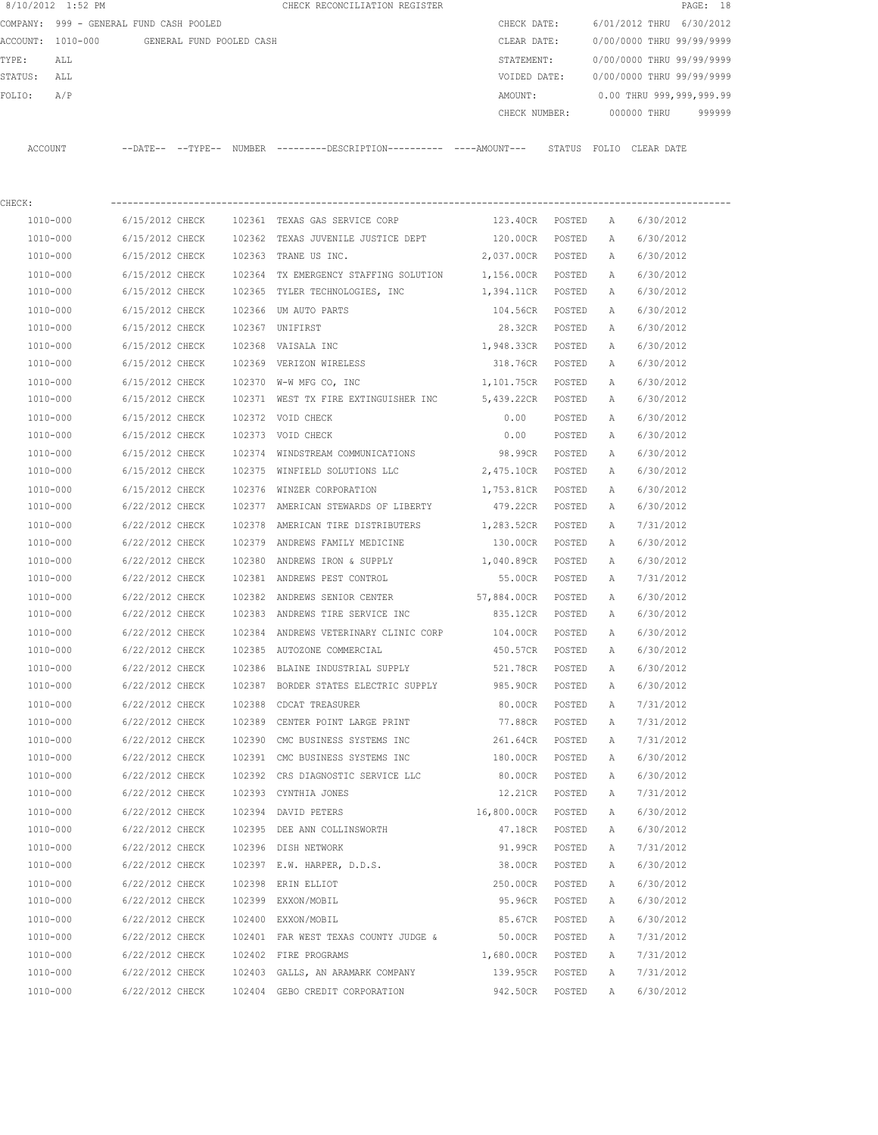|          | 8/10/2012 1:52 PM              |                            |                          | CHECK RECONCILIATION REGISTER                |               |                           |            | PAGE: 18 |  |
|----------|--------------------------------|----------------------------|--------------------------|----------------------------------------------|---------------|---------------------------|------------|----------|--|
| COMPANY: | 999 - GENERAL FUND CASH POOLED |                            |                          |                                              | CHECK DATE:   | 6/01/2012 THRU 6/30/2012  |            |          |  |
|          | ACCOUNT: 1010-000              |                            | GENERAL FUND POOLED CASH |                                              | CLEAR DATE:   | 0/00/0000 THRU 99/99/9999 |            |          |  |
| TYPE:    | ALL                            |                            |                          |                                              | STATEMENT:    | 0/00/0000 THRU 99/99/9999 |            |          |  |
| STATUS:  | ALL                            |                            |                          |                                              | VOIDED DATE:  | 0/00/0000 THRU 99/99/9999 |            |          |  |
| FOLIO:   | A/P                            |                            |                          |                                              | AMOUNT:       | 0.00 THRU 999,999,999.99  |            |          |  |
|          |                                |                            |                          |                                              | CHECK NUMBER: | 000000 THRU               |            | 999999   |  |
|          |                                |                            |                          |                                              |               |                           |            |          |  |
| ACCOUNT  |                                | $--$ DATE $- --$ TYPE $--$ | NUMBER                   | ---------DESCRIPTION---------- ----AMOUNT--- | STATUS        | FOLTO                     | CLEAR DATE |          |  |

| CHECK:   |                 |        |                                                         |                    |        |   |           |
|----------|-----------------|--------|---------------------------------------------------------|--------------------|--------|---|-----------|
| 1010-000 | 6/15/2012 CHECK |        | 102361 TEXAS GAS SERVICE CORP                           | 123.40CR POSTED    |        | A | 6/30/2012 |
| 1010-000 | 6/15/2012 CHECK |        | 102362 TEXAS JUVENILE JUSTICE DEPT 120.00CR             |                    | POSTED | A | 6/30/2012 |
| 1010-000 | 6/15/2012 CHECK |        | 102363 TRANE US INC.                                    | 2,037.00CR POSTED  |        | A | 6/30/2012 |
| 1010-000 | 6/15/2012 CHECK |        | 102364 TX EMERGENCY STAFFING SOLUTION 1,156.00CR POSTED |                    |        | Α | 6/30/2012 |
| 1010-000 | 6/15/2012 CHECK |        | 102365 TYLER TECHNOLOGIES, INC                          | 1,394.11CR POSTED  |        | Α | 6/30/2012 |
| 1010-000 | 6/15/2012 CHECK |        | 102366 UM AUTO PARTS                                    | 104.56CR POSTED    |        | Α | 6/30/2012 |
| 1010-000 | 6/15/2012 CHECK |        | 102367 UNIFIRST                                         | 28.32CR POSTED     |        | Α | 6/30/2012 |
| 1010-000 | 6/15/2012 CHECK |        | 102368 VAISALA INC                                      | 1,948.33CR POSTED  |        | A | 6/30/2012 |
| 1010-000 | 6/15/2012 CHECK |        | 102369 VERIZON WIRELESS                                 | 318.76CR POSTED    |        | Α | 6/30/2012 |
| 1010-000 | 6/15/2012 CHECK | 102370 | W-W MFG CO, INC                                         | 1,101.75CR POSTED  |        | Α | 6/30/2012 |
| 1010-000 | 6/15/2012 CHECK |        | 102371 WEST TX FIRE EXTINGUISHER INC 5,439.22CR POSTED  |                    |        | A | 6/30/2012 |
| 1010-000 | 6/15/2012 CHECK |        | 102372 VOID CHECK                                       | 0.00               | POSTED | Α | 6/30/2012 |
| 1010-000 | 6/15/2012 CHECK |        | 102373 VOID CHECK                                       | 0.00               | POSTED | A | 6/30/2012 |
| 1010-000 | 6/15/2012 CHECK |        | 102374 WINDSTREAM COMMUNICATIONS                        | 98.99CR            | POSTED | Α | 6/30/2012 |
| 1010-000 | 6/15/2012 CHECK |        | 102375 WINFIELD SOLUTIONS LLC 2,475.10CR POSTED         |                    |        | Α | 6/30/2012 |
| 1010-000 | 6/15/2012 CHECK |        | 102376 WINZER CORPORATION                               | 1,753.81CR POSTED  |        | Α | 6/30/2012 |
| 1010-000 | 6/22/2012 CHECK |        | 102377 AMERICAN STEWARDS OF LIBERTY                     | 479.22CR POSTED    |        | Α | 6/30/2012 |
| 1010-000 | 6/22/2012 CHECK |        | 102378 AMERICAN TIRE DISTRIBUTERS                       | 1,283.52CR POSTED  |        | Α | 7/31/2012 |
| 1010-000 | 6/22/2012 CHECK |        | 102379 ANDREWS FAMILY MEDICINE                          | 130.00CR POSTED    |        | Α | 6/30/2012 |
| 1010-000 | 6/22/2012 CHECK |        | 102380 ANDREWS IRON & SUPPLY                            | 1,040.89CR POSTED  |        | Α | 6/30/2012 |
| 1010-000 | 6/22/2012 CHECK |        | 102381 ANDREWS PEST CONTROL                             | 55.00CR POSTED     |        | A | 7/31/2012 |
| 1010-000 | 6/22/2012 CHECK |        | 102382 ANDREWS SENIOR CENTER                            | 57,884.00CR POSTED |        | Α | 6/30/2012 |
| 1010-000 | 6/22/2012 CHECK |        | 102383 ANDREWS TIRE SERVICE INC                         | 835.12CR           | POSTED | Α | 6/30/2012 |
| 1010-000 | 6/22/2012 CHECK |        | 102384 ANDREWS VETERINARY CLINIC CORP                   | 104.00CR           | POSTED | Α | 6/30/2012 |
| 1010-000 | 6/22/2012 CHECK |        | 102385 AUTOZONE COMMERCIAL                              | 450.57CR           | POSTED | Α | 6/30/2012 |
| 1010-000 | 6/22/2012 CHECK |        | 102386 BLAINE INDUSTRIAL SUPPLY                         | 521.78CR           | POSTED | A | 6/30/2012 |
| 1010-000 | 6/22/2012 CHECK |        | 102387 BORDER STATES ELECTRIC SUPPLY                    | 985.90CR           | POSTED | Α | 6/30/2012 |
| 1010-000 | 6/22/2012 CHECK | 102388 | CDCAT TREASURER                                         | 80.00CR            | POSTED | Α | 7/31/2012 |
| 1010-000 | 6/22/2012 CHECK | 102389 | CENTER POINT LARGE PRINT                                | 77.88CR            | POSTED | Α | 7/31/2012 |
| 1010-000 | 6/22/2012 CHECK |        | 102390 CMC BUSINESS SYSTEMS INC                         | 261.64CR           | POSTED | Α | 7/31/2012 |
| 1010-000 | 6/22/2012 CHECK |        | 102391 CMC BUSINESS SYSTEMS INC                         | 180.00CR POSTED    |        | Α | 6/30/2012 |
| 1010-000 | 6/22/2012 CHECK |        | 102392 CRS DIAGNOSTIC SERVICE LLC                       | 80.00CR            | POSTED | A | 6/30/2012 |
| 1010-000 | 6/22/2012 CHECK |        | 102393 CYNTHIA JONES                                    | 12.21CR POSTED     |        | Α | 7/31/2012 |
| 1010-000 | 6/22/2012 CHECK | 102394 | DAVID PETERS                                            | 16,800.00CR        | POSTED | Α | 6/30/2012 |
| 1010-000 | 6/22/2012 CHECK |        | 102395 DEE ANN COLLINSWORTH                             | 47.18CR            | POSTED | Α | 6/30/2012 |
| 1010-000 | 6/22/2012 CHECK |        | 102396 DISH NETWORK                                     | 91.99CR            | POSTED | А | 7/31/2012 |
| 1010-000 | 6/22/2012 CHECK |        | 102397 E.W. HARPER, D.D.S.                              | 38.00CR            | POSTED | Α | 6/30/2012 |
| 1010-000 | 6/22/2012 CHECK |        | 102398 ERIN ELLIOT                                      | 250.00CR           | POSTED | Α | 6/30/2012 |
| 1010-000 | 6/22/2012 CHECK |        | 102399 EXXON/MOBIL                                      | 95.96CR            | POSTED | Α | 6/30/2012 |
| 1010-000 | 6/22/2012 CHECK |        | 102400 EXXON/MOBIL                                      | 85.67CR            | POSTED | Α | 6/30/2012 |
| 1010-000 | 6/22/2012 CHECK |        | 102401 FAR WEST TEXAS COUNTY JUDGE &                    | 50.00CR            | POSTED | Α | 7/31/2012 |
| 1010-000 | 6/22/2012 CHECK |        | 102402 FIRE PROGRAMS                                    | 1,680.00CR         | POSTED | Α | 7/31/2012 |
| 1010-000 | 6/22/2012 CHECK |        | 102403 GALLS, AN ARAMARK COMPANY                        | 139.95CR           | POSTED | Α | 7/31/2012 |
| 1010-000 | 6/22/2012 CHECK |        | 102404 GEBO CREDIT CORPORATION                          | 942.50CR           | POSTED | Α | 6/30/2012 |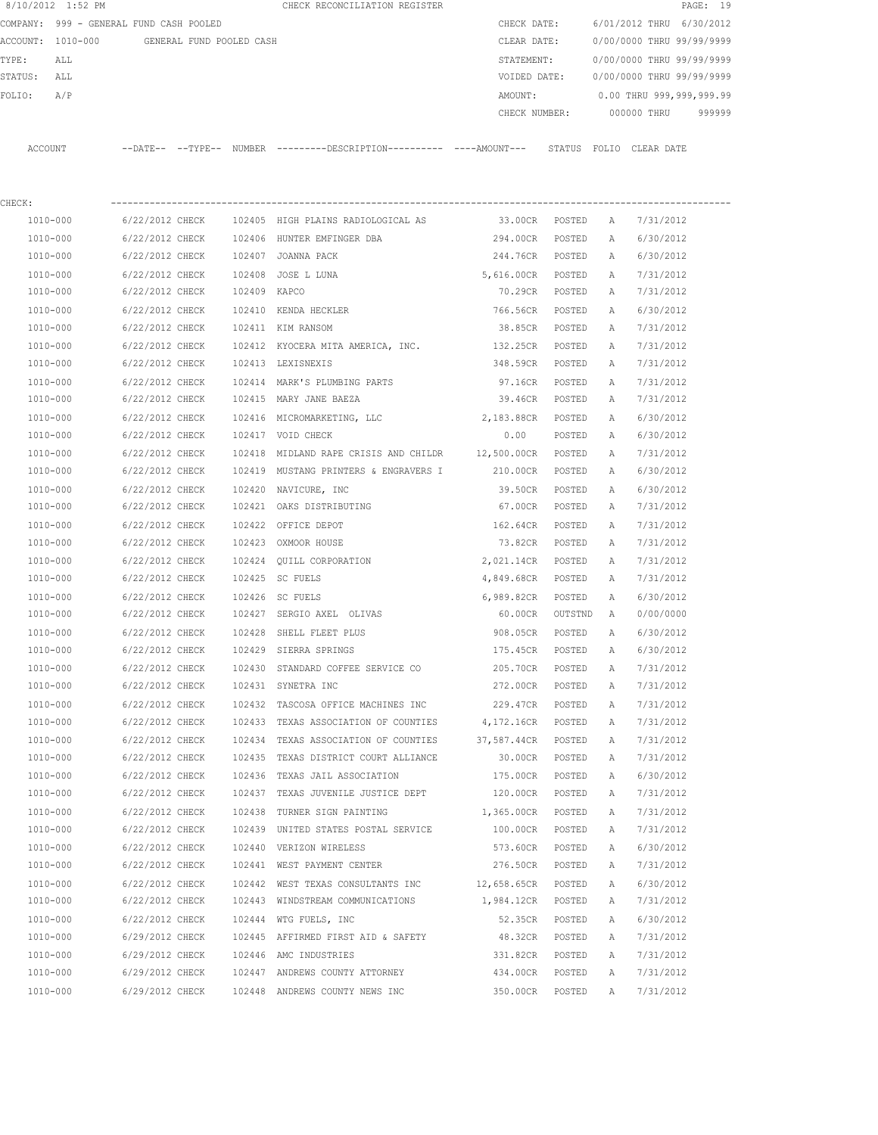| 8/10/2012 1:52 PM |                                            |              | CHECK RECONCILIATION REGISTER                                                                       |                   |                  |   | PAGE: 19                               |  |
|-------------------|--------------------------------------------|--------------|-----------------------------------------------------------------------------------------------------|-------------------|------------------|---|----------------------------------------|--|
|                   | COMPANY: 999 - GENERAL FUND CASH POOLED    |              |                                                                                                     | CHECK DATE:       |                  |   | 6/01/2012 THRU 6/30/2012               |  |
|                   | ACCOUNT: 1010-000 GENERAL FUND POOLED CASH |              |                                                                                                     | CLEAR DATE:       |                  |   | 0/00/0000 THRU 99/99/9999              |  |
| TYPE:<br>ALL      |                                            |              |                                                                                                     | STATEMENT:        |                  |   | 0/00/0000 THRU 99/99/9999              |  |
| STATUS: ALL       |                                            |              |                                                                                                     |                   |                  |   | VOIDED DATE: 0/00/0000 THRU 99/99/9999 |  |
| A/P<br>FOLIO:     |                                            |              |                                                                                                     | AMOUNT:           |                  |   | 0.00 THRU 999,999,999.99               |  |
|                   |                                            |              |                                                                                                     |                   |                  |   | CHECK NUMBER: 000000 THRU 999999       |  |
|                   |                                            |              | ACCOUNT --DATE-- --TYPE-- NUMBER --------DESCRIPTION--------- ----AMOUNT--- STATUS FOLIO CLEAR DATE |                   |                  |   |                                        |  |
|                   |                                            |              |                                                                                                     |                   |                  |   |                                        |  |
| CHECK:            |                                            |              |                                                                                                     |                   |                  |   |                                        |  |
| 1010-000          |                                            |              | 6/22/2012 CHECK 102405 HIGH PLAINS RADIOLOGICAL AS                                                  | 33.00CR POSTED A  |                  |   | 7/31/2012                              |  |
| 1010-000          |                                            |              | 6/22/2012 CHECK 102406 HUNTER EMFINGER DBA                                                          | 294.00CR POSTED A |                  |   | 6/30/2012                              |  |
| 1010-000          | 6/22/2012 CHECK                            |              | 102407 JOANNA PACK                                                                                  | 244.76CR POSTED A |                  |   | 6/30/2012                              |  |
| 1010-000          | 6/22/2012 CHECK                            |              | 102408 JOSE L LUNA                                                                                  | 5,616.00CR POSTED |                  | A | 7/31/2012                              |  |
| 1010-000          | 6/22/2012 CHECK                            | 102409 KAPCO |                                                                                                     | 70.29CR POSTED    |                  | A | 7/31/2012                              |  |
| 1010-000          | 6/22/2012 CHECK                            |              | 102410 KENDA HECKLER                                                                                | 766.56CR POSTED   |                  | A | 6/30/2012                              |  |
| 1010-000          |                                            |              | 6/22/2012 CHECK 102411 KIM RANSOM                                                                   | 38.85CR POSTED    |                  | A | 7/31/2012                              |  |
| 1010-000          |                                            |              | 6/22/2012 CHECK 102412 KYOCERA MITA AMERICA, INC. 132.25CR POSTED                                   |                   |                  | A | 7/31/2012                              |  |
| 1010-000          |                                            |              | 6/22/2012 CHECK 102413 LEXISNEXIS                                                                   | 348.59CR POSTED   |                  | A | 7/31/2012                              |  |
| 1010-000          |                                            |              | 6/22/2012 CHECK 102414 MARK'S PLUMBING PARTS                                                        | 97.16CR POSTED    |                  | A | 7/31/2012                              |  |
| 1010-000          |                                            |              | 6/22/2012 CHECK 102415 MARY JANE BAEZA                                                              | 39.46CR POSTED    |                  | A | 7/31/2012                              |  |
| 1010-000          | 6/22/2012 CHECK                            |              | 102416 MICROMARKETING, LLC                                                                          | 2,183.88CR POSTED |                  | A | 6/30/2012                              |  |
| 1010-000          | 6/22/2012 CHECK                            |              | 102417 VOID CHECK                                                                                   | 0.00              | POSTED           | A | 6/30/2012                              |  |
| 1010-000          | 6/22/2012 CHECK                            |              | 102418 MIDLAND RAPE CRISIS AND CHILDR 12,500.00CR POSTED                                            |                   |                  | A | 7/31/2012                              |  |
| 1010-000          | 6/22/2012 CHECK                            |              | 102419 MUSTANG PRINTERS & ENGRAVERS I                                                               | 210.00CR POSTED   |                  | A | 6/30/2012                              |  |
| 1010-000          | 6/22/2012 CHECK                            |              | 102420 NAVICURE, INC                                                                                | 39.50CR           | POSTED           | A | 6/30/2012                              |  |
| 1010-000          | 6/22/2012 CHECK                            |              | 102421 OAKS DISTRIBUTING                                                                            | 67.00CR           | POSTED           | A | 7/31/2012                              |  |
| 1010-000          | 6/22/2012 CHECK                            |              | 102422 OFFICE DEPOT                                                                                 | 162.64CR POSTED   |                  | A | 7/31/2012                              |  |
| 1010-000          | 6/22/2012 CHECK                            |              | 102423 OXMOOR HOUSE                                                                                 | 73.82CR POSTED    |                  | A | 7/31/2012                              |  |
| 1010-000          | 6/22/2012 CHECK                            |              | 102424 QUILL CORPORATION 2,021.14CR POSTED                                                          |                   |                  | A | 7/31/2012                              |  |
| 1010-000          | 6/22/2012 CHECK 102425 SC FUELS            |              |                                                                                                     | 4,849.68CR POSTED |                  | A | 7/31/2012                              |  |
| 1010-000          | 6/22/2012 CHECK                            |              | 102426 SC FUELS                                                                                     | 6,989.82CR        | POSTED           | A | 6/30/2012                              |  |
| 1010-000          |                                            |              | 6/22/2012 CHECK 102427 SERGIO AXEL OLIVAS                                                           | 60.00CR           | OUTSTND          | A | 0/00/0000                              |  |
| 1010-000          | 6/22/2012 CHECK                            |              | 102428 SHELL FLEET PLUS                                                                             | 908.05CR          | POSTED           | A | 6/30/2012                              |  |
| 1010-000          | 6/22/2012 CHECK                            |              | 102429 SIERRA SPRINGS                                                                               | 175.45CR          | POSTED           | Α | 6/30/2012                              |  |
| 1010-000          | 6/22/2012 CHECK                            |              | 102430 STANDARD COFFEE SERVICE CO                                                                   | 205.70CR          | POSTED           | Α | 7/31/2012                              |  |
| 1010-000          | 6/22/2012 CHECK                            |              | 102431 SYNETRA INC                                                                                  | 272.00CR          | POSTED           | Α | 7/31/2012                              |  |
| 1010-000          | 6/22/2012 CHECK                            |              | 102432 TASCOSA OFFICE MACHINES INC                                                                  | 229.47CR          | POSTED           | Α | 7/31/2012                              |  |
| 1010-000          | 6/22/2012 CHECK                            |              | 102433 TEXAS ASSOCIATION OF COUNTIES                                                                | 4,172.16CR        | POSTED           | Α | 7/31/2012                              |  |
| 1010-000          | 6/22/2012 CHECK                            |              | 102434 TEXAS ASSOCIATION OF COUNTIES                                                                | 37,587.44CR       | POSTED           | Α | 7/31/2012                              |  |
| 1010-000          | 6/22/2012 CHECK                            |              | 102435 TEXAS DISTRICT COURT ALLIANCE                                                                | 30.00CR           | POSTED           | Α | 7/31/2012                              |  |
| 1010-000          | 6/22/2012 CHECK                            |              | 102436 TEXAS JAIL ASSOCIATION                                                                       | 175.00CR          | POSTED           | Α | 6/30/2012                              |  |
| 1010-000          | 6/22/2012 CHECK                            |              | 102437 TEXAS JUVENILE JUSTICE DEPT                                                                  | 120.00CR          | POSTED           | Α | 7/31/2012                              |  |
| 1010-000          | 6/22/2012 CHECK                            |              | 102438 TURNER SIGN PAINTING                                                                         | 1,365.00CR        | POSTED           | Α | 7/31/2012                              |  |
| 1010-000          | 6/22/2012 CHECK                            |              | 102439 UNITED STATES POSTAL SERVICE                                                                 | 100.00CR          | POSTED           | Α | 7/31/2012                              |  |
| 1010-000          | 6/22/2012 CHECK                            |              | 102440 VERIZON WIRELESS                                                                             | 573.60CR          | POSTED           | Α | 6/30/2012                              |  |
| 1010-000          | 6/22/2012 CHECK                            |              | 102441 WEST PAYMENT CENTER                                                                          | 276.50CR          | POSTED           | Α | 7/31/2012                              |  |
| 1010-000          | 6/22/2012 CHECK                            |              | 102442 WEST TEXAS CONSULTANTS INC                                                                   | 12,658.65CR       | POSTED           | Α | 6/30/2012                              |  |
| 1010-000          | 6/22/2012 CHECK                            |              | 102443 WINDSTREAM COMMUNICATIONS                                                                    | 1,984.12CR POSTED |                  | Α | 7/31/2012                              |  |
| 1010-000          | 6/22/2012 CHECK                            |              | 102444 WTG FUELS, INC                                                                               | 52.35CR           | POSTED           | Α | 6/30/2012                              |  |
| 1010-000          | 6/29/2012 CHECK                            |              | 102445 AFFIRMED FIRST AID & SAFETY                                                                  | 48.32CR           | POSTED           | Α | 7/31/2012                              |  |
| 1010-000          | 6/29/2012 CHECK                            |              | 102446 AMC INDUSTRIES                                                                               | 331.82CR          |                  | Α | 7/31/2012                              |  |
| 1010-000          | 6/29/2012 CHECK                            |              | 102447 ANDREWS COUNTY ATTORNEY                                                                      | 434.00CR          | POSTED<br>POSTED | Α | 7/31/2012                              |  |
|                   |                                            |              |                                                                                                     |                   |                  |   |                                        |  |
| 1010-000          | 6/29/2012 CHECK                            |              | 102448 ANDREWS COUNTY NEWS INC                                                                      | 350.00CR          | POSTED           | Α | 7/31/2012                              |  |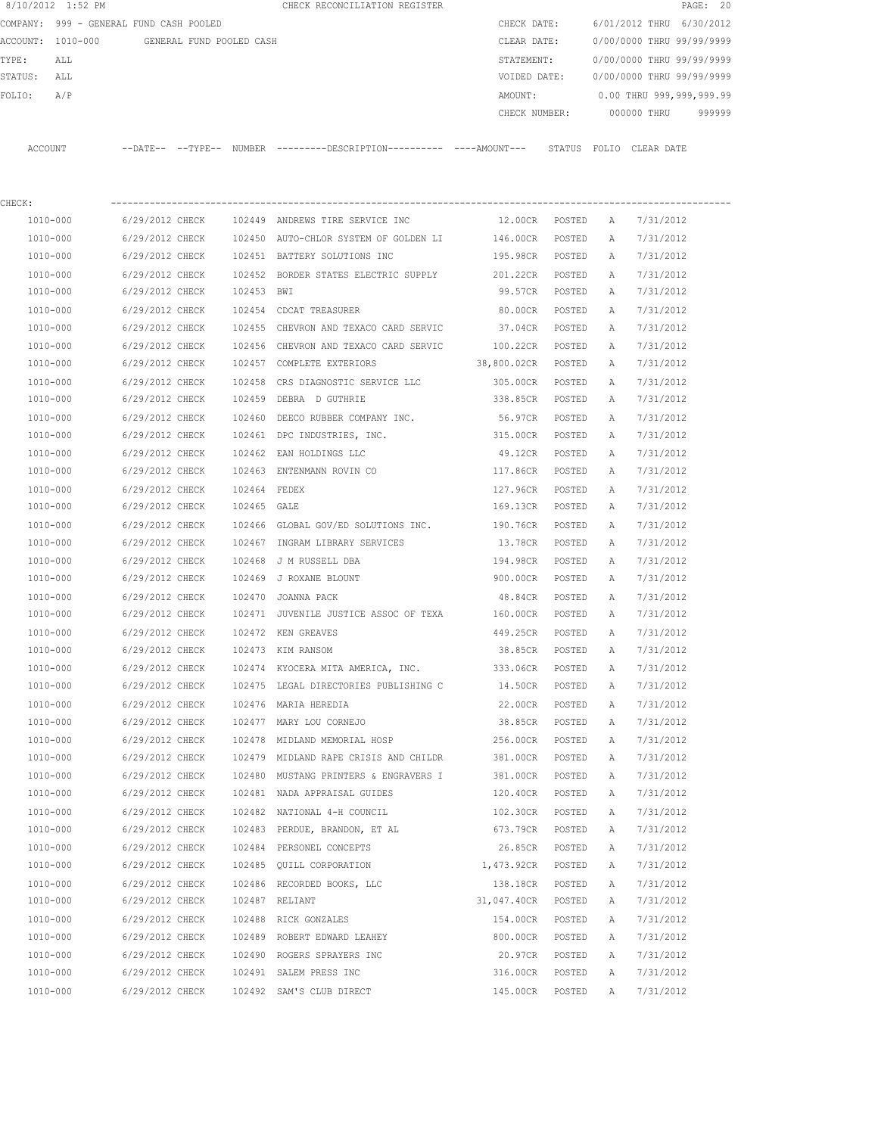|             | 8/10/2012 1:52 PM                          |                 |              | CHECK RECONCILIATION REGISTER                                                                |                    |        |              |                           | PAGE: 20 |
|-------------|--------------------------------------------|-----------------|--------------|----------------------------------------------------------------------------------------------|--------------------|--------|--------------|---------------------------|----------|
|             | COMPANY: 999 - GENERAL FUND CASH POOLED    |                 |              |                                                                                              | CHECK DATE:        |        |              | 6/01/2012 THRU 6/30/2012  |          |
|             | ACCOUNT: 1010-000 GENERAL FUND POOLED CASH |                 |              |                                                                                              | CLEAR DATE:        |        |              | 0/00/0000 THRU 99/99/9999 |          |
| TYPE:       | ALL                                        |                 |              |                                                                                              | STATEMENT:         |        |              | 0/00/0000 THRU 99/99/9999 |          |
| STATUS: ALL |                                            |                 |              |                                                                                              | VOIDED DATE:       |        |              | 0/00/0000 THRU 99/99/9999 |          |
| FOLIO:      | A/P                                        |                 |              |                                                                                              | AMOUNT:            |        |              | 0.00 THRU 999,999,999.99  |          |
|             |                                            |                 |              |                                                                                              |                    |        |              | CHECK NUMBER: 000000 THRU | 999999   |
|             | ACCOUNT                                    |                 |              | --DATE-- --TYPE-- NUMBER ---------DESCRIPTION---------- ----AMOUNT--- STATUS FOLIO CLEARDATE |                    |        |              |                           |          |
|             |                                            |                 |              |                                                                                              |                    |        |              |                           |          |
| CHECK:      |                                            |                 |              |                                                                                              |                    |        |              |                           |          |
|             | 1010-000                                   | 6/29/2012 CHECK |              | 102449 ANDREWS TIRE SERVICE INC                                                              | 12.00CR POSTED     |        | A            | 7/31/2012                 |          |
|             | 1010-000                                   | 6/29/2012 CHECK |              | 102450 AUTO-CHLOR SYSTEM OF GOLDEN LI                                                        | 146.00CR           | POSTED | Α            | 7/31/2012                 |          |
|             | 1010-000                                   | 6/29/2012 CHECK |              | 102451 BATTERY SOLUTIONS INC                                                                 | 195.98CR           | POSTED | A            | 7/31/2012                 |          |
|             | 1010-000                                   | 6/29/2012 CHECK |              | 102452 BORDER STATES ELECTRIC SUPPLY 201.22CR                                                |                    | POSTED | A            | 7/31/2012                 |          |
|             | 1010-000                                   | 6/29/2012 CHECK | 102453 BWI   |                                                                                              | 99.57CR            | POSTED | A            | 7/31/2012                 |          |
|             | 1010-000                                   | 6/29/2012 CHECK |              | 102454 CDCAT TREASURER                                                                       | 80.00CR            | POSTED | Α            | 7/31/2012                 |          |
|             | 1010-000                                   | 6/29/2012 CHECK |              | 102455 CHEVRON AND TEXACO CARD SERVIC 37.04CR                                                |                    | POSTED | Α            | 7/31/2012                 |          |
|             | 1010-000                                   | 6/29/2012 CHECK |              | 102456 CHEVRON AND TEXACO CARD SERVIC                                                        | 100.22CR           | POSTED | $\mathbb{A}$ | 7/31/2012                 |          |
|             | 1010-000                                   | 6/29/2012 CHECK |              | 102457 COMPLETE EXTERIORS                                                                    | 38,800.02CR POSTED |        | Α            | 7/31/2012                 |          |
|             | 1010-000                                   | 6/29/2012 CHECK |              | 102458 CRS DIAGNOSTIC SERVICE LLC                                                            | 305.00CR           | POSTED | A            | 7/31/2012                 |          |
|             | 1010-000                                   | 6/29/2012 CHECK |              | 102459 DEBRA D GUTHRIE                                                                       | 338.85CR POSTED    |        | A            | 7/31/2012                 |          |
|             | 1010-000                                   | 6/29/2012 CHECK |              | 102460 DEECO RUBBER COMPANY INC.                                                             | 56.97CR            | POSTED | A            | 7/31/2012                 |          |
|             | 1010-000                                   | 6/29/2012 CHECK |              | 102461 DPC INDUSTRIES, INC.                                                                  | 315.00CR           | POSTED | A            | 7/31/2012                 |          |
|             | 1010-000                                   | 6/29/2012 CHECK |              | 102462 EAN HOLDINGS LLC                                                                      | 49.12CR            | POSTED | A            | 7/31/2012                 |          |
|             | 1010-000                                   | 6/29/2012 CHECK |              | 102463 ENTENMANN ROVIN CO                                                                    | 117.86CR           | POSTED | A            | 7/31/2012                 |          |
|             | 1010-000                                   | 6/29/2012 CHECK | 102464 FEDEX |                                                                                              | 127.96CR           | POSTED | Α            | 7/31/2012                 |          |
|             | 1010-000                                   | 6/29/2012 CHECK | 102465 GALE  |                                                                                              | 169.13CR           | POSTED | A            | 7/31/2012                 |          |
|             | 1010-000                                   | 6/29/2012 CHECK |              | 102466 GLOBAL GOV/ED SOLUTIONS INC.                                                          | 190.76CR           | POSTED | Α            | 7/31/2012                 |          |
|             | 1010-000                                   | 6/29/2012 CHECK |              | 102467 INGRAM LIBRARY SERVICES                                                               | 13.78CR            | POSTED | Α            | 7/31/2012                 |          |
|             | 1010-000                                   | 6/29/2012 CHECK |              | 102468 J M RUSSELL DBA                                                                       | 194.98CR           | POSTED | A            | 7/31/2012                 |          |
|             | 1010-000                                   | 6/29/2012 CHECK |              | 102469 J ROXANE BLOUNT                                                                       | 900.00CR POSTED    |        | Α            | 7/31/2012                 |          |
|             | 1010-000                                   | 6/29/2012 CHECK |              | 102470 JOANNA PACK                                                                           | 48.84CR POSTED     |        | A            | 7/31/2012                 |          |
|             | 1010-000                                   | 6/29/2012 CHECK |              | 102471 JUVENILE JUSTICE ASSOC OF TEXA                                                        | 160.00CR POSTED    |        | A            | 7/31/2012                 |          |
|             | 1010-000                                   | 6/29/2012 CHECK |              | 102472 KEN GREAVES                                                                           | 449.25CR POSTED    |        | Α            | 7/31/2012                 |          |
|             | 1010-000                                   | 6/29/2012 CHECK |              | 102473 KIM RANSOM                                                                            | 38.85CR            | POSTED | A            | 7/31/2012                 |          |
|             | 1010-000                                   | 6/29/2012 CHECK |              | 102474 KYOCERA MITA AMERICA, INC.                                                            | 333.06CR           | POSTED | Α            | 7/31/2012                 |          |
|             | 1010-000                                   | 6/29/2012 CHECK |              | 102475 LEGAL DIRECTORIES PUBLISHING C 14.50CR                                                |                    | POSTED | Α            | 7/31/2012                 |          |
|             | 1010-000                                   | 6/29/2012 CHECK |              | 102476 MARIA HEREDIA                                                                         | 22.00CR            | POSTED | Α            | 7/31/2012                 |          |
|             | 1010-000                                   | 6/29/2012 CHECK |              | 102477 MARY LOU CORNEJO                                                                      | 38.85CR            | POSTED | Α            | 7/31/2012                 |          |
|             | 1010-000                                   | 6/29/2012 CHECK |              | 102478 MIDLAND MEMORIAL HOSP                                                                 | 256.00CR           | POSTED | Α            | 7/31/2012                 |          |
|             | 1010-000                                   | 6/29/2012 CHECK |              | 102479 MIDLAND RAPE CRISIS AND CHILDR                                                        | 381.00CR           | POSTED | Α            | 7/31/2012                 |          |
|             | 1010-000                                   | 6/29/2012 CHECK |              | 102480 MUSTANG PRINTERS & ENGRAVERS I                                                        | 381.00CR           | POSTED | Α            | 7/31/2012                 |          |
|             | 1010-000                                   | 6/29/2012 CHECK |              | 102481 NADA APPRAISAL GUIDES                                                                 | 120.40CR           | POSTED | Α            | 7/31/2012                 |          |
|             |                                            |                 |              |                                                                                              |                    |        |              |                           |          |
|             | 1010-000                                   | 6/29/2012 CHECK |              | 102482 NATIONAL 4-H COUNCIL                                                                  | 102.30CR           | POSTED | Α            | 7/31/2012                 |          |
|             | 1010-000                                   | 6/29/2012 CHECK |              | 102483 PERDUE, BRANDON, ET AL                                                                | 673.79CR           | POSTED | Α            | 7/31/2012                 |          |
|             | 1010-000                                   | 6/29/2012 CHECK |              | 102484 PERSONEL CONCEPTS                                                                     | 26.85CR            | POSTED | Α            | 7/31/2012                 |          |
|             | 1010-000                                   | 6/29/2012 CHECK |              | 102485 QUILL CORPORATION                                                                     | 1,473.92CR         | POSTED | Α            | 7/31/2012                 |          |
|             | 1010-000                                   | 6/29/2012 CHECK |              | 102486 RECORDED BOOKS, LLC                                                                   | 138.18CR           | POSTED | Α            | 7/31/2012                 |          |

 1010-000 6/29/2012 CHECK 102487 RELIANT 31,047.40CR POSTED A 7/31/2012 1010-000 6/29/2012 CHECK 102488 RICK GONZALES 154.00CR POSTED A 7/31/2012 1010-000 6/29/2012 CHECK 102489 ROBERT EDWARD LEAHEY 800.00CR POSTED A 7/31/2012 1010-000 6/29/2012 CHECK 102490 ROGERS SPRAYERS INC 20.97CR POSTED A 7/31/2012 1010-000 6/29/2012 CHECK 102491 SALEM PRESS INC 316.00CR POSTED A 7/31/2012 1010-000 6/29/2012 CHECK 102492 SAM'S CLUB DIRECT 145.00CR POSTED A 7/31/2012